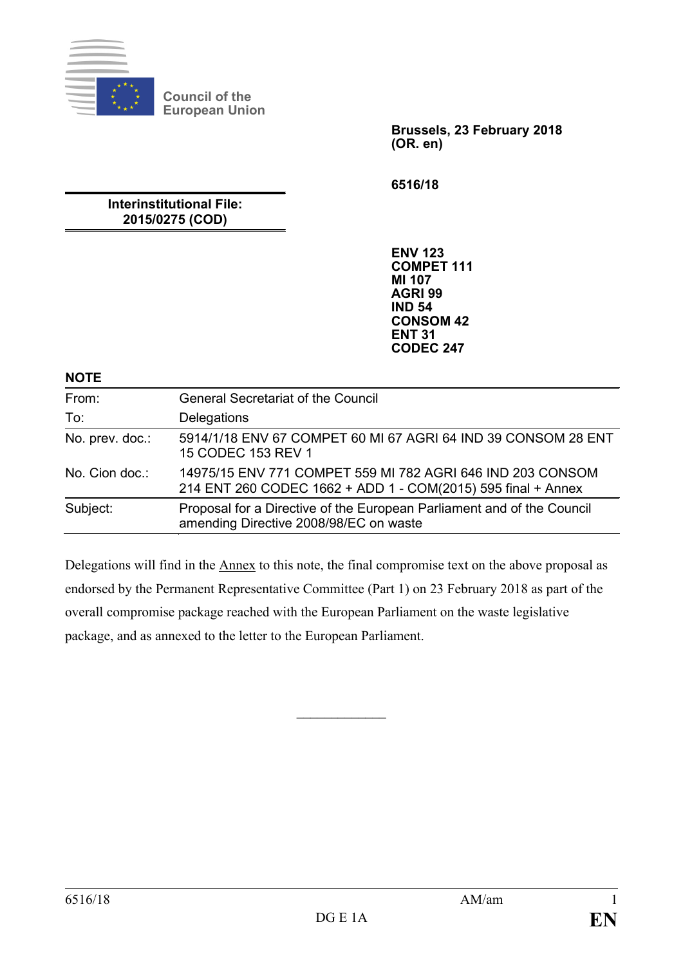

**Council of the European Union**

> **Brussels, 23 February 2018 (OR. en)**

**6516/18**

**Interinstitutional File: 2015/0275 (COD)**

> **ENV 123 COMPET 111 MI 107 AGRI 99 IND 54 CONSOM 42 ENT 31 CODEC 247**

**NOTE**

| From:           | <b>General Secretariat of the Council</b>                                                                                  |
|-----------------|----------------------------------------------------------------------------------------------------------------------------|
| To:             | Delegations                                                                                                                |
| No. prev. doc.: | 5914/1/18 ENV 67 COMPET 60 MI 67 AGRI 64 IND 39 CONSOM 28 ENT<br>15 CODEC 153 REV 1                                        |
| No. Cion doc.:  | 14975/15 ENV 771 COMPET 559 MI 782 AGRI 646 IND 203 CONSOM<br>214 ENT 260 CODEC 1662 + ADD 1 - COM(2015) 595 final + Annex |
| Subject:        | Proposal for a Directive of the European Parliament and of the Council<br>amending Directive 2008/98/EC on waste           |

Delegations will find in the Annex to this note, the final compromise text on the above proposal as endorsed by the Permanent Representative Committee (Part 1) on 23 February 2018 as part of the overall compromise package reached with the European Parliament on the waste legislative package, and as annexed to the letter to the European Parliament.

 $\frac{1}{2}$  ,  $\frac{1}{2}$  ,  $\frac{1}{2}$  ,  $\frac{1}{2}$  ,  $\frac{1}{2}$  ,  $\frac{1}{2}$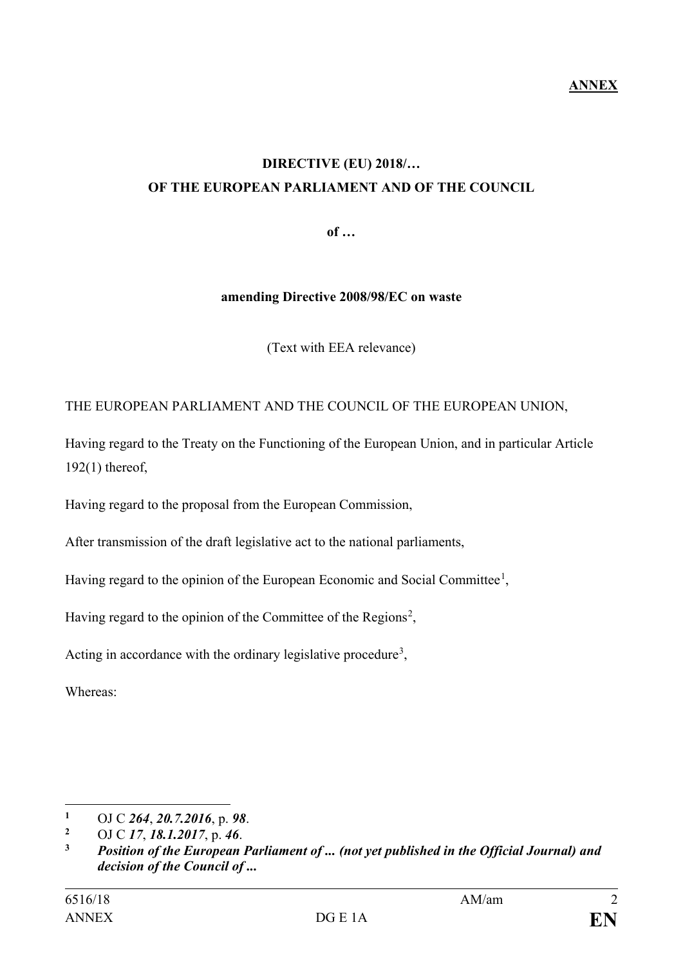### **DIRECTIVE (EU) 2018/… OF THE EUROPEAN PARLIAMENT AND OF THE COUNCIL**

**of …**

#### **amending Directive 2008/98/EC on waste**

(Text with EEA relevance)

#### THE EUROPEAN PARLIAMENT AND THE COUNCIL OF THE EUROPEAN UNION,

Having regard to the Treaty on the Functioning of the European Union, and in particular Article 192(1) thereof,

Having regard to the proposal from the European Commission,

After transmission of the draft legislative act to the national parliaments,

Having regard to the opinion of the European Economic and Social Committee<sup>[1](#page-1-0)</sup>,

Having regard to the opinion of the Committee of the Regions<sup>[2](#page-1-1)</sup>,

Acting in accordance with the ordinary legislative procedure<sup>[3](#page-1-2)</sup>,

Whereas:

 $\overline{a}$ **<sup>1</sup>** OJ C *264*, *20.7.2016*, p. *98*.

<span id="page-1-1"></span><span id="page-1-0"></span>**<sup>2</sup>** OJ C *17*, *18.1.2017*, p. *46*.

<span id="page-1-2"></span>**<sup>3</sup>** *Position of the European Parliament of ... (not yet published in the Official Journal) and decision of the Council of ...*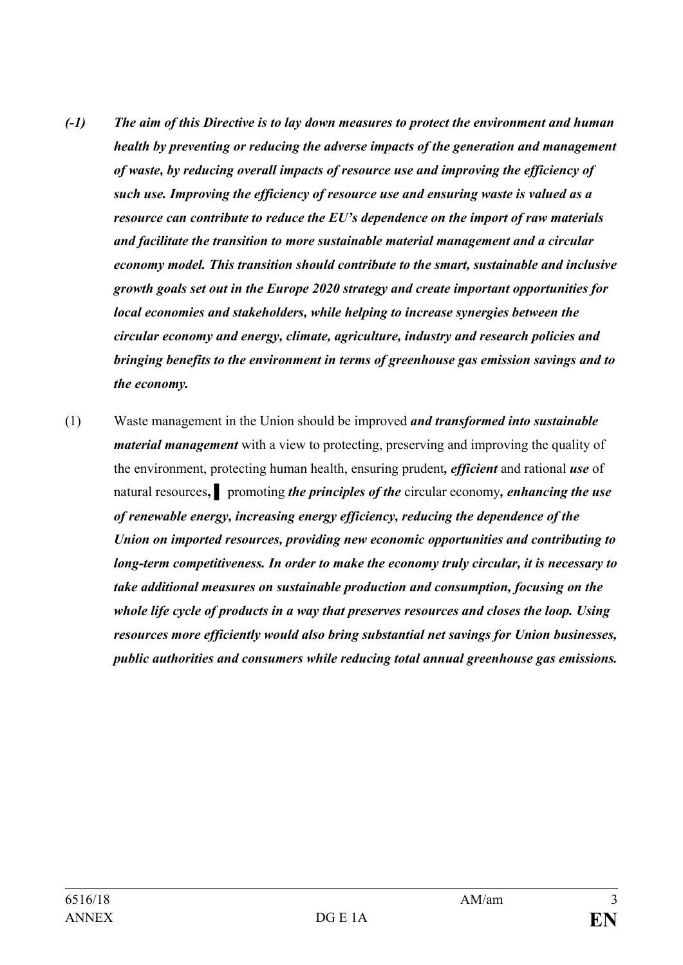- *(-1) The aim of this Directive is to lay down measures to protect the environment and human health by preventing or reducing the adverse impacts of the generation and management of waste, by reducing overall impacts of resource use and improving the efficiency of such use. Improving the efficiency of resource use and ensuring waste is valued as a resource can contribute to reduce the EU's dependence on the import of raw materials and facilitate the transition to more sustainable material management and a circular economy model. This transition should contribute to the smart, sustainable and inclusive growth goals set out in the Europe 2020 strategy and create important opportunities for local economies and stakeholders, while helping to increase synergies between the circular economy and energy, climate, agriculture, industry and research policies and bringing benefits to the environment in terms of greenhouse gas emission savings and to the economy.*
- (1) Waste management in the Union should be improved *and transformed into sustainable material management* with a view to protecting, preserving and improving the quality of the environment, protecting human health, ensuring prudent*, efficient* and rational *use* of natural resources**, ▌** promoting *the principles of the* circular economy*, enhancing the use of renewable energy, increasing energy efficiency, reducing the dependence of the Union on imported resources, providing new economic opportunities and contributing to long-term competitiveness. In order to make the economy truly circular, it is necessary to take additional measures on sustainable production and consumption, focusing on the whole life cycle of products in a way that preserves resources and closes the loop. Using resources more efficiently would also bring substantial net savings for Union businesses, public authorities and consumers while reducing total annual greenhouse gas emissions.*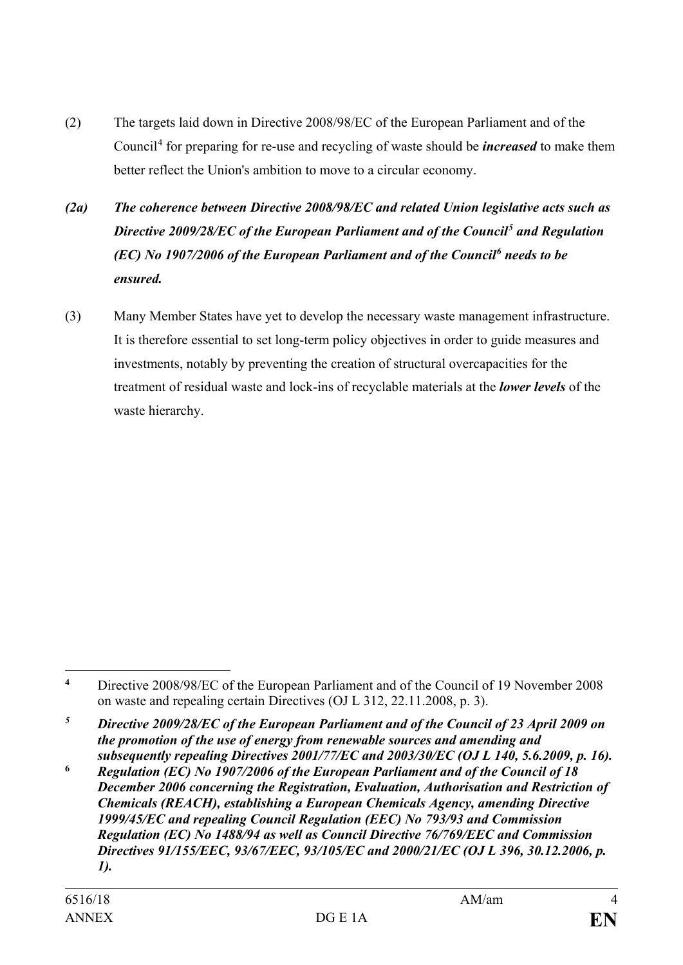- (2) The targets laid down in Directive 2008/98/EC of the European Parliament and of the Council[4](#page-3-0) for preparing for re-use and recycling of waste should be *increased* to make them better reflect the Union's ambition to move to a circular economy.
- *(2a) The coherence between Directive 2008/98/EC and related Union legislative acts such as Directive 2009/28/EC of the European Parliament and of the Council[5](#page-3-1) and Regulation (EC) No 1907/2006 of the European Parliament and of the Council[6](#page-3-2) needs to be ensured.*
- (3) Many Member States have yet to develop the necessary waste management infrastructure. It is therefore essential to set long-term policy objectives in order to guide measures and investments, notably by preventing the creation of structural overcapacities for the treatment of residual waste and lock-ins of recyclable materials at the *lower levels* of the waste hierarchy.

<span id="page-3-0"></span> $\overline{a}$ **<sup>4</sup>** Directive 2008/98/EC of the European Parliament and of the Council of 19 November 2008 on waste and repealing certain Directives (OJ L 312, 22.11.2008, p. 3).

<span id="page-3-1"></span>*<sup>5</sup> Directive 2009/28/EC of the European Parliament and of the Council of 23 April 2009 on the promotion of the use of energy from renewable sources and amending and subsequently repealing Directives 2001/77/EC and 2003/30/EC (OJ L 140, 5.6.2009, p. 16).*

<span id="page-3-2"></span>**<sup>6</sup>** *Regulation (EC) No 1907/2006 of the European Parliament and of the Council of 18 December 2006 concerning the Registration, Evaluation, Authorisation and Restriction of Chemicals (REACH), establishing a European Chemicals Agency, amending Directive 1999/45/EC and repealing Council Regulation (EEC) No 793/93 and Commission Regulation (EC) No 1488/94 as well as Council Directive 76/769/EEC and Commission Directives 91/155/EEC, 93/67/EEC, 93/105/EC and 2000/21/EC (OJ L 396, 30.12.2006, p. 1).*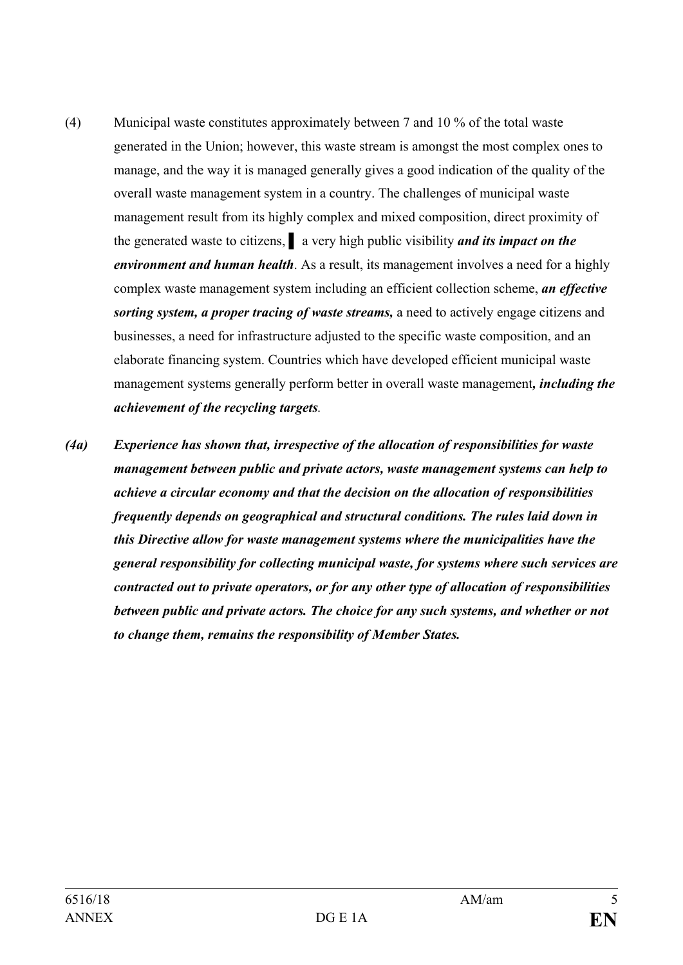- (4) Municipal waste constitutes approximately between 7 and 10 % of the total waste generated in the Union; however, this waste stream is amongst the most complex ones to manage, and the way it is managed generally gives a good indication of the quality of the overall waste management system in a country. The challenges of municipal waste management result from its highly complex and mixed composition, direct proximity of the generated waste to citizens, **▌** a very high public visibility *and its impact on the environment and human health*. As a result, its management involves a need for a highly complex waste management system including an efficient collection scheme, *an effective sorting system, a proper tracing of waste streams,* a need to actively engage citizens and businesses, a need for infrastructure adjusted to the specific waste composition, and an elaborate financing system. Countries which have developed efficient municipal waste management systems generally perform better in overall waste management*, including the achievement of the recycling targets.*
- *(4a) Experience has shown that, irrespective of the allocation of responsibilities for waste management between public and private actors, waste management systems can help to achieve a circular economy and that the decision on the allocation of responsibilities frequently depends on geographical and structural conditions. The rules laid down in this Directive allow for waste management systems where the municipalities have the general responsibility for collecting municipal waste, for systems where such services are contracted out to private operators, or for any other type of allocation of responsibilities between public and private actors. The choice for any such systems, and whether or not to change them, remains the responsibility of Member States.*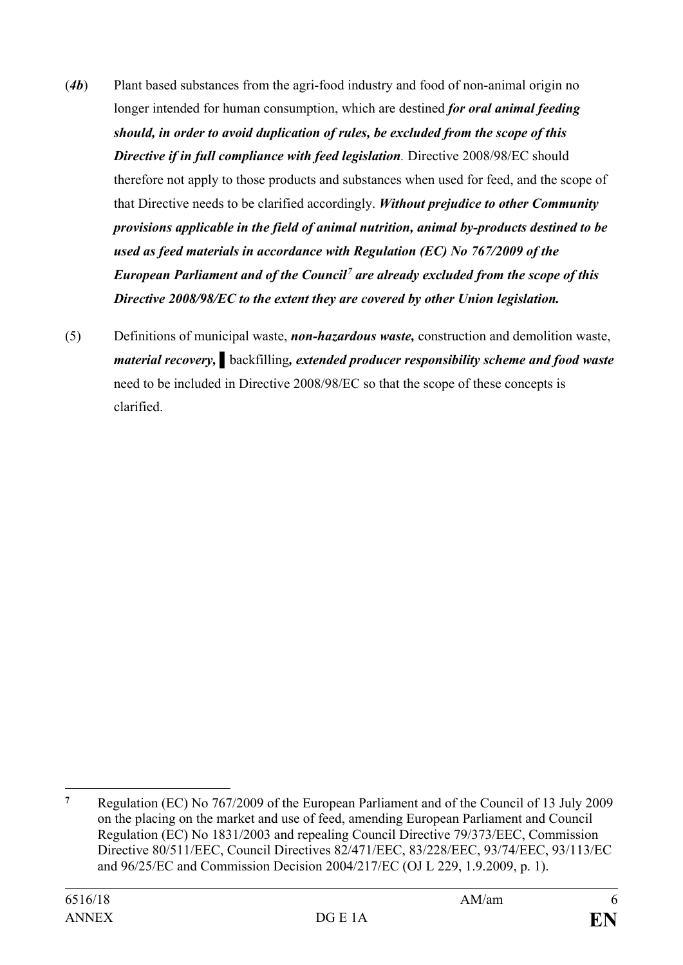- (*4b*) Plant based substances from the agri-food industry and food of non-animal origin no longer intended for human consumption, which are destined *for oral animal feeding should, in order to avoid duplication of rules, be excluded from the scope of this Directive if in full compliance with feed legislation.* Directive 2008/98/EC should therefore not apply to those products and substances when used for feed, and the scope of that Directive needs to be clarified accordingly. *Without prejudice to other Community provisions applicable in the field of animal nutrition, animal by-products destined to be used as feed materials in accordance with Regulation (EC) No 767/2009 of the European Parliament and of the Council[7](#page-5-0) are already excluded from the scope of this Directive 2008/98/EC to the extent they are covered by other Union legislation.*
- (5) Definitions of municipal waste, *non-hazardous waste,* construction and demolition waste, *material recovery,* **▌**backfilling*, extended producer responsibility scheme and food waste*  need to be included in Directive 2008/98/EC so that the scope of these concepts is clarified.

<span id="page-5-0"></span> $\overline{7}$ **<sup>7</sup>** Regulation (EC) No 767/2009 of the European Parliament and of the Council of 13 July 2009 on the placing on the market and use of feed, amending European Parliament and Council Regulation (EC) No 1831/2003 and repealing Council Directive 79/373/EEC, Commission Directive 80/511/EEC, Council Directives 82/471/EEC, 83/228/EEC, 93/74/EEC, 93/113/EC and 96/25/EC and Commission Decision 2004/217/EC (OJ L 229, 1.9.2009, p. 1).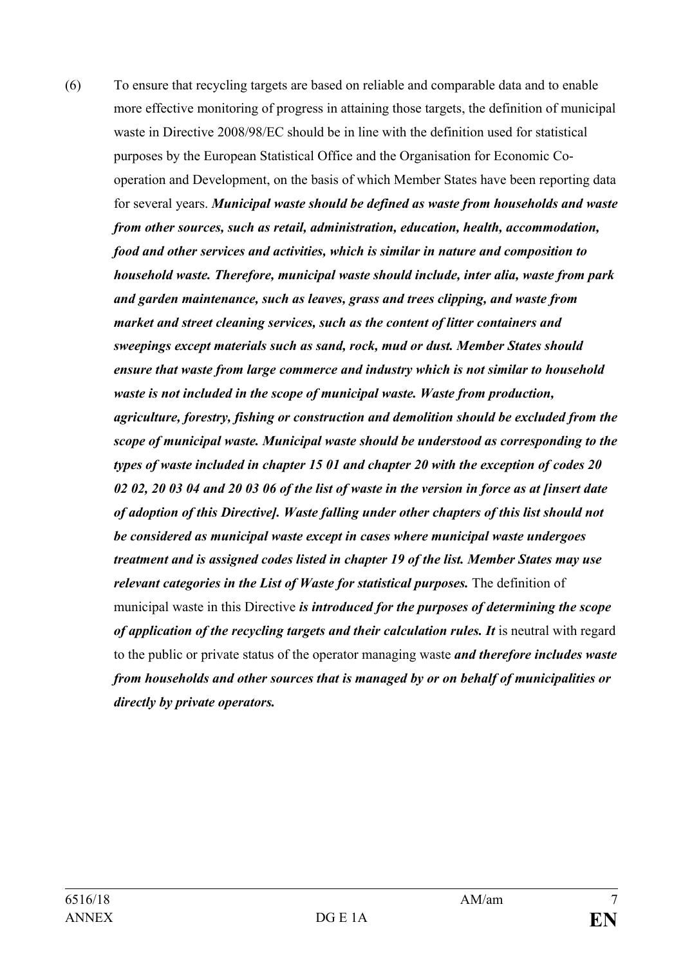(6) To ensure that recycling targets are based on reliable and comparable data and to enable more effective monitoring of progress in attaining those targets, the definition of municipal waste in Directive 2008/98/EC should be in line with the definition used for statistical purposes by the European Statistical Office and the Organisation for Economic Cooperation and Development, on the basis of which Member States have been reporting data for several years. *Municipal waste should be defined as waste from households and waste from other sources, such as retail, administration, education, health, accommodation, food and other services and activities, which is similar in nature and composition to household waste. Therefore, municipal waste should include, inter alia, waste from park and garden maintenance, such as leaves, grass and trees clipping, and waste from market and street cleaning services, such as the content of litter containers and sweepings except materials such as sand, rock, mud or dust. Member States should ensure that waste from large commerce and industry which is not similar to household waste is not included in the scope of municipal waste. Waste from production, agriculture, forestry, fishing or construction and demolition should be excluded from the scope of municipal waste. Municipal waste should be understood as corresponding to the types of waste included in chapter 15 01 and chapter 20 with the exception of codes 20 02 02, 20 03 04 and 20 03 06 of the list of waste in the version in force as at [insert date of adoption of this Directive]. Waste falling under other chapters of this list should not be considered as municipal waste except in cases where municipal waste undergoes treatment and is assigned codes listed in chapter 19 of the list. Member States may use relevant categories in the List of Waste for statistical purposes.* The definition of municipal waste in this Directive *is introduced for the purposes of determining the scope of application of the recycling targets and their calculation rules. It* is neutral with regard to the public or private status of the operator managing waste *and therefore includes waste from households and other sources that is managed by or on behalf of municipalities or directly by private operators.*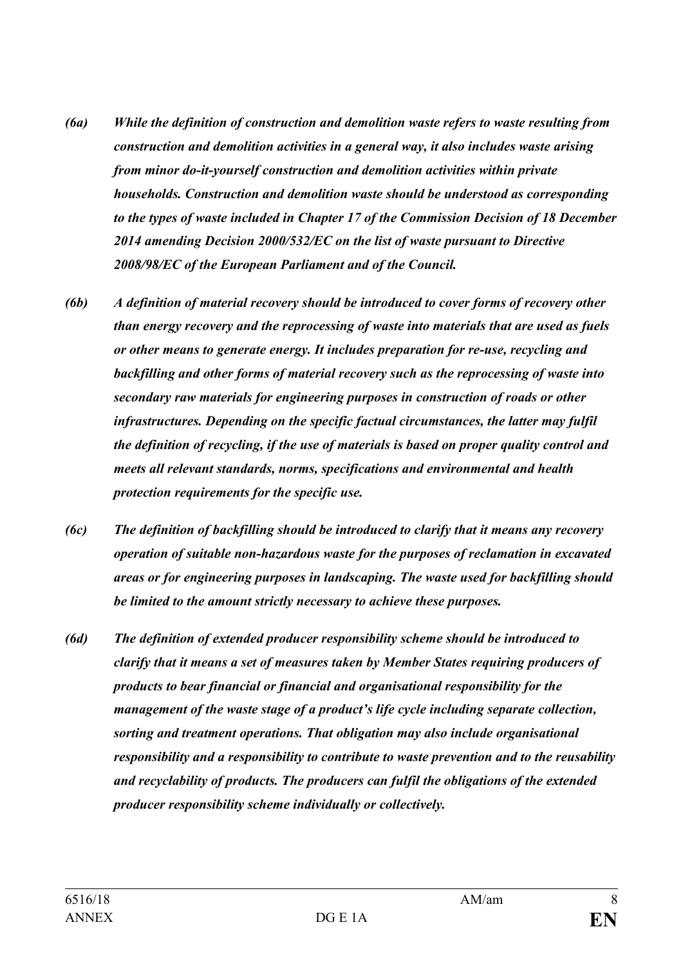- *(6a) While the definition of construction and demolition waste refers to waste resulting from construction and demolition activities in a general way, it also includes waste arising from minor do-it-yourself construction and demolition activities within private households. Construction and demolition waste should be understood as corresponding to the types of waste included in Chapter 17 of the Commission Decision of 18 December 2014 amending Decision 2000/532/EC on the list of waste pursuant to Directive 2008/98/EC of the European Parliament and of the Council.*
- *(6b) A definition of material recovery should be introduced to cover forms of recovery other than energy recovery and the reprocessing of waste into materials that are used as fuels or other means to generate energy. It includes preparation for re-use, recycling and backfilling and other forms of material recovery such as the reprocessing of waste into secondary raw materials for engineering purposes in construction of roads or other infrastructures. Depending on the specific factual circumstances, the latter may fulfil the definition of recycling, if the use of materials is based on proper quality control and meets all relevant standards, norms, specifications and environmental and health protection requirements for the specific use.*
- *(6c) The definition of backfilling should be introduced to clarify that it means any recovery operation of suitable non-hazardous waste for the purposes of reclamation in excavated areas or for engineering purposes in landscaping. The waste used for backfilling should be limited to the amount strictly necessary to achieve these purposes.*
- *(6d) The definition of extended producer responsibility scheme should be introduced to clarify that it means a set of measures taken by Member States requiring producers of products to bear financial or financial and organisational responsibility for the management of the waste stage of a product's life cycle including separate collection, sorting and treatment operations. That obligation may also include organisational responsibility and a responsibility to contribute to waste prevention and to the reusability and recyclability of products. The producers can fulfil the obligations of the extended producer responsibility scheme individually or collectively.*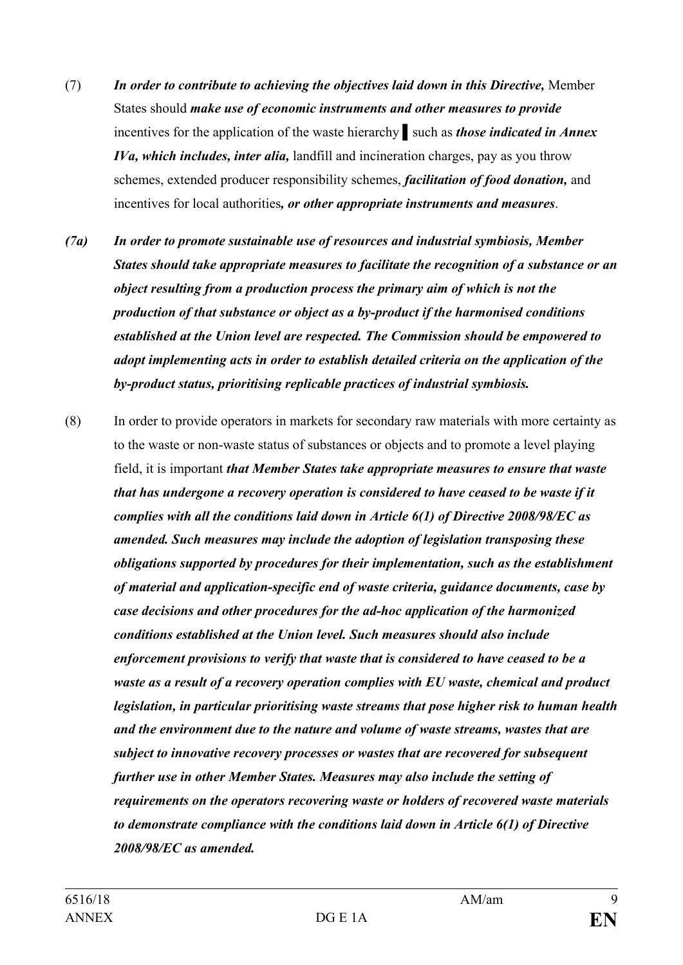- (7) *In order to contribute to achieving the objectives laid down in this Directive,* Member States should *make use of economic instruments and other measures to provide* incentives for the application of the waste hierarchy **▌**such as *those indicated in Annex IVa, which includes, inter alia,* landfill and incineration charges, pay as you throw schemes, extended producer responsibility schemes, *facilitation of food donation,* and incentives for local authorities*, or other appropriate instruments and measures*.
- *(7a) In order to promote sustainable use of resources and industrial symbiosis, Member States should take appropriate measures to facilitate the recognition of a substance or an object resulting from a production process the primary aim of which is not the production of that substance or object as a by-product if the harmonised conditions established at the Union level are respected. The Commission should be empowered to adopt implementing acts in order to establish detailed criteria on the application of the by-product status, prioritising replicable practices of industrial symbiosis.*
- (8) In order to provide operators in markets for secondary raw materials with more certainty as to the waste or non-waste status of substances or objects and to promote a level playing field, it is important *that Member States take appropriate measures to ensure that waste that has undergone a recovery operation is considered to have ceased to be waste if it complies with all the conditions laid down in Article 6(1) of Directive 2008/98/EC as amended. Such measures may include the adoption of legislation transposing these obligations supported by procedures for their implementation, such as the establishment of material and application-specific end of waste criteria, guidance documents, case by case decisions and other procedures for the ad-hoc application of the harmonized conditions established at the Union level. Such measures should also include enforcement provisions to verify that waste that is considered to have ceased to be a waste as a result of a recovery operation complies with EU waste, chemical and product legislation, in particular prioritising waste streams that pose higher risk to human health and the environment due to the nature and volume of waste streams, wastes that are subject to innovative recovery processes or wastes that are recovered for subsequent further use in other Member States. Measures may also include the setting of requirements on the operators recovering waste or holders of recovered waste materials to demonstrate compliance with the conditions laid down in Article 6(1) of Directive 2008/98/EC as amended.*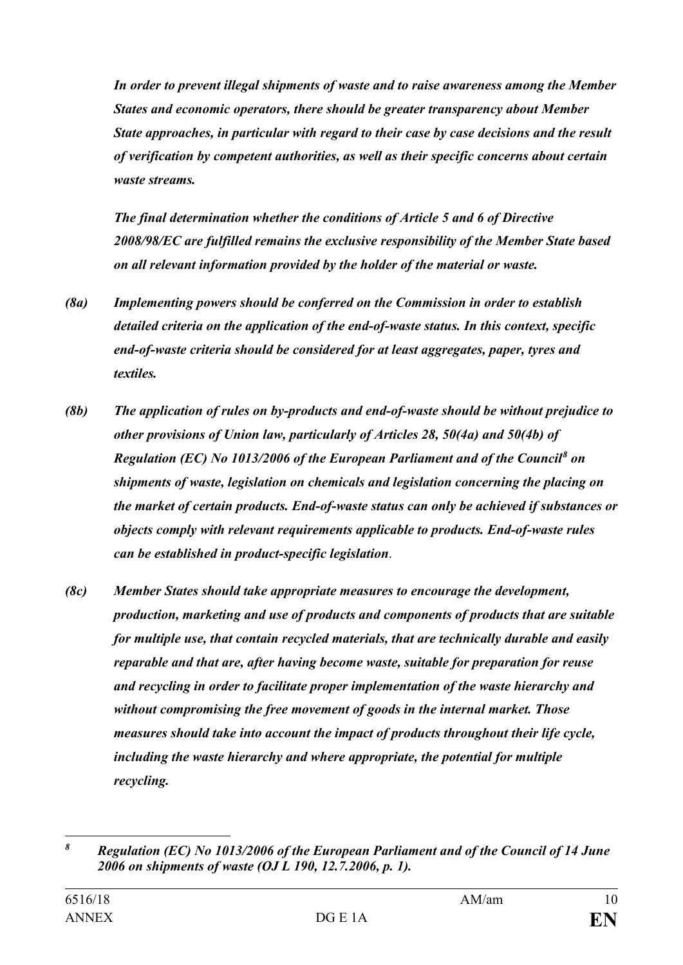*In order to prevent illegal shipments of waste and to raise awareness among the Member States and economic operators, there should be greater transparency about Member State approaches, in particular with regard to their case by case decisions and the result of verification by competent authorities, as well as their specific concerns about certain waste streams.*

*The final determination whether the conditions of Article 5 and 6 of Directive 2008/98/EC are fulfilled remains the exclusive responsibility of the Member State based on all relevant information provided by the holder of the material or waste.*

- *(8a) Implementing powers should be conferred on the Commission in order to establish detailed criteria on the application of the end-of-waste status. In this context, specific end-of-waste criteria should be considered for at least aggregates, paper, tyres and textiles.*
- *(8b) The application of rules on by-products and end-of-waste should be without prejudice to other provisions of Union law, particularly of Articles 28, 50(4a) and 50(4b) of Regulation (EC) No 1013/2006 of the European Parliament and of the Council[8](#page-9-0) on shipments of waste, legislation on chemicals and legislation concerning the placing on the market of certain products. End-of-waste status can only be achieved if substances or objects comply with relevant requirements applicable to products. End-of-waste rules can be established in product-specific legislation*.
- *(8c) Member States should take appropriate measures to encourage the development, production, marketing and use of products and components of products that are suitable for multiple use, that contain recycled materials, that are technically durable and easily reparable and that are, after having become waste, suitable for preparation for reuse and recycling in order to facilitate proper implementation of the waste hierarchy and without compromising the free movement of goods in the internal market. Those measures should take into account the impact of products throughout their life cycle, including the waste hierarchy and where appropriate, the potential for multiple recycling.*

<span id="page-9-0"></span> $\boldsymbol{\delta}$ *<sup>8</sup> Regulation (EC) No 1013/2006 of the European Parliament and of the Council of 14 June 2006 on shipments of waste (OJ L 190, 12.7.2006, p. 1).*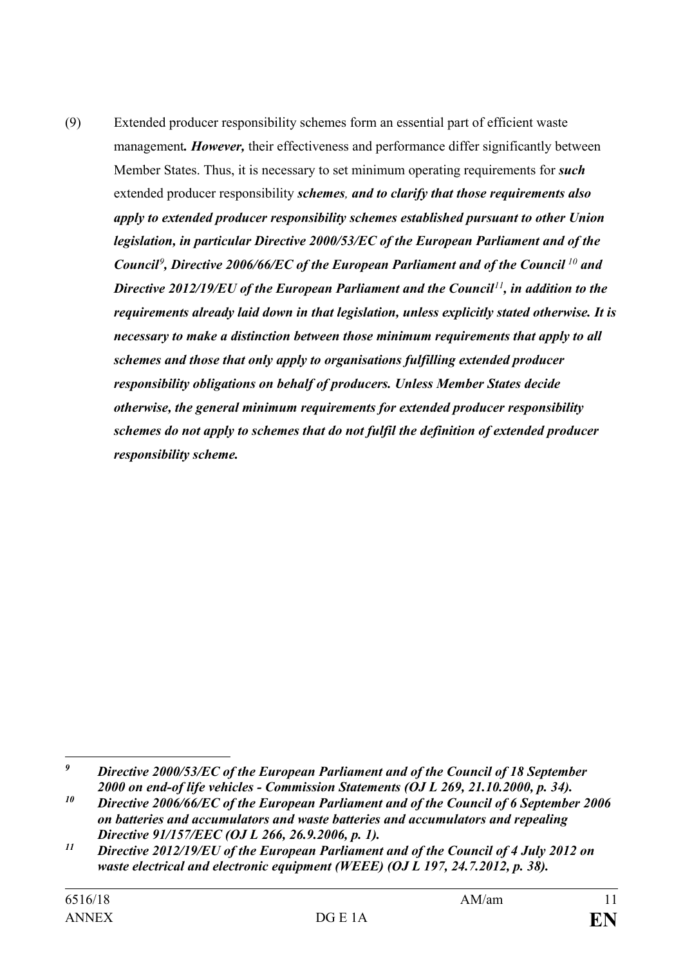(9) Extended producer responsibility schemes form an essential part of efficient waste management*. However,* their effectiveness and performance differ significantly between Member States. Thus, it is necessary to set minimum operating requirements for *such* extended producer responsibility *schemes, and to clarify that those requirements also apply to extended producer responsibility schemes established pursuant to other Union legislation, in particular Directive 2000/53/EC of the European Parliament and of the Council[9](#page-10-0) , Directive 2006/66/EC of the European Parliament and of the Council [10](#page-10-1) and Directive 2012/19/EU of the European Parliament and the Council[11](#page-10-2), in addition to the requirements already laid down in that legislation, unless explicitly stated otherwise. It is necessary to make a distinction between those minimum requirements that apply to all schemes and those that only apply to organisations fulfilling extended producer responsibility obligations on behalf of producers. Unless Member States decide otherwise, the general minimum requirements for extended producer responsibility schemes do not apply to schemes that do not fulfil the definition of extended producer responsibility scheme.*

<span id="page-10-0"></span> $\boldsymbol{g}$ *<sup>9</sup> Directive 2000/53/EC of the European Parliament and of the Council of 18 September 2000 on end-of life vehicles - Commission Statements (OJ L 269, 21.10.2000, p. 34).*

<span id="page-10-1"></span>*<sup>10</sup> Directive 2006/66/EC of the European Parliament and of the Council of 6 September 2006 on batteries and accumulators and waste batteries and accumulators and repealing Directive 91/157/EEC (OJ L 266, 26.9.2006, p. 1).*

<span id="page-10-2"></span>*<sup>11</sup> Directive 2012/19/EU of the European Parliament and of the Council of 4 July 2012 on waste electrical and electronic equipment (WEEE) (OJ L 197, 24.7.2012, p. 38).*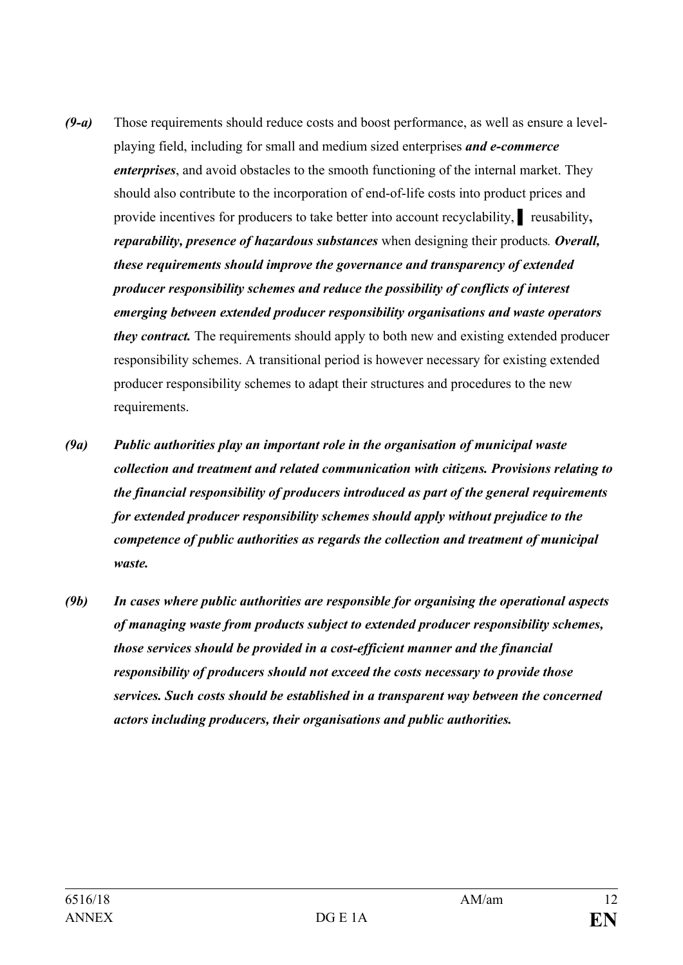- *(9-a)* Those requirements should reduce costs and boost performance, as well as ensure a levelplaying field, including for small and medium sized enterprises *and e-commerce enterprises*, and avoid obstacles to the smooth functioning of the internal market. They should also contribute to the incorporation of end-of-life costs into product prices and provide incentives for producers to take better into account recyclability, **▌** reusability**,**  *reparability, presence of hazardous substances* when designing their products*. Overall, these requirements should improve the governance and transparency of extended producer responsibility schemes and reduce the possibility of conflicts of interest emerging between extended producer responsibility organisations and waste operators they contract*. The requirements should apply to both new and existing extended producer responsibility schemes. A transitional period is however necessary for existing extended producer responsibility schemes to adapt their structures and procedures to the new requirements.
- *(9a) Public authorities play an important role in the organisation of municipal waste collection and treatment and related communication with citizens. Provisions relating to the financial responsibility of producers introduced as part of the general requirements for extended producer responsibility schemes should apply without prejudice to the competence of public authorities as regards the collection and treatment of municipal waste.*
- *(9b) In cases where public authorities are responsible for organising the operational aspects of managing waste from products subject to extended producer responsibility schemes, those services should be provided in a cost-efficient manner and the financial responsibility of producers should not exceed the costs necessary to provide those services. Such costs should be established in a transparent way between the concerned actors including producers, their organisations and public authorities.*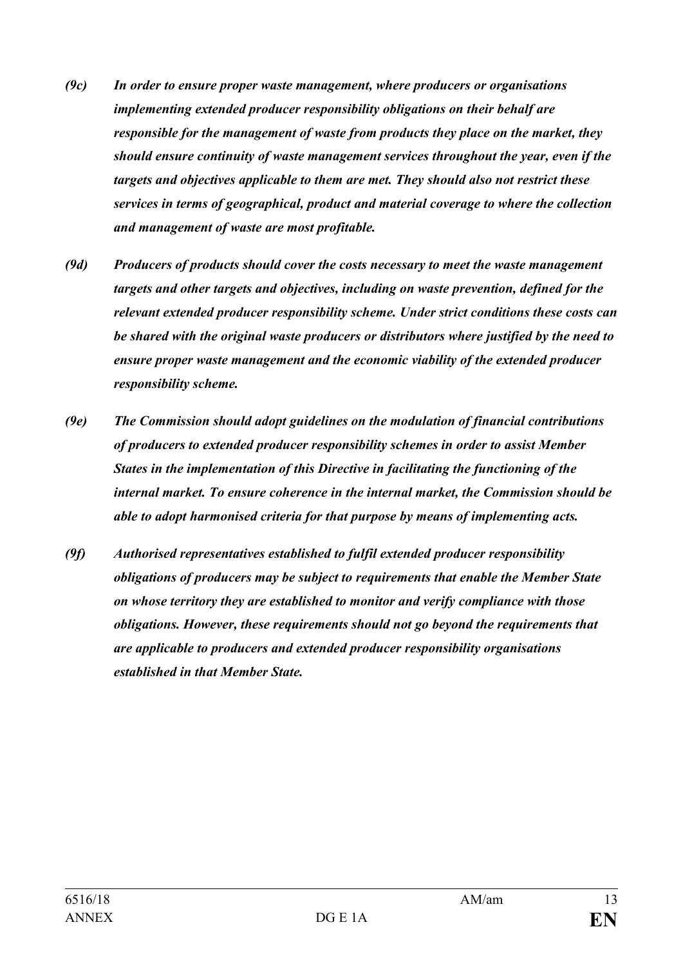- *(9c) In order to ensure proper waste management, where producers or organisations implementing extended producer responsibility obligations on their behalf are responsible for the management of waste from products they place on the market, they should ensure continuity of waste management services throughout the year, even if the targets and objectives applicable to them are met. They should also not restrict these services in terms of geographical, product and material coverage to where the collection and management of waste are most profitable.*
- *(9d) Producers of products should cover the costs necessary to meet the waste management targets and other targets and objectives, including on waste prevention, defined for the relevant extended producer responsibility scheme. Under strict conditions these costs can be shared with the original waste producers or distributors where justified by the need to ensure proper waste management and the economic viability of the extended producer responsibility scheme.*
- *(9e) The Commission should adopt guidelines on the modulation of financial contributions of producers to extended producer responsibility schemes in order to assist Member States in the implementation of this Directive in facilitating the functioning of the internal market. To ensure coherence in the internal market, the Commission should be able to adopt harmonised criteria for that purpose by means of implementing acts.*
- *(9f) Authorised representatives established to fulfil extended producer responsibility obligations of producers may be subject to requirements that enable the Member State on whose territory they are established to monitor and verify compliance with those obligations. However, these requirements should not go beyond the requirements that are applicable to producers and extended producer responsibility organisations established in that Member State.*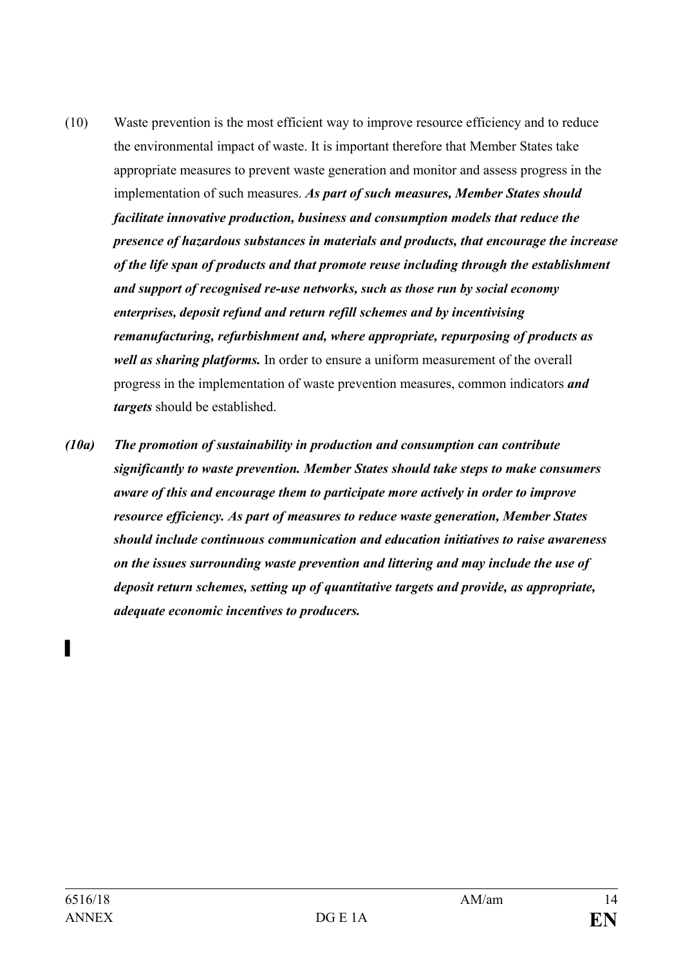- (10) Waste prevention is the most efficient way to improve resource efficiency and to reduce the environmental impact of waste. It is important therefore that Member States take appropriate measures to prevent waste generation and monitor and assess progress in the implementation of such measures. *As part of such measures, Member States should facilitate innovative production, business and consumption models that reduce the presence of hazardous substances in materials and products, that encourage the increase of the life span of products and that promote reuse including through the establishment and support of recognised re-use networks, such as those run by social economy enterprises, deposit refund and return refill schemes and by incentivising remanufacturing, refurbishment and, where appropriate, repurposing of products as well as sharing platforms.* In order to ensure a uniform measurement of the overall progress in the implementation of waste prevention measures, common indicators *and targets* should be established.
- *(10a) The promotion of sustainability in production and consumption can contribute significantly to waste prevention. Member States should take steps to make consumers aware of this and encourage them to participate more actively in order to improve resource efficiency. As part of measures to reduce waste generation, Member States should include continuous communication and education initiatives to raise awareness on the issues surrounding waste prevention and littering and may include the use of deposit return schemes, setting up of quantitative targets and provide, as appropriate, adequate economic incentives to producers.*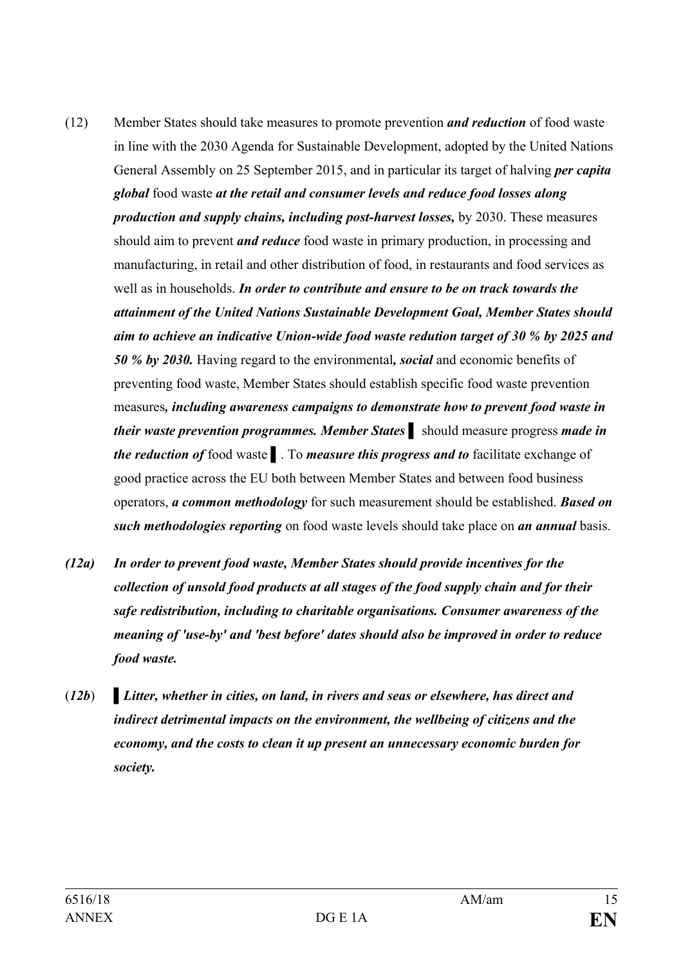- (12) Member States should take measures to promote prevention *and reduction* of food waste in line with the 2030 Agenda for Sustainable Development, adopted by the United Nations General Assembly on 25 September 2015, and in particular its target of halving *per capita global* food waste *at the retail and consumer levels and reduce food losses along production and supply chains, including post-harvest losses,* by 2030. These measures should aim to prevent *and reduce* food waste in primary production, in processing and manufacturing, in retail and other distribution of food, in restaurants and food services as well as in households. *In order to contribute and ensure to be on track towards the attainment of the United Nations Sustainable Development Goal, Member States should aim to achieve an indicative Union-wide food waste redution target of 30 % by 2025 and 50 % by 2030.* Having regard to the environmental*, social* and economic benefits of preventing food waste, Member States should establish specific food waste prevention measures*, including awareness campaigns to demonstrate how to prevent food waste in their waste prevention programmes. Member States* **▌** should measure progress *made in the reduction of* food waste **▌**. To *measure this progress and to* facilitate exchange of good practice across the EU both between Member States and between food business operators, *a common methodology* for such measurement should be established. *Based on such methodologies reporting* on food waste levels should take place on *an annual* basis.
- *(12a) In order to prevent food waste, Member States should provide incentives for the collection of unsold food products at all stages of the food supply chain and for their safe redistribution, including to charitable organisations. Consumer awareness of the meaning of 'use-by' and 'best before' dates should also be improved in order to reduce food waste.*
- (*12b*) **▌***Litter, whether in cities, on land, in rivers and seas or elsewhere, has direct and indirect detrimental impacts on the environment, the wellbeing of citizens and the economy, and the costs to clean it up present an unnecessary economic burden for society.*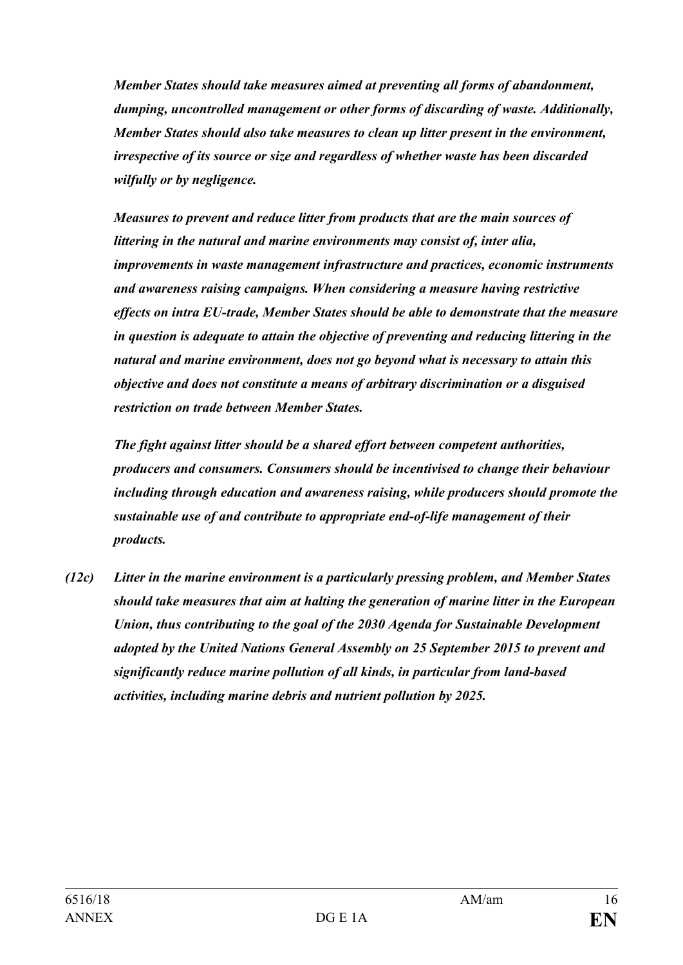*Member States should take measures aimed at preventing all forms of abandonment, dumping, uncontrolled management or other forms of discarding of waste. Additionally, Member States should also take measures to clean up litter present in the environment, irrespective of its source or size and regardless of whether waste has been discarded wilfully or by negligence.* 

*Measures to prevent and reduce litter from products that are the main sources of littering in the natural and marine environments may consist of, inter alia, improvements in waste management infrastructure and practices, economic instruments and awareness raising campaigns. When considering a measure having restrictive effects on intra EU-trade, Member States should be able to demonstrate that the measure in question is adequate to attain the objective of preventing and reducing littering in the natural and marine environment, does not go beyond what is necessary to attain this objective and does not constitute a means of arbitrary discrimination or a disguised restriction on trade between Member States.*

*The fight against litter should be a shared effort between competent authorities, producers and consumers. Consumers should be incentivised to change their behaviour including through education and awareness raising, while producers should promote the sustainable use of and contribute to appropriate end-of-life management of their products.* 

*(12c) Litter in the marine environment is a particularly pressing problem, and Member States should take measures that aim at halting the generation of marine litter in the European Union, thus contributing to the goal of the 2030 Agenda for Sustainable Development adopted by the United Nations General Assembly on 25 September 2015 to prevent and significantly reduce marine pollution of all kinds, in particular from land-based activities, including marine debris and nutrient pollution by 2025.*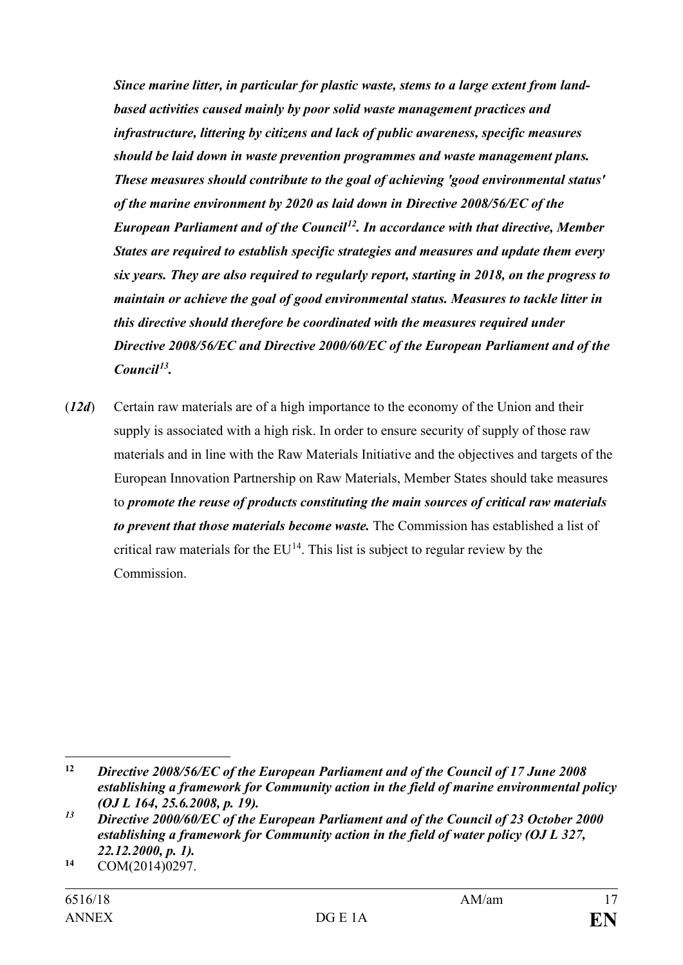*Since marine litter, in particular for plastic waste, stems to a large extent from landbased activities caused mainly by poor solid waste management practices and infrastructure, littering by citizens and lack of public awareness, specific measures should be laid down in waste prevention programmes and waste management plans. These measures should contribute to the goal of achieving 'good environmental status' of the marine environment by 2020 as laid down in Directive 2008/56/EC of the European Parliament and of the Council[12.](#page-16-0) In accordance with that directive, Member States are required to establish specific strategies and measures and update them every six years. They are also required to regularly report, starting in 2018, on the progress to maintain or achieve the goal of good environmental status. Measures to tackle litter in this directive should therefore be coordinated with the measures required under Directive 2008/56/EC and Directive 2000/60/EC of the European Parliament and of the Council[13](#page-16-1).*

(*12d*) Certain raw materials are of a high importance to the economy of the Union and their supply is associated with a high risk. In order to ensure security of supply of those raw materials and in line with the Raw Materials Initiative and the objectives and targets of the European Innovation Partnership on Raw Materials, Member States should take measures to *promote the reuse of products constituting the main sources of critical raw materials to prevent that those materials become waste.* The Commission has established a list of critical raw materials for the  $EU^{14}$ . This list is subject to regular review by the Commission.

 $\overline{a}$ 

<span id="page-16-0"></span>**<sup>12</sup>** *Directive 2008/56/EC of the European Parliament and of the Council of 17 June 2008 establishing a framework for Community action in the field of marine environmental policy (OJ L 164, 25.6.2008, p. 19).*

<span id="page-16-1"></span>*<sup>13</sup> Directive 2000/60/EC of the European Parliament and of the Council of 23 October 2000 establishing a framework for Community action in the field of water policy (OJ L 327, 22.12.2000, p. 1).*

<span id="page-16-2"></span>**<sup>14</sup>** COM(2014)0297.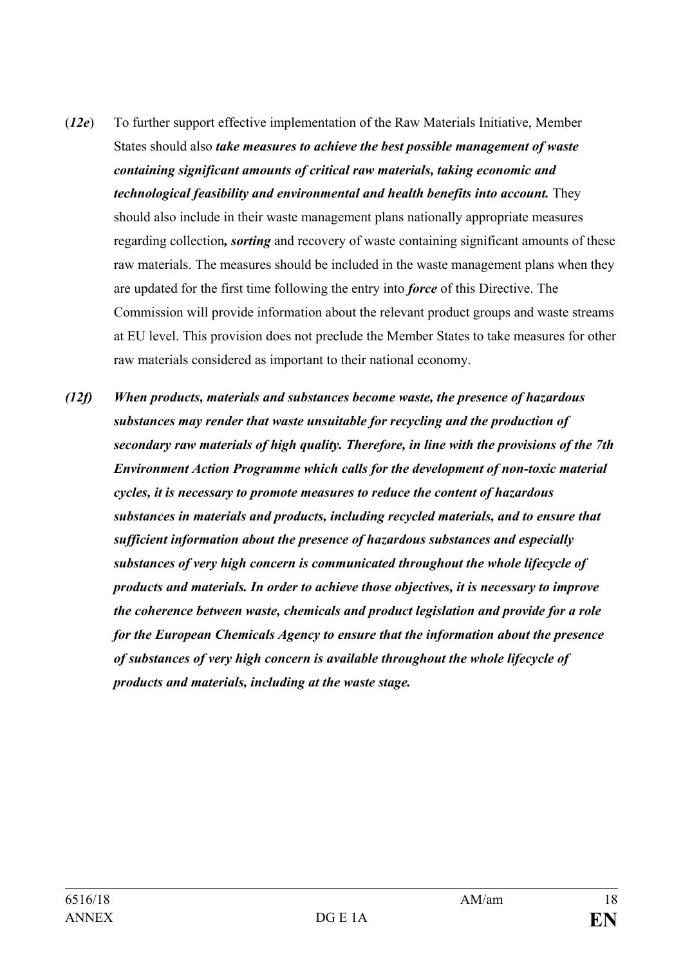- (*12e*) To further support effective implementation of the Raw Materials Initiative, Member States should also *take measures to achieve the best possible management of waste containing significant amounts of critical raw materials, taking economic and technological feasibility and environmental and health benefits into account.* They should also include in their waste management plans nationally appropriate measures regarding collection*, sorting* and recovery of waste containing significant amounts of these raw materials. The measures should be included in the waste management plans when they are updated for the first time following the entry into *force* of this Directive. The Commission will provide information about the relevant product groups and waste streams at EU level. This provision does not preclude the Member States to take measures for other raw materials considered as important to their national economy.
- *(12f) When products, materials and substances become waste, the presence of hazardous substances may render that waste unsuitable for recycling and the production of secondary raw materials of high quality. Therefore, in line with the provisions of the 7th Environment Action Programme which calls for the development of non-toxic material cycles, it is necessary to promote measures to reduce the content of hazardous substances in materials and products, including recycled materials, and to ensure that sufficient information about the presence of hazardous substances and especially substances of very high concern is communicated throughout the whole lifecycle of products and materials. In order to achieve those objectives, it is necessary to improve the coherence between waste, chemicals and product legislation and provide for a role for the European Chemicals Agency to ensure that the information about the presence of substances of very high concern is available throughout the whole lifecycle of products and materials, including at the waste stage.*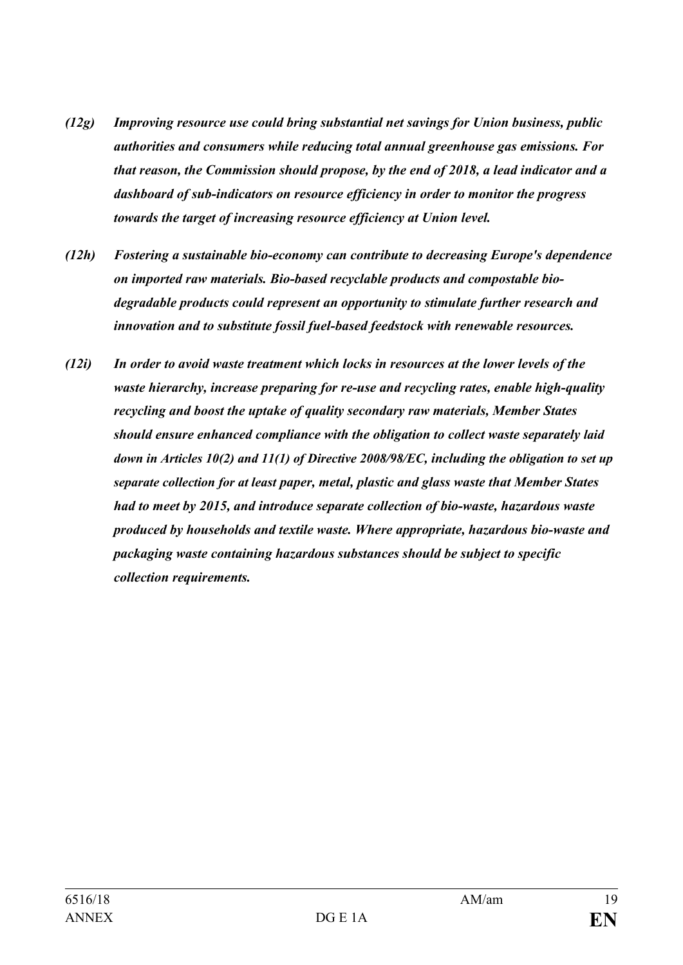- *(12g) Improving resource use could bring substantial net savings for Union business, public authorities and consumers while reducing total annual greenhouse gas emissions. For that reason, the Commission should propose, by the end of 2018, a lead indicator and a dashboard of sub-indicators on resource efficiency in order to monitor the progress towards the target of increasing resource efficiency at Union level.*
- *(12h) Fostering a sustainable bio-economy can contribute to decreasing Europe's dependence on imported raw materials. Bio-based recyclable products and compostable biodegradable products could represent an opportunity to stimulate further research and innovation and to substitute fossil fuel-based feedstock with renewable resources.*
- *(12i) In order to avoid waste treatment which locks in resources at the lower levels of the waste hierarchy, increase preparing for re-use and recycling rates, enable high-quality recycling and boost the uptake of quality secondary raw materials, Member States should ensure enhanced compliance with the obligation to collect waste separately laid down in Articles 10(2) and 11(1) of Directive 2008/98/EC, including the obligation to set up separate collection for at least paper, metal, plastic and glass waste that Member States had to meet by 2015, and introduce separate collection of bio-waste, hazardous waste produced by households and textile waste. Where appropriate, hazardous bio-waste and packaging waste containing hazardous substances should be subject to specific collection requirements.*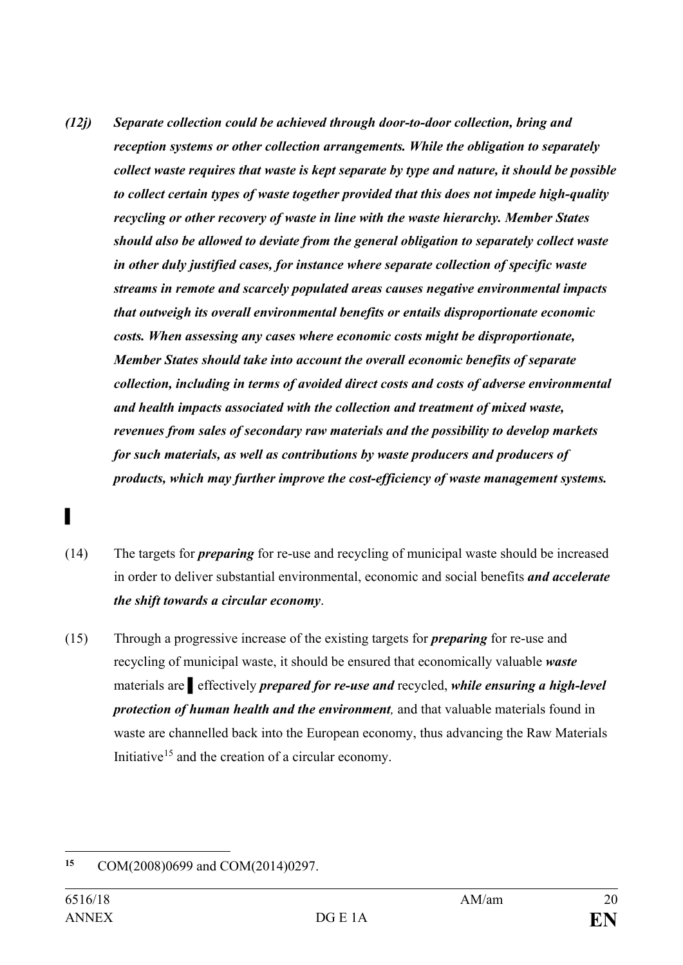- *(12j) Separate collection could be achieved through door-to-door collection, bring and reception systems or other collection arrangements. While the obligation to separately collect waste requires that waste is kept separate by type and nature, it should be possible to collect certain types of waste together provided that this does not impede high-quality recycling or other recovery of waste in line with the waste hierarchy. Member States should also be allowed to deviate from the general obligation to separately collect waste in other duly justified cases, for instance where separate collection of specific waste streams in remote and scarcely populated areas causes negative environmental impacts that outweigh its overall environmental benefits or entails disproportionate economic costs. When assessing any cases where economic costs might be disproportionate, Member States should take into account the overall economic benefits of separate collection, including in terms of avoided direct costs and costs of adverse environmental and health impacts associated with the collection and treatment of mixed waste, revenues from sales of secondary raw materials and the possibility to develop markets for such materials, as well as contributions by waste producers and producers of products, which may further improve the cost-efficiency of waste management systems.*
- **▌**
- (14) The targets for *preparing* for re-use and recycling of municipal waste should be increased in order to deliver substantial environmental, economic and social benefits *and accelerate the shift towards a circular economy*.
- (15) Through a progressive increase of the existing targets for *preparing* for re-use and recycling of municipal waste, it should be ensured that economically valuable *waste* materials are **▌**effectively *prepared for re-use and* recycled, *while ensuring a high-level protection of human health and the environment,* and that valuable materials found in waste are channelled back into the European economy, thus advancing the Raw Materials Initiative<sup>[15](#page-19-0)</sup> and the creation of a circular economy.

<span id="page-19-0"></span><sup>15</sup> **<sup>15</sup>** COM(2008)0699 and COM(2014)0297.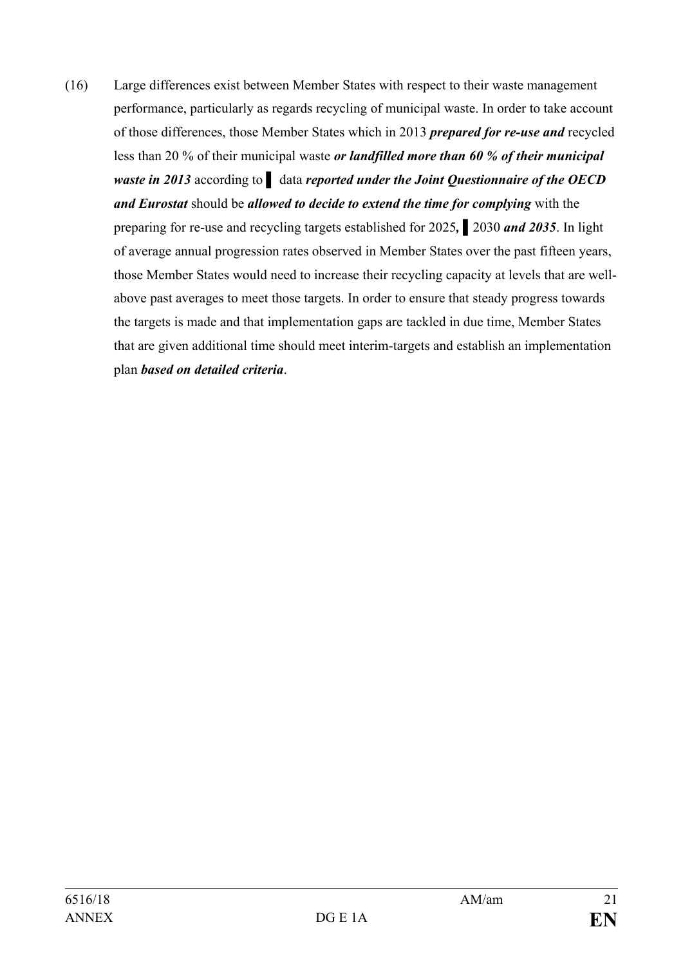(16) Large differences exist between Member States with respect to their waste management performance, particularly as regards recycling of municipal waste. In order to take account of those differences, those Member States which in 2013 *prepared for re-use and* recycled less than 20 % of their municipal waste *or landfilled more than 60 % of their municipal waste in 2013* according to **▌** data *reported under the Joint Questionnaire of the OECD and Eurostat* should be *allowed to decide to extend the time for complying* with the preparing for re-use and recycling targets established for 2025*,* **▌**2030 *and 2035*. In light of average annual progression rates observed in Member States over the past fifteen years, those Member States would need to increase their recycling capacity at levels that are wellabove past averages to meet those targets. In order to ensure that steady progress towards the targets is made and that implementation gaps are tackled in due time, Member States that are given additional time should meet interim-targets and establish an implementation plan *based on detailed criteria*.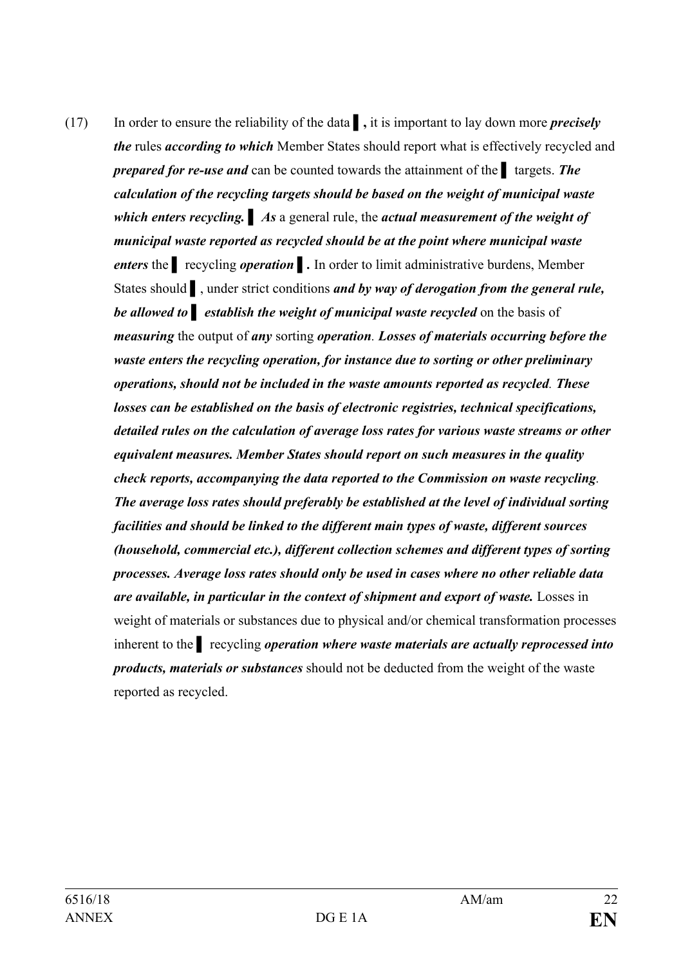(17) In order to ensure the reliability of the data **▌,** it is important to lay down more *precisely the* rules *according to which* Member States should report what is effectively recycled and *prepared for re-use and* can be counted towards the attainment of the **▌** targets. *The calculation of the recycling targets should be based on the weight of municipal waste which enters recycling.* **▌** *As* a general rule, the *actual measurement of the weight of municipal waste reported as recycled should be at the point where municipal waste enters* the **▌** recycling *operation* **▌***.* In order to limit administrative burdens, Member States should **b**, under strict conditions *and by way of derogation from the general rule, be allowed to* **a** *establish the weight of municipal waste recycled* on the basis of *measuring* the output of *any* sorting *operation. Losses of materials occurring before the waste enters the recycling operation, for instance due to sorting or other preliminary operations, should not be included in the waste amounts reported as recycled. These losses can be established on the basis of electronic registries, technical specifications, detailed rules on the calculation of average loss rates for various waste streams or other equivalent measures. Member States should report on such measures in the quality check reports, accompanying the data reported to the Commission on waste recycling. The average loss rates should preferably be established at the level of individual sorting facilities and should be linked to the different main types of waste, different sources (household, commercial etc.), different collection schemes and different types of sorting processes. Average loss rates should only be used in cases where no other reliable data are available, in particular in the context of shipment and export of waste.* Losses in weight of materials or substances due to physical and/or chemical transformation processes inherent to the **▌** recycling *operation where waste materials are actually reprocessed into products, materials or substances* should not be deducted from the weight of the waste reported as recycled.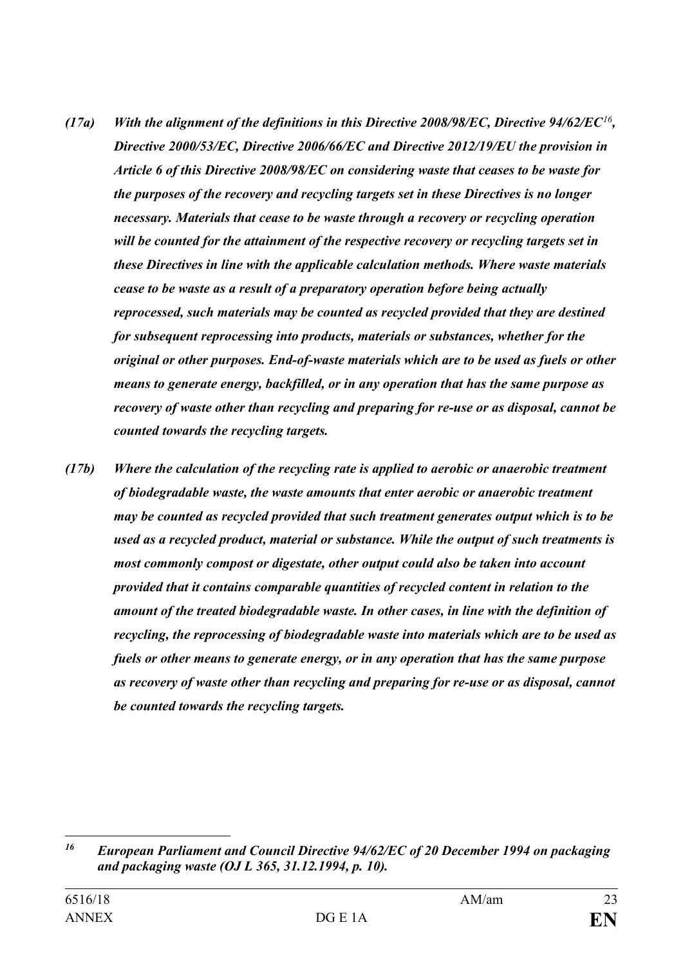- *(17a) With the alignment of the definitions in this Directive 2008/98/EC, Directive 94/62/EC[16](#page-22-0), Directive 2000/53/EC, Directive 2006/66/EC and Directive 2012/19/EU the provision in Article 6 of this Directive 2008/98/EC on considering waste that ceases to be waste for the purposes of the recovery and recycling targets set in these Directives is no longer necessary. Materials that cease to be waste through a recovery or recycling operation will be counted for the attainment of the respective recovery or recycling targets set in these Directives in line with the applicable calculation methods. Where waste materials cease to be waste as a result of a preparatory operation before being actually reprocessed, such materials may be counted as recycled provided that they are destined for subsequent reprocessing into products, materials or substances, whether for the original or other purposes. End-of-waste materials which are to be used as fuels or other means to generate energy, backfilled, or in any operation that has the same purpose as recovery of waste other than recycling and preparing for re-use or as disposal, cannot be counted towards the recycling targets.*
- *(17b) Where the calculation of the recycling rate is applied to aerobic or anaerobic treatment of biodegradable waste, the waste amounts that enter aerobic or anaerobic treatment may be counted as recycled provided that such treatment generates output which is to be used as a recycled product, material or substance. While the output of such treatments is most commonly compost or digestate, other output could also be taken into account provided that it contains comparable quantities of recycled content in relation to the amount of the treated biodegradable waste. In other cases, in line with the definition of recycling, the reprocessing of biodegradable waste into materials which are to be used as fuels or other means to generate energy, or in any operation that has the same purpose as recovery of waste other than recycling and preparing for re-use or as disposal, cannot be counted towards the recycling targets.*

<span id="page-22-0"></span> $16$ *<sup>16</sup> European Parliament and Council Directive 94/62/EC of 20 December 1994 on packaging and packaging waste (OJ L 365, 31.12.1994, p. 10).*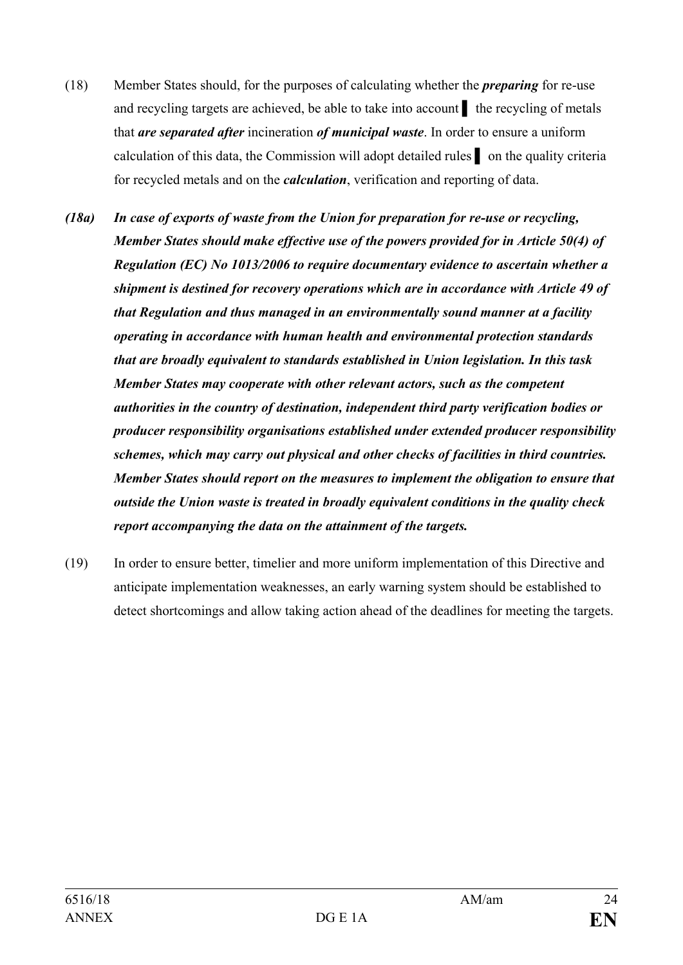- (18) Member States should, for the purposes of calculating whether the *preparing* for re-use and recycling targets are achieved, be able to take into account **▌** the recycling of metals that *are separated after* incineration *of municipal waste*. In order to ensure a uniform calculation of this data, the Commission will adopt detailed rules **▌** on the quality criteria for recycled metals and on the *calculation*, verification and reporting of data.
- *(18a) In case of exports of waste from the Union for preparation for re-use or recycling, Member States should make effective use of the powers provided for in Article 50(4) of Regulation (EC) No 1013/2006 to require documentary evidence to ascertain whether a shipment is destined for recovery operations which are in accordance with Article 49 of that Regulation and thus managed in an environmentally sound manner at a facility operating in accordance with human health and environmental protection standards that are broadly equivalent to standards established in Union legislation. In this task Member States may cooperate with other relevant actors, such as the competent authorities in the country of destination, independent third party verification bodies or producer responsibility organisations established under extended producer responsibility schemes, which may carry out physical and other checks of facilities in third countries. Member States should report on the measures to implement the obligation to ensure that outside the Union waste is treated in broadly equivalent conditions in the quality check report accompanying the data on the attainment of the targets.*
- (19) In order to ensure better, timelier and more uniform implementation of this Directive and anticipate implementation weaknesses, an early warning system should be established to detect shortcomings and allow taking action ahead of the deadlines for meeting the targets.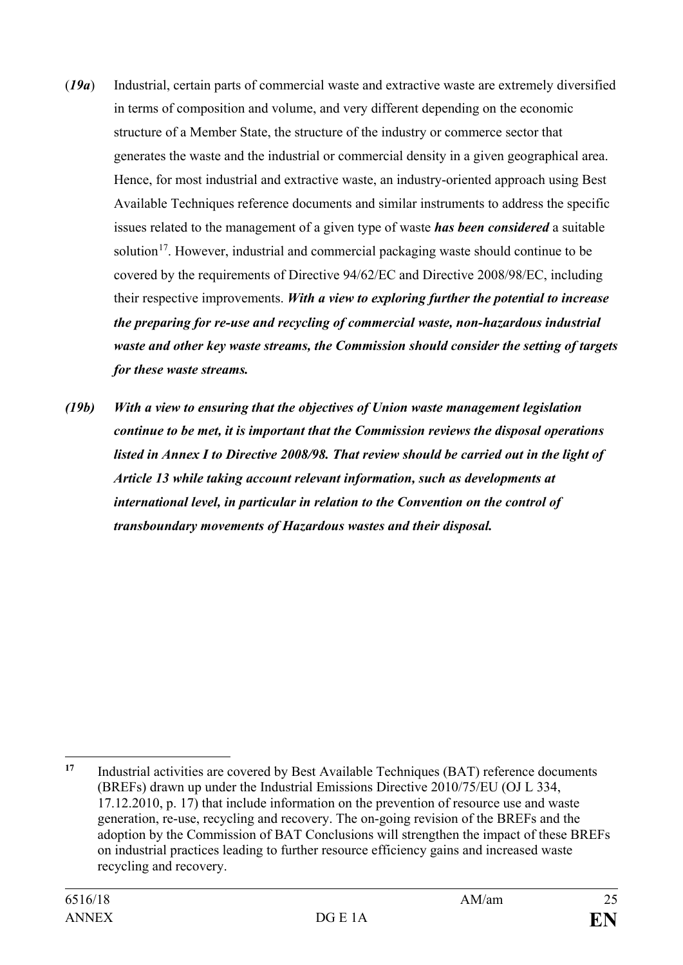- (*19a*) Industrial, certain parts of commercial waste and extractive waste are extremely diversified in terms of composition and volume, and very different depending on the economic structure of a Member State, the structure of the industry or commerce sector that generates the waste and the industrial or commercial density in a given geographical area. Hence, for most industrial and extractive waste, an industry-oriented approach using Best Available Techniques reference documents and similar instruments to address the specific issues related to the management of a given type of waste *has been considered* a suitable solution<sup>[17](#page-24-0)</sup>. However, industrial and commercial packaging waste should continue to be covered by the requirements of Directive 94/62/EC and Directive 2008/98/EC, including their respective improvements. *With a view to exploring further the potential to increase the preparing for re-use and recycling of commercial waste, non-hazardous industrial waste and other key waste streams, the Commission should consider the setting of targets for these waste streams.*
- *(19b) With a view to ensuring that the objectives of Union waste management legislation continue to be met, it is important that the Commission reviews the disposal operations listed in Annex I to Directive 2008/98. That review should be carried out in the light of Article 13 while taking account relevant information, such as developments at international level, in particular in relation to the Convention on the control of transboundary movements of Hazardous wastes and their disposal.*

<span id="page-24-0"></span> $\overline{a}$ **<sup>17</sup>** Industrial activities are covered by Best Available Techniques (BAT) reference documents (BREFs) drawn up under the Industrial Emissions Directive 2010/75/EU (OJ L 334, 17.12.2010, p. 17) that include information on the prevention of resource use and waste generation, re-use, recycling and recovery. The on-going revision of the BREFs and the adoption by the Commission of BAT Conclusions will strengthen the impact of these BREFs on industrial practices leading to further resource efficiency gains and increased waste recycling and recovery.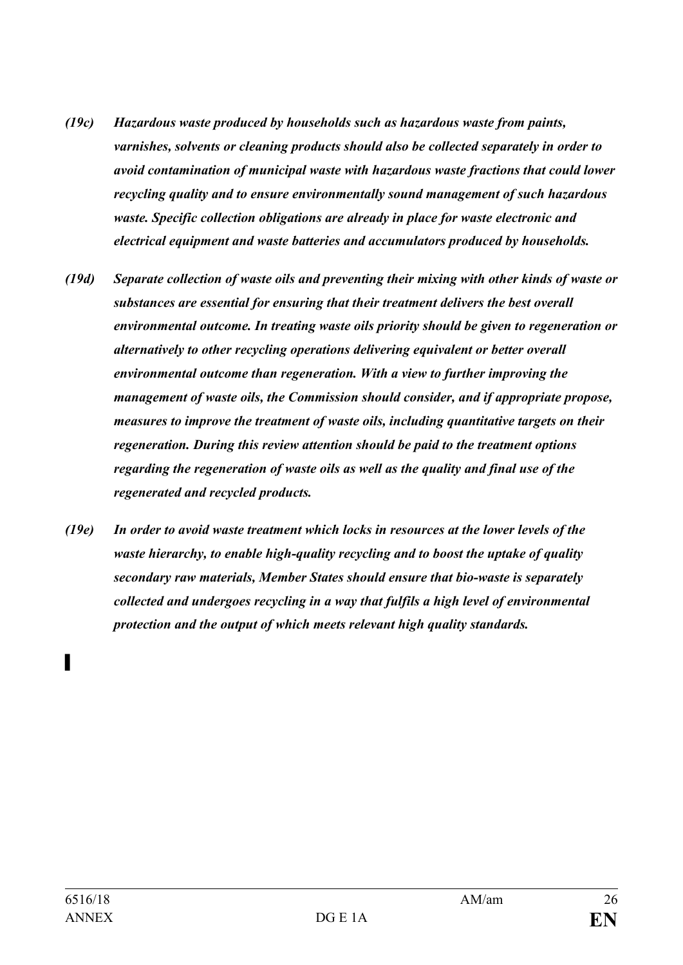- *(19c) Hazardous waste produced by households such as hazardous waste from paints, varnishes, solvents or cleaning products should also be collected separately in order to avoid contamination of municipal waste with hazardous waste fractions that could lower recycling quality and to ensure environmentally sound management of such hazardous waste. Specific collection obligations are already in place for waste electronic and electrical equipment and waste batteries and accumulators produced by households.*
- *(19d) Separate collection of waste oils and preventing their mixing with other kinds of waste or substances are essential for ensuring that their treatment delivers the best overall environmental outcome. In treating waste oils priority should be given to regeneration or alternatively to other recycling operations delivering equivalent or better overall environmental outcome than regeneration. With a view to further improving the management of waste oils, the Commission should consider, and if appropriate propose, measures to improve the treatment of waste oils, including quantitative targets on their regeneration. During this review attention should be paid to the treatment options regarding the regeneration of waste oils as well as the quality and final use of the regenerated and recycled products.*
- *(19e) In order to avoid waste treatment which locks in resources at the lower levels of the waste hierarchy, to enable high-quality recycling and to boost the uptake of quality secondary raw materials, Member States should ensure that bio-waste is separately collected and undergoes recycling in a way that fulfils a high level of environmental protection and the output of which meets relevant high quality standards.*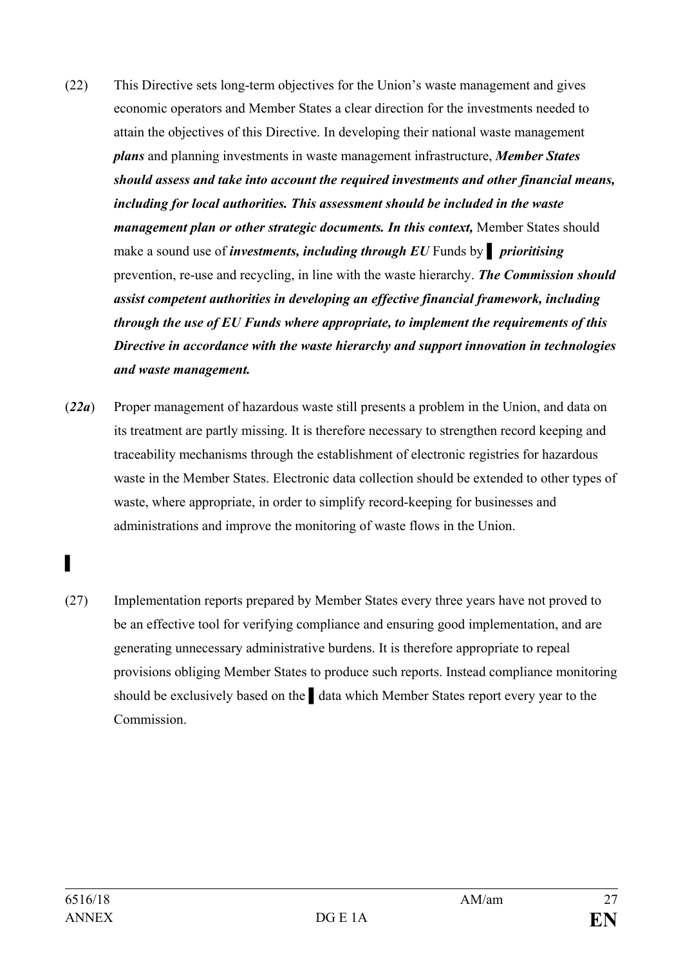- (22) This Directive sets long-term objectives for the Union's waste management and gives economic operators and Member States a clear direction for the investments needed to attain the objectives of this Directive. In developing their national waste management *plans* and planning investments in waste management infrastructure, *Member States should assess and take into account the required investments and other financial means, including for local authorities. This assessment should be included in the waste management plan or other strategic documents. In this context, Member States should* make a sound use of *investments, including through EU* Funds by **▌** *prioritising* prevention, re-use and recycling, in line with the waste hierarchy. *The Commission should assist competent authorities in developing an effective financial framework, including through the use of EU Funds where appropriate, to implement the requirements of this Directive in accordance with the waste hierarchy and support innovation in technologies and waste management.*
- (*22a*) Proper management of hazardous waste still presents a problem in the Union, and data on its treatment are partly missing. It is therefore necessary to strengthen record keeping and traceability mechanisms through the establishment of electronic registries for hazardous waste in the Member States. Electronic data collection should be extended to other types of waste, where appropriate, in order to simplify record-keeping for businesses and administrations and improve the monitoring of waste flows in the Union.

(27) Implementation reports prepared by Member States every three years have not proved to be an effective tool for verifying compliance and ensuring good implementation, and are generating unnecessary administrative burdens. It is therefore appropriate to repeal provisions obliging Member States to produce such reports. Instead compliance monitoring should be exclusively based on the **▌**data which Member States report every year to the Commission.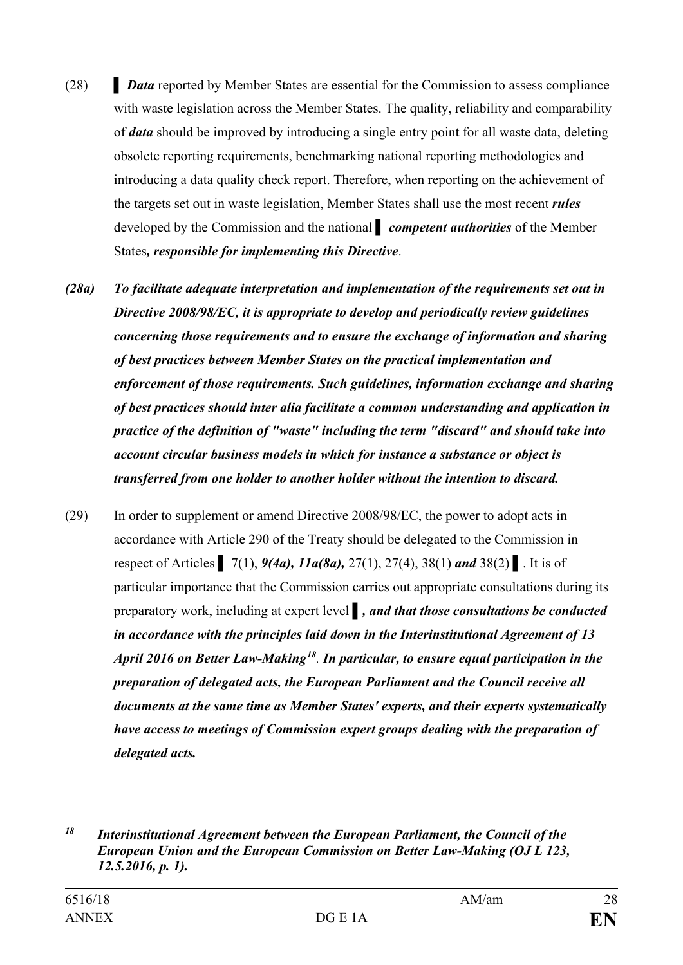- (28) **▌** *Data* reported by Member States are essential for the Commission to assess compliance with waste legislation across the Member States. The quality, reliability and comparability of *data* should be improved by introducing a single entry point for all waste data, deleting obsolete reporting requirements, benchmarking national reporting methodologies and introducing a data quality check report. Therefore, when reporting on the achievement of the targets set out in waste legislation, Member States shall use the most recent *rules* developed by the Commission and the national **▌** *competent authorities* of the Member States*, responsible for implementing this Directive*.
- *(28a) To facilitate adequate interpretation and implementation of the requirements set out in Directive 2008/98/EC, it is appropriate to develop and periodically review guidelines concerning those requirements and to ensure the exchange of information and sharing of best practices between Member States on the practical implementation and enforcement of those requirements. Such guidelines, information exchange and sharing of best practices should inter alia facilitate a common understanding and application in practice of the definition of "waste" including the term "discard" and should take into account circular business models in which for instance a substance or object is transferred from one holder to another holder without the intention to discard.*
- (29) In order to supplement or amend Directive 2008/98/EC, the power to adopt acts in accordance with Article 290 of the Treaty should be delegated to the Commission in respect of Articles **▌** 7(1), *9(4a), 11a(8a),* 27(1), 27(4), 38(1) *and* 38(2) **▌**. It is of particular importance that the Commission carries out appropriate consultations during its preparatory work, including at expert level *▌, and that those consultations be conducted in accordance with the principles laid down in the Interinstitutional Agreement of 13 April 2016 on Better Law-Making[18](#page-27-0). In particular, to ensure equal participation in the preparation of delegated acts, the European Parliament and the Council receive all documents at the same time as Member States' experts, and their experts systematically have access to meetings of Commission expert groups dealing with the preparation of delegated acts.*

<span id="page-27-0"></span> $\overline{a}$ *<sup>18</sup> Interinstitutional Agreement between the European Parliament, the Council of the European Union and the European Commission on Better Law-Making (OJ L 123, 12.5.2016, p. 1).*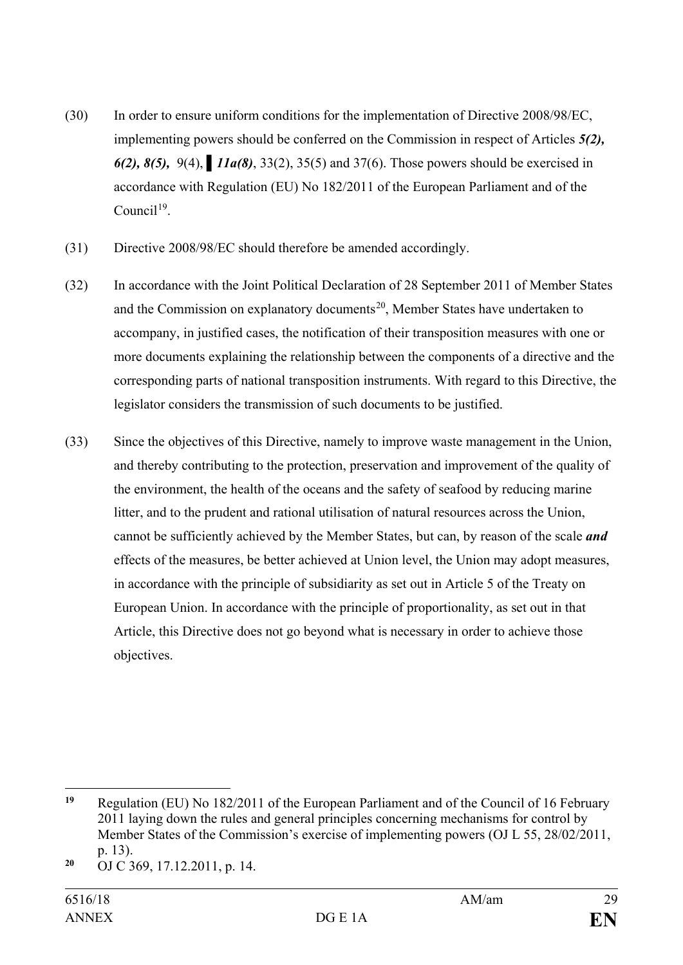- (30) In order to ensure uniform conditions for the implementation of Directive 2008/98/EC, implementing powers should be conferred on the Commission in respect of Articles *5(2), 6(2), 8(5),* 9(4), **▌***11a(8)*, 33(2), 35(5) and 37(6). Those powers should be exercised in accordance with Regulation (EU) No 182/2011 of the European Parliament and of the  $C$ ouncil<sup>19</sup>
- (31) Directive 2008/98/EC should therefore be amended accordingly.
- (32) In accordance with the Joint Political Declaration of 28 September 2011 of Member States and the Commission on explanatory documents<sup>[20](#page-28-1)</sup>, Member States have undertaken to accompany, in justified cases, the notification of their transposition measures with one or more documents explaining the relationship between the components of a directive and the corresponding parts of national transposition instruments. With regard to this Directive, the legislator considers the transmission of such documents to be justified.
- (33) Since the objectives of this Directive, namely to improve waste management in the Union, and thereby contributing to the protection, preservation and improvement of the quality of the environment, the health of the oceans and the safety of seafood by reducing marine litter, and to the prudent and rational utilisation of natural resources across the Union, cannot be sufficiently achieved by the Member States, but can, by reason of the scale *and* effects of the measures, be better achieved at Union level, the Union may adopt measures, in accordance with the principle of subsidiarity as set out in Article 5 of the Treaty on European Union. In accordance with the principle of proportionality, as set out in that Article, this Directive does not go beyond what is necessary in order to achieve those objectives.

<span id="page-28-0"></span><sup>10</sup> **<sup>19</sup>** Regulation (EU) No 182/2011 of the European Parliament and of the Council of 16 February 2011 laying down the rules and general principles concerning mechanisms for control by Member States of the Commission's exercise of implementing powers (OJ L 55, 28/02/2011, p. 13).

<span id="page-28-1"></span>**<sup>20</sup>** OJ C 369, 17.12.2011, p. 14.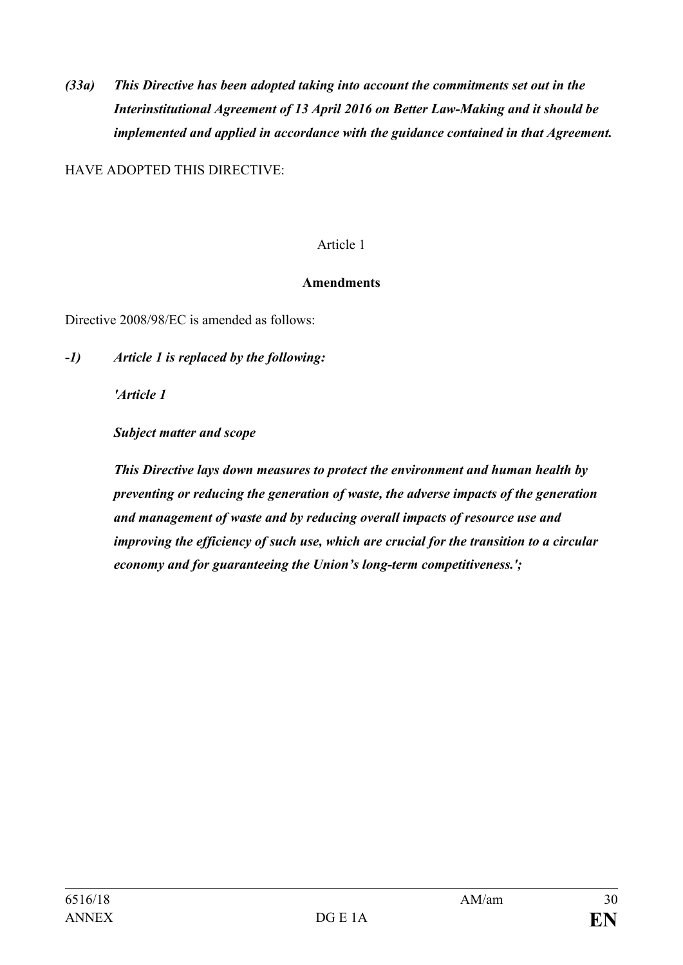*(33a) This Directive has been adopted taking into account the commitments set out in the Interinstitutional Agreement of 13 April 2016 on Better Law-Making and it should be implemented and applied in accordance with the guidance contained in that Agreement.*

HAVE ADOPTED THIS DIRECTIVE:

#### Article 1

#### **Amendments**

Directive 2008/98/EC is amended as follows:

**-***1) Article 1 is replaced by the following:*

*'Article 1*

*Subject matter and scope*

*This Directive lays down measures to protect the environment and human health by preventing or reducing the generation of waste, the adverse impacts of the generation and management of waste and by reducing overall impacts of resource use and improving the efficiency of such use, which are crucial for the transition to a circular economy and for guaranteeing the Union's long-term competitiveness.';*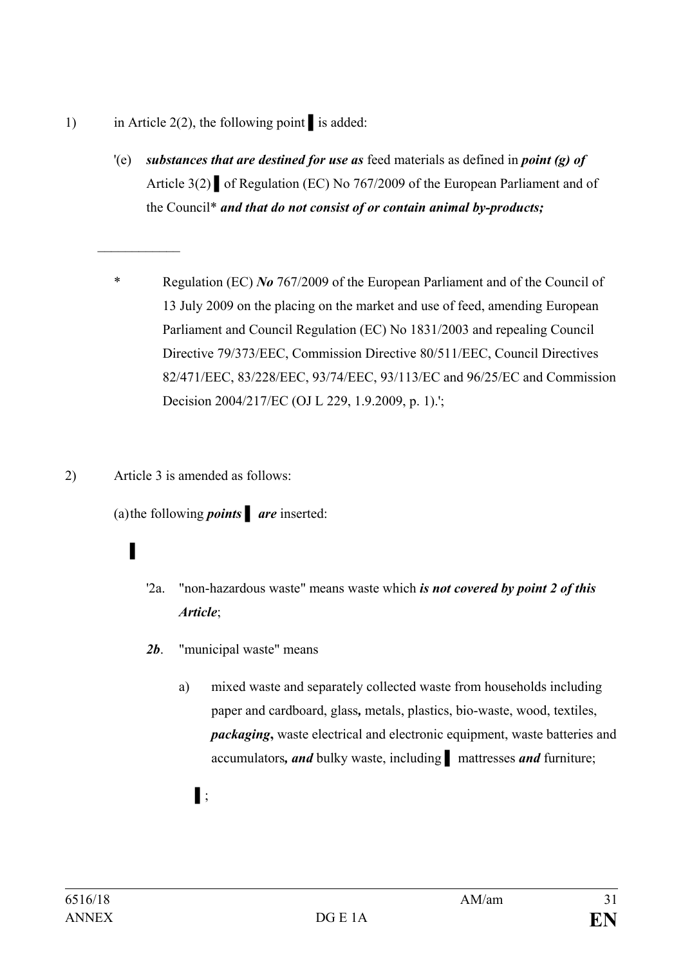- 1) in Article 2(2), the following point *▌*is added:
	- '(e) *substances that are destined for use as* feed materials as defined in *point (g) of*  Article 3(2) *▌*of Regulation (EC) No 767/2009 of the European Parliament and of the Council\* *and that do not consist of or contain animal by-products;*
	- \* Regulation (EC) *No* 767/2009 of the European Parliament and of the Council of 13 July 2009 on the placing on the market and use of feed, amending European Parliament and Council Regulation (EC) No 1831/2003 and repealing Council Directive 79/373/EEC, Commission Directive 80/511/EEC, Council Directives 82/471/EEC, 83/228/EEC, 93/74/EEC, 93/113/EC and 96/25/EC and Commission Decision 2004/217/EC (OJ L 229, 1.9.2009, p. 1).';
- 2) Article 3 is amended as follows:

(a)the following *points* **▌** *are* inserted:

# **▌**

*\_\_\_\_\_\_\_\_\_\_\_\_*

- '2a. "non-hazardous waste" means waste which *is not covered by point 2 of this Article*;
- *2b*. "municipal waste" means
	- a) mixed waste and separately collected waste from households including paper and cardboard, glass*,* metals, plastics, bio-waste, wood, textiles, *packaging*, waste electrical and electronic equipment, waste batteries and accumulators*, and* bulky waste, including **▌** mattresses *and* furniture;
		- **▌**;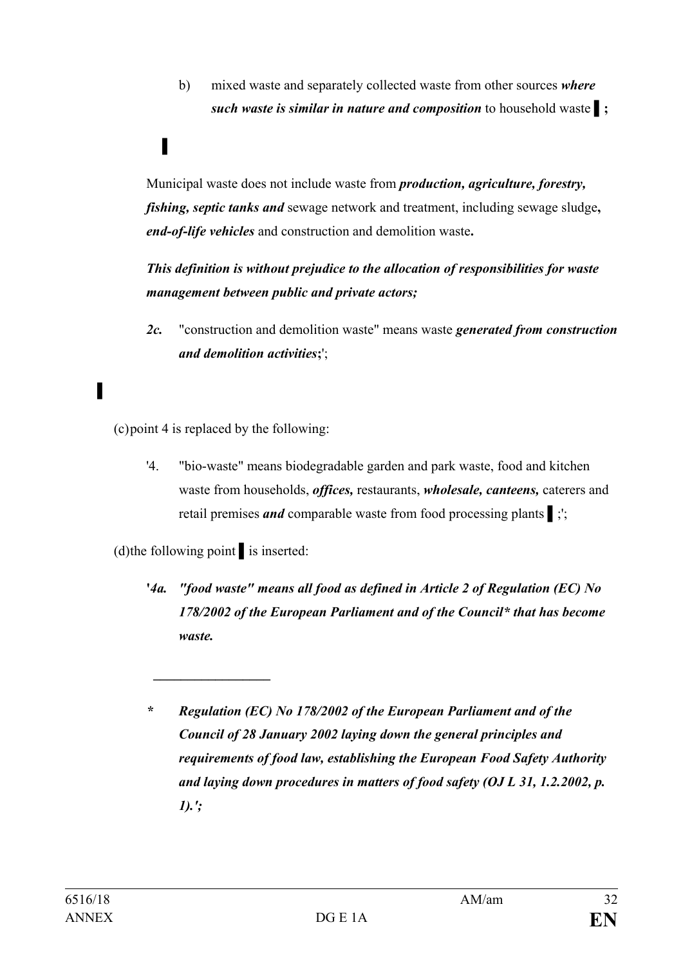b) mixed waste and separately collected waste from other sources *where such waste is similar in nature and composition* to household waste **▌;**

### Municipal waste does not include waste from *production, agriculture, forestry, fishing, septic tanks and* sewage network and treatment, including sewage sludge**,**  *end-of-life vehicles* and construction and demolition waste**.**

*This definition is without prejudice to the allocation of responsibilities for waste management between public and private actors;* 

*2c.* "construction and demolition waste" means waste *generated from construction and demolition activities***;**';

(c)point 4 is replaced by the following:

**▌**

'4. "bio-waste" means biodegradable garden and park waste, food and kitchen waste from households, *offices,* restaurants, *wholesale, canteens,* caterers and retail premises *and* comparable waste from food processing plants **▌**;';

(d)the following point **▌**is inserted:

*\_\_\_\_\_\_\_\_\_\_\_\_\_\_\_\_\_*

**'***4a. "food waste" means all food as defined in Article 2 of Regulation (EC) No 178/2002 of the European Parliament and of the Council\* that has become waste.*

**▌**

*<sup>\*</sup> Regulation (EC) No 178/2002 of the European Parliament and of the Council of 28 January 2002 laying down the general principles and requirements of food law, establishing the European Food Safety Authority and laying down procedures in matters of food safety (OJ L 31, 1.2.2002, p. 1).';*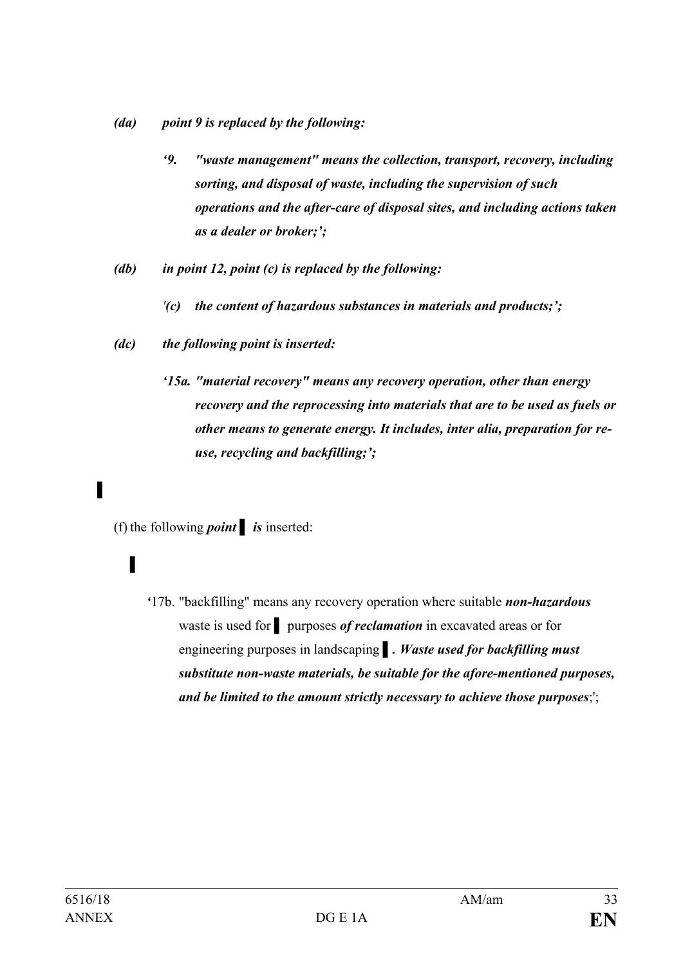- *(da) point 9 is replaced by the following:*
	- *'9. "waste management" means the collection, transport, recovery, including sorting, and disposal of waste, including the supervision of such operations and the after-care of disposal sites, and including actions taken as a dealer or broker;';*
- *(db) in point 12, point (c) is replaced by the following:*
	- *'(c) the content of hazardous substances in materials and products;';*
- *(dc) the following point is inserted:*
	- *'15a. "material recovery" means any recovery operation, other than energy recovery and the reprocessing into materials that are to be used as fuels or other means to generate energy. It includes, inter alia, preparation for reuse, recycling and backfilling;';*

(f) the following *point*  $\boldsymbol{i}$  *is* inserted:

## **▌**

*'*17b. "backfilling" means any recovery operation where suitable *non-hazardous* waste is used for **▌** purposes *of reclamation* in excavated areas or for engineering purposes in landscaping *▌. Waste used for backfilling must substitute non-waste materials, be suitable for the afore-mentioned purposes, and be limited to the amount strictly necessary to achieve those purposes*;';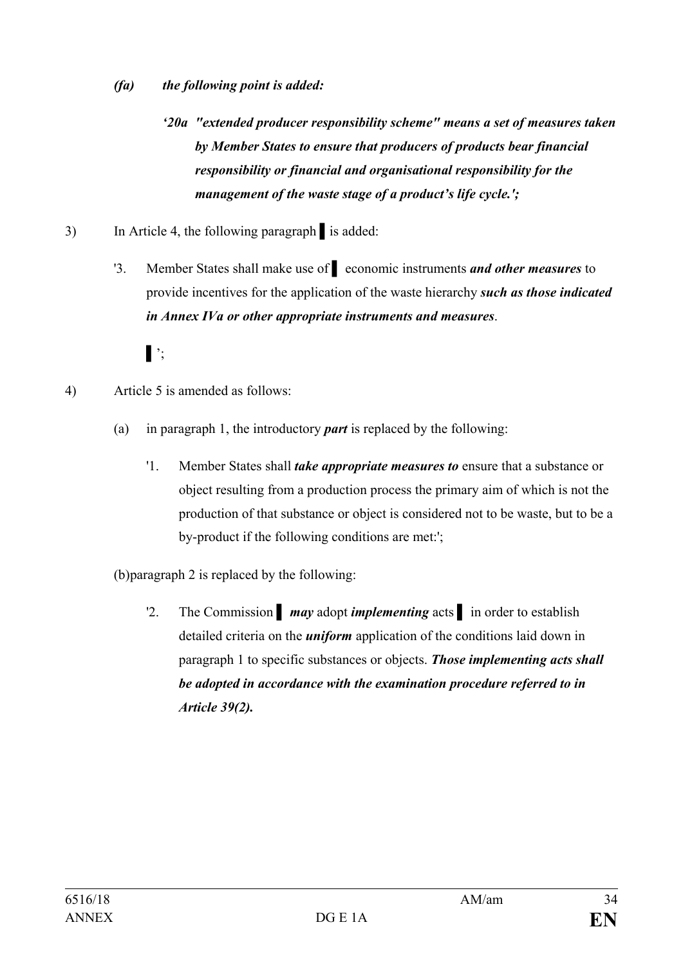- *(fa) the following point is added:* 
	- *'20a "extended producer responsibility scheme" means a set of measures taken by Member States to ensure that producers of products bear financial responsibility or financial and organisational responsibility for the management of the waste stage of a product's life cycle.';*
- 3) In Article 4, the following paragraph **▌**is added:
	- '3. Member States shall make use of **▌** economic instruments *and other measures* to provide incentives for the application of the waste hierarchy *such as those indicated in Annex IVa or other appropriate instruments and measures*.
		- **▌**';
- 4) Article 5 is amended as follows:
	- (a) in paragraph 1, the introductory *part* is replaced by the following:
		- '1. Member States shall *take appropriate measures to* ensure that a substance or object resulting from a production process the primary aim of which is not the production of that substance or object is considered not to be waste, but to be a by-product if the following conditions are met:';
	- (b)paragraph 2 is replaced by the following:
		- '2. The Commission **▌** *may* adopt *implementing* acts **▌** in order to establish detailed criteria on the *uniform* application of the conditions laid down in paragraph 1 to specific substances or objects. *Those implementing acts shall be adopted in accordance with the examination procedure referred to in Article 39(2).*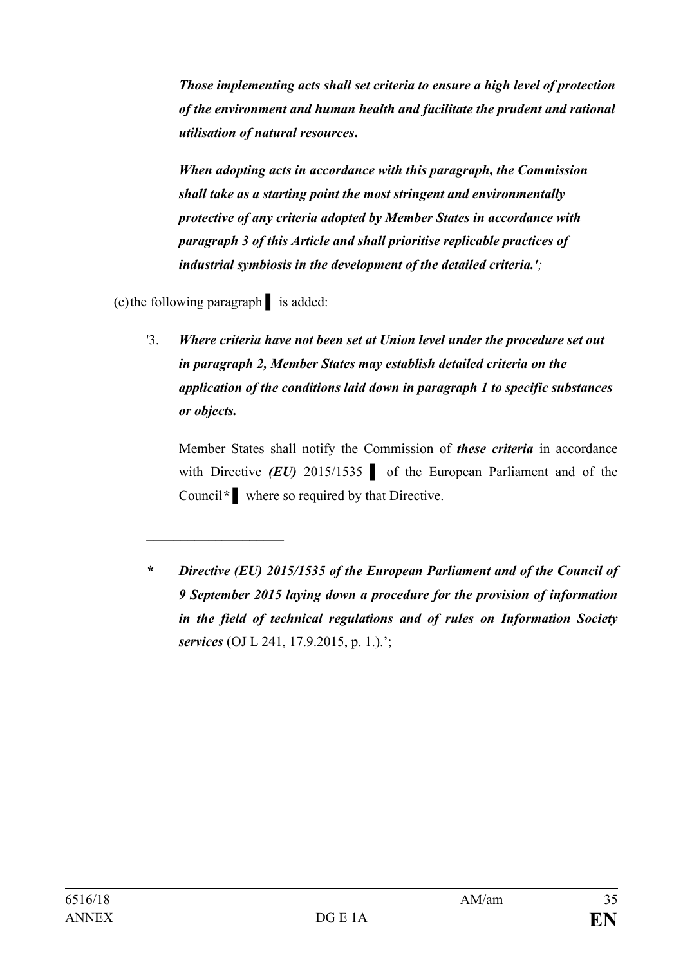*Those implementing acts shall set criteria to ensure a high level of protection of the environment and human health and facilitate the prudent and rational utilisation of natural resources***.**

*When adopting acts in accordance with this paragraph, the Commission shall take as a starting point the most stringent and environmentally protective of any criteria adopted by Member States in accordance with paragraph 3 of this Article and shall prioritise replicable practices of industrial symbiosis in the development of the detailed criteria.';*

(c)the following paragraph **▌** is added:

 $\overline{\phantom{a}}$ 

'3. *Where criteria have not been set at Union level under the procedure set out in paragraph 2, Member States may establish detailed criteria on the application of the conditions laid down in paragraph 1 to specific substances or objects.* 

Member States shall notify the Commission of *these criteria* in accordance with Directive *(EU)* 2015/1535 **a** of the European Parliament and of the Council*\** **▌** where so required by that Directive.

*<sup>\*</sup> Directive (EU) 2015/1535 of the European Parliament and of the Council of 9 September 2015 laying down a procedure for the provision of information in the field of technical regulations and of rules on Information Society services* (OJ L 241, 17.9.2015, p. 1.).';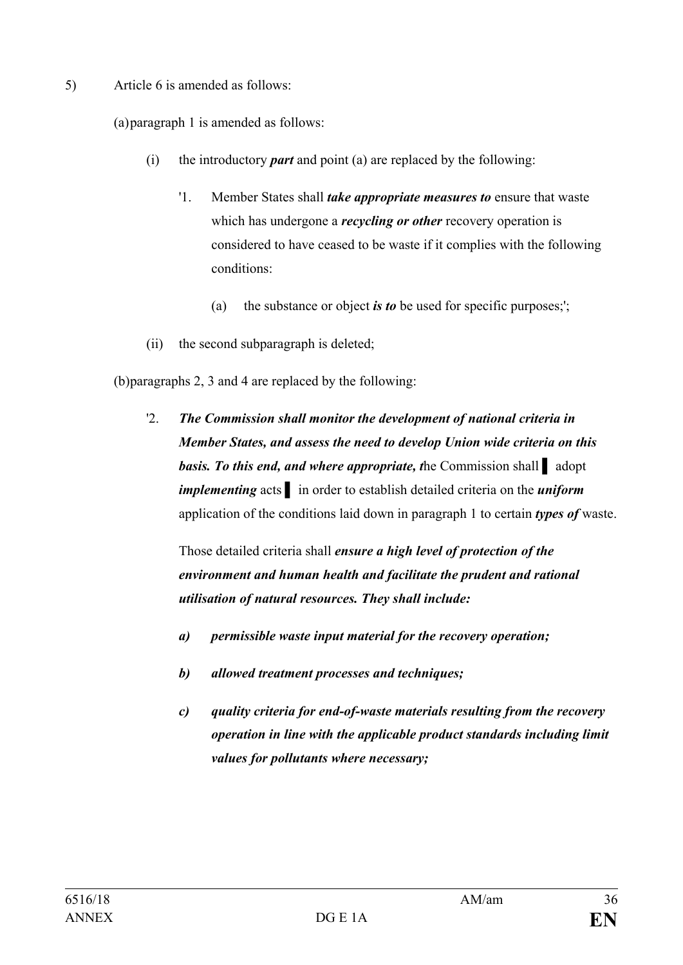5) Article 6 is amended as follows:

(a)paragraph 1 is amended as follows:

- (i) the introductory *part* and point (a) are replaced by the following:
	- '1. Member States shall *take appropriate measures to* ensure that waste which has undergone a *recycling or other* recovery operation is considered to have ceased to be waste if it complies with the following conditions:
		- (a) the substance or object *is to* be used for specific purposes;';
- (ii) the second subparagraph is deleted;

(b)paragraphs 2, 3 and 4 are replaced by the following:

'2. *The Commission shall monitor the development of national criteria in Member States, and assess the need to develop Union wide criteria on this basis. To this end, and where appropriate, t*he Commission shall **▌** adopt *implementing* acts **▌** in order to establish detailed criteria on the *uniform* application of the conditions laid down in paragraph 1 to certain *types of* waste.

Those detailed criteria shall *ensure a high level of protection of the environment and human health and facilitate the prudent and rational utilisation of natural resources. They shall include:*

- *a) permissible waste input material for the recovery operation;*
- *b) allowed treatment processes and techniques;*
- *c) quality criteria for end-of-waste materials resulting from the recovery operation in line with the applicable product standards including limit values for pollutants where necessary;*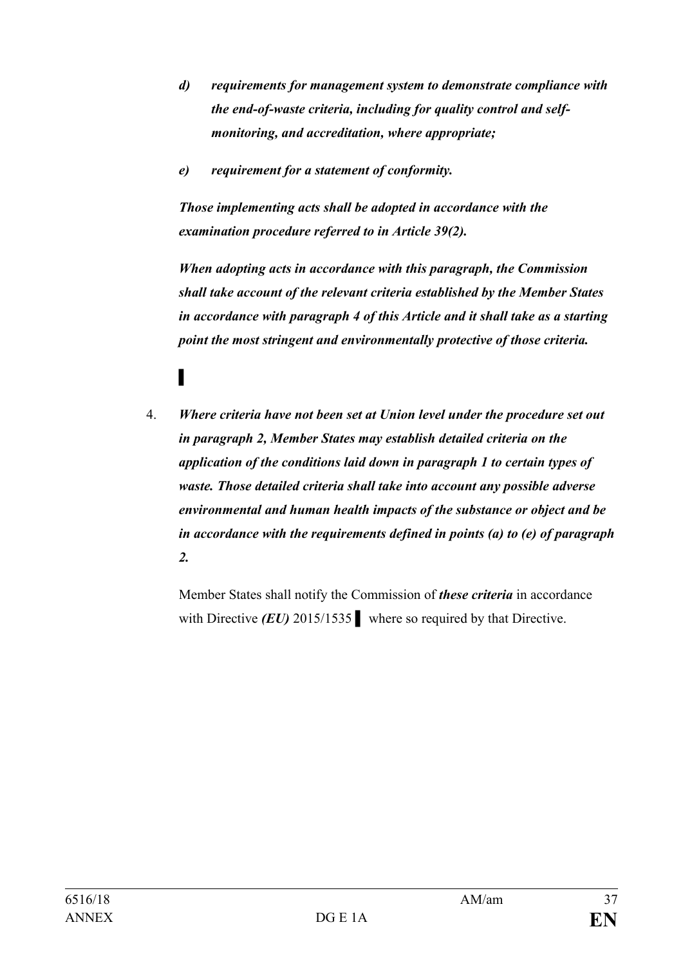- *d) requirements for management system to demonstrate compliance with the end-of-waste criteria, including for quality control and selfmonitoring, and accreditation, where appropriate;*
- *e) requirement for a statement of conformity.*

*Those implementing acts shall be adopted in accordance with the examination procedure referred to in Article 39(2).* 

*When adopting acts in accordance with this paragraph, the Commission shall take account of the relevant criteria established by the Member States in accordance with paragraph 4 of this Article and it shall take as a starting point the most stringent and environmentally protective of those criteria.*

- **▌**
- 4. *Where criteria have not been set at Union level under the procedure set out in paragraph 2, Member States may establish detailed criteria on the application of the conditions laid down in paragraph 1 to certain types of waste. Those detailed criteria shall take into account any possible adverse environmental and human health impacts of the substance or object and be in accordance with the requirements defined in points (a) to (e) of paragraph 2.*

Member States shall notify the Commission of *these criteria* in accordance with Directive *(EU)* 2015/1535 *▌* where so required by that Directive.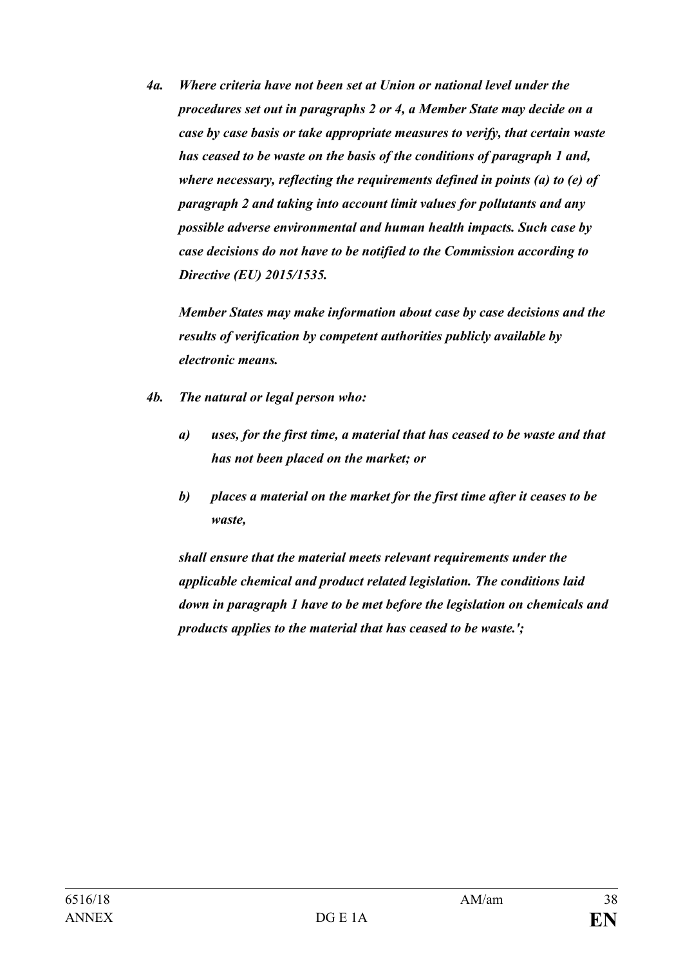*4a. Where criteria have not been set at Union or national level under the procedures set out in paragraphs 2 or 4, a Member State may decide on a case by case basis or take appropriate measures to verify, that certain waste has ceased to be waste on the basis of the conditions of paragraph 1 and, where necessary, reflecting the requirements defined in points (a) to (e) of paragraph 2 and taking into account limit values for pollutants and any possible adverse environmental and human health impacts. Such case by case decisions do not have to be notified to the Commission according to Directive (EU) 2015/1535.*

*Member States may make information about case by case decisions and the results of verification by competent authorities publicly available by electronic means.*

- *4b. The natural or legal person who:*
	- *a) uses, for the first time, a material that has ceased to be waste and that has not been placed on the market; or*
	- *b) places a material on the market for the first time after it ceases to be waste,*

*shall ensure that the material meets relevant requirements under the applicable chemical and product related legislation. The conditions laid down in paragraph 1 have to be met before the legislation on chemicals and products applies to the material that has ceased to be waste.';*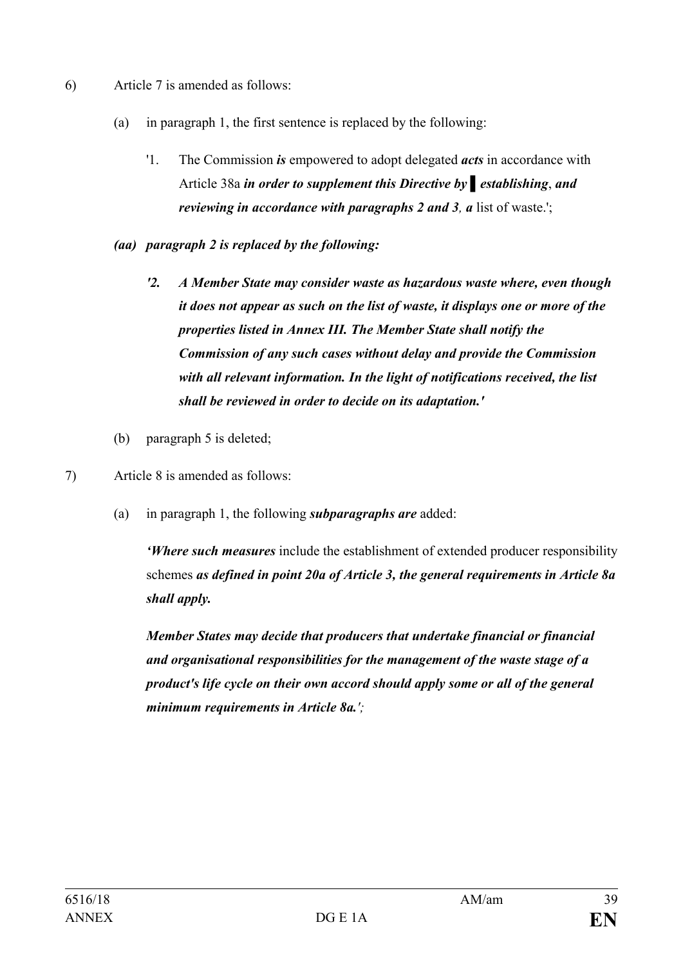- 6) Article 7 is amended as follows:
	- (a) in paragraph 1, the first sentence is replaced by the following:
		- '1. The Commission *is* empowered to adopt delegated *acts* in accordance with Article 38a *in order to supplement this Directive by ▌establishing*, *and reviewing in accordance with paragraphs 2 and 3, a list of waste.';*
	- *(aa) paragraph 2 is replaced by the following:*
		- *'2. A Member State may consider waste as hazardous waste where, even though it does not appear as such on the list of waste, it displays one or more of the properties listed in Annex III. The Member State shall notify the Commission of any such cases without delay and provide the Commission with all relevant information. In the light of notifications received, the list shall be reviewed in order to decide on its adaptation.'*
	- (b) paragraph 5 is deleted;
- 7) Article 8 is amended as follows:
	- (a) in paragraph 1, the following *subparagraphs are* added:

*'Where such measures* include the establishment of extended producer responsibility schemes *as defined in point 20a of Article 3, the general requirements in Article 8a shall apply.*

*Member States may decide that producers that undertake financial or financial and organisational responsibilities for the management of the waste stage of a product's life cycle on their own accord should apply some or all of the general minimum requirements in Article 8a.';*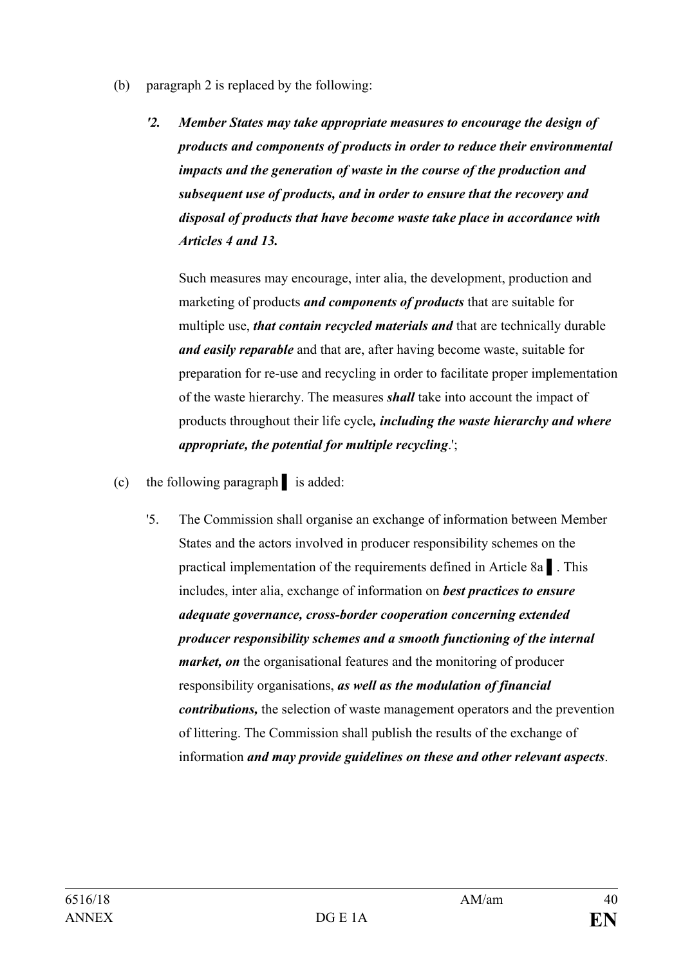- (b) paragraph 2 is replaced by the following:
	- *'2. Member States may take appropriate measures to encourage the design of products and components of products in order to reduce their environmental impacts and the generation of waste in the course of the production and subsequent use of products, and in order to ensure that the recovery and disposal of products that have become waste take place in accordance with Articles 4 and 13.*

Such measures may encourage, inter alia, the development, production and marketing of products *and components of products* that are suitable for multiple use, *that contain recycled materials and* that are technically durable *and easily reparable* and that are, after having become waste, suitable for preparation for re-use and recycling in order to facilitate proper implementation of the waste hierarchy. The measures *shall* take into account the impact of products throughout their life cycle*, including the waste hierarchy and where appropriate, the potential for multiple recycling*.';

- (c) the following paragraph **▌** is added:
	- '5. The Commission shall organise an exchange of information between Member States and the actors involved in producer responsibility schemes on the practical implementation of the requirements defined in Article 8a **▌**. This includes, inter alia, exchange of information on *best practices to ensure adequate governance, cross-border cooperation concerning extended producer responsibility schemes and a smooth functioning of the internal market, on* the organisational features and the monitoring of producer responsibility organisations, *as well as the modulation of financial contributions,* the selection of waste management operators and the prevention of littering. The Commission shall publish the results of the exchange of information *and may provide guidelines on these and other relevant aspects*.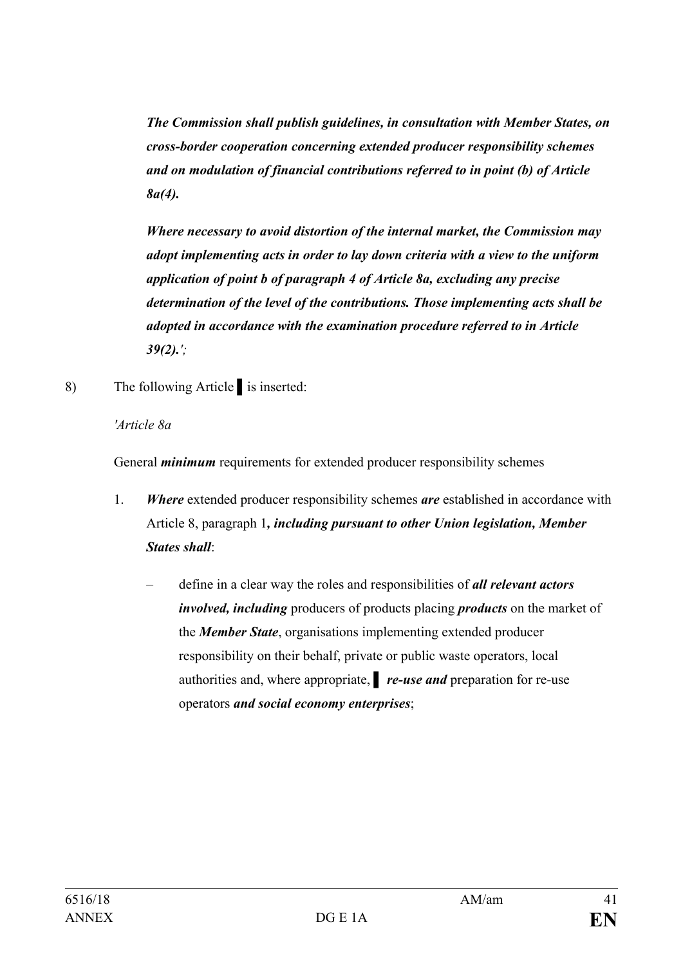*The Commission shall publish guidelines, in consultation with Member States, on cross-border cooperation concerning extended producer responsibility schemes and on modulation of financial contributions referred to in point (b) of Article 8a(4).*

*Where necessary to avoid distortion of the internal market, the Commission may adopt implementing acts in order to lay down criteria with a view to the uniform application of point b of paragraph 4 of Article 8a, excluding any precise determination of the level of the contributions. Those implementing acts shall be adopted in accordance with the examination procedure referred to in Article 39(2).';*

8) The following Article is inserted:

*'Article 8a*

General *minimum* requirements for extended producer responsibility schemes

- 1. *Where* extended producer responsibility schemes *are* established in accordance with Article 8, paragraph 1*, including pursuant to other Union legislation, Member States shall*:
	- define in a clear way the roles and responsibilities of *all relevant actors involved, including* producers of products placing *products* on the market of the *Member State*, organisations implementing extended producer responsibility on their behalf, private or public waste operators, local authorities and, where appropriate, **▌** *re-use and* preparation for re-use operators *and social economy enterprises*;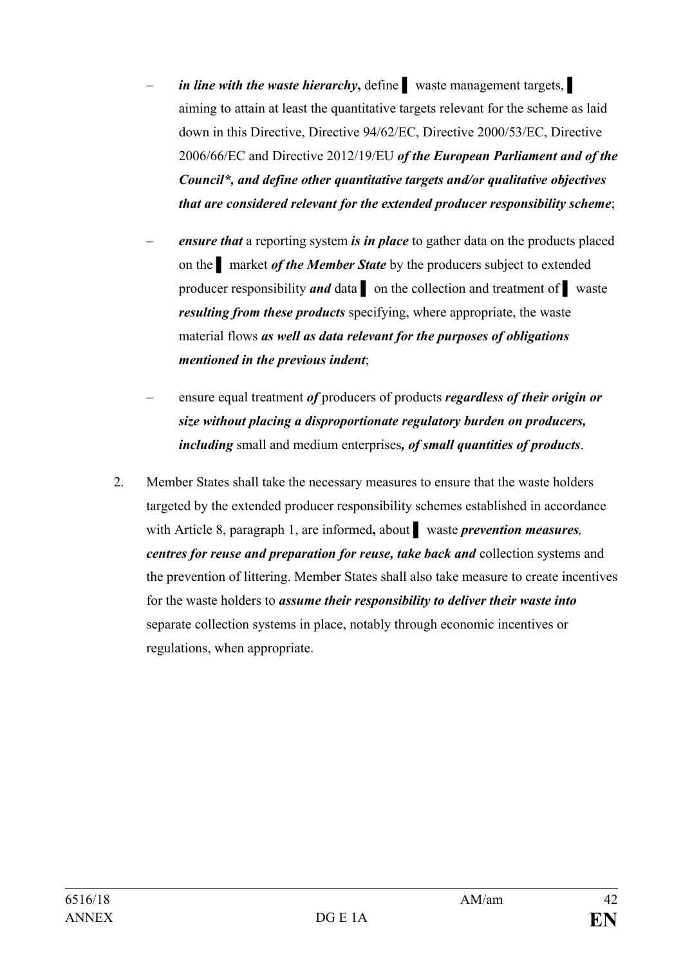- *in line with the waste hierarchy***,** define **▌** waste management targets, **▌** aiming to attain at least the quantitative targets relevant for the scheme as laid down in this Directive, Directive 94/62/EC, Directive 2000/53/EC, Directive 2006/66/EC and Directive 2012/19/EU *of the European Parliament and of the Council\*, and define other quantitative targets and/or qualitative objectives that are considered relevant for the extended producer responsibility scheme*;
- *ensure that* a reporting system *is in place* to gather data on the products placed on the **▌** market *of the Member State* by the producers subject to extended producer responsibility *and* data **▌** on the collection and treatment of **▌** waste *resulting from these products* specifying, where appropriate, the waste material flows *as well as data relevant for the purposes of obligations mentioned in the previous indent*;
- ensure equal treatment *of* producers of products *regardless of their origin or size without placing a disproportionate regulatory burden on producers, including* small and medium enterprises*, of small quantities of products*.
- 2. Member States shall take the necessary measures to ensure that the waste holders targeted by the extended producer responsibility schemes established in accordance with Article 8, paragraph 1, are informed**,** about **▌** waste *prevention measures, centres for reuse and preparation for reuse, take back and* collection systems and the prevention of littering. Member States shall also take measure to create incentives for the waste holders to *assume their responsibility to deliver their waste into* separate collection systems in place, notably through economic incentives or regulations, when appropriate.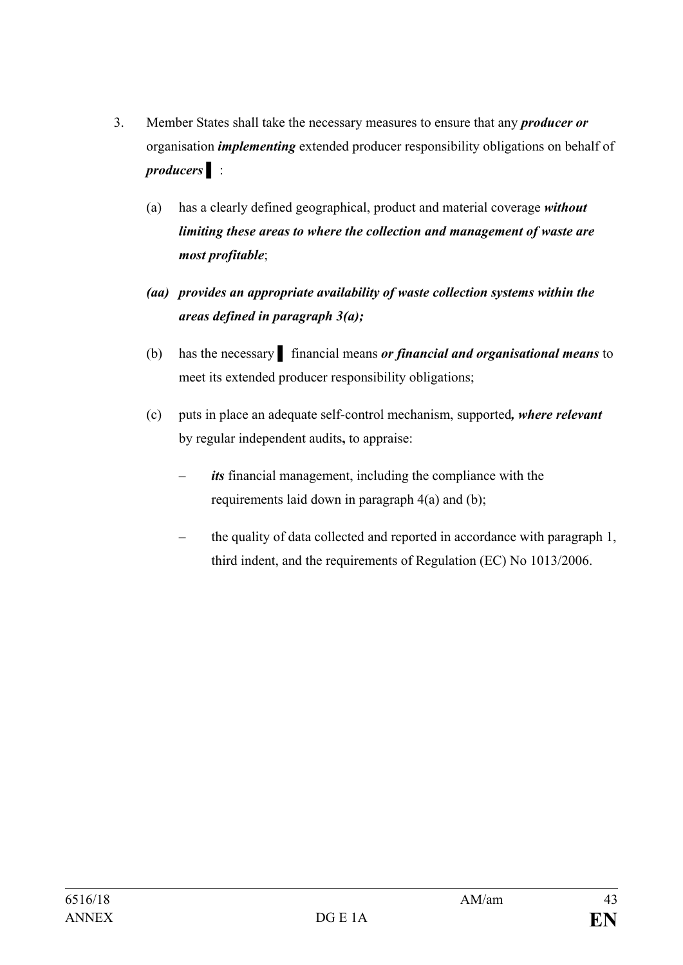- 3. Member States shall take the necessary measures to ensure that any *producer or* organisation *implementing* extended producer responsibility obligations on behalf of *producers* **▌** :
	- (a) has a clearly defined geographical, product and material coverage *without limiting these areas to where the collection and management of waste are most profitable*;
	- *(aa) provides an appropriate availability of waste collection systems within the areas defined in paragraph 3(a);*
	- (b) has the necessary **▌** financial means *or financial and organisational means* to meet its extended producer responsibility obligations;
	- (c) puts in place an adequate self-control mechanism, supported*, where relevant* by regular independent audits**,** to appraise:
		- its financial management, including the compliance with the requirements laid down in paragraph 4(a) and (b);
		- the quality of data collected and reported in accordance with paragraph 1, third indent, and the requirements of Regulation (EC) No 1013/2006.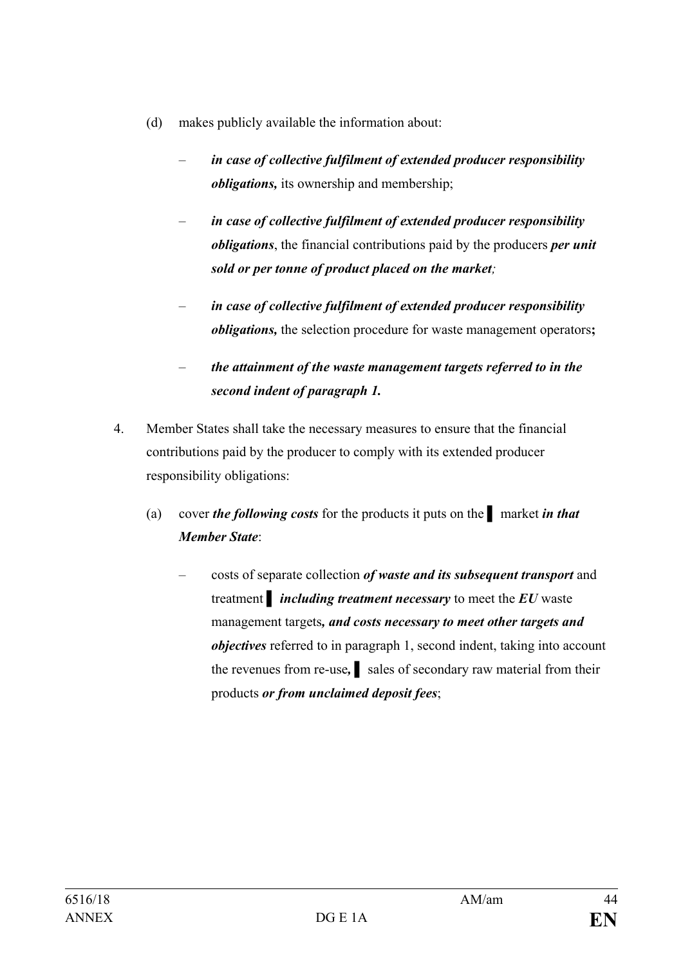- (d) makes publicly available the information about:
	- *in case of collective fulfilment of extended producer responsibility obligations*, its ownership and membership;
	- *in case of collective fulfilment of extended producer responsibility obligations*, the financial contributions paid by the producers *per unit sold or per tonne of product placed on the market;*
	- *in case of collective fulfilment of extended producer responsibility obligations,* the selection procedure for waste management operators**;**
	- *the attainment of the waste management targets referred to in the second indent of paragraph 1.*
- 4. Member States shall take the necessary measures to ensure that the financial contributions paid by the producer to comply with its extended producer responsibility obligations:
	- (a) cover *the following costs* for the products it puts on the **▌** market *in that Member State*:
		- costs of separate collection *of waste and its subsequent transport* and treatment **▌** *including treatment necessary* to meet the *EU* waste management targets*, and costs necessary to meet other targets and objectives* referred to in paragraph 1, second indent, taking into account the revenues from re-use, all sales of secondary raw material from their products *or from unclaimed deposit fees*;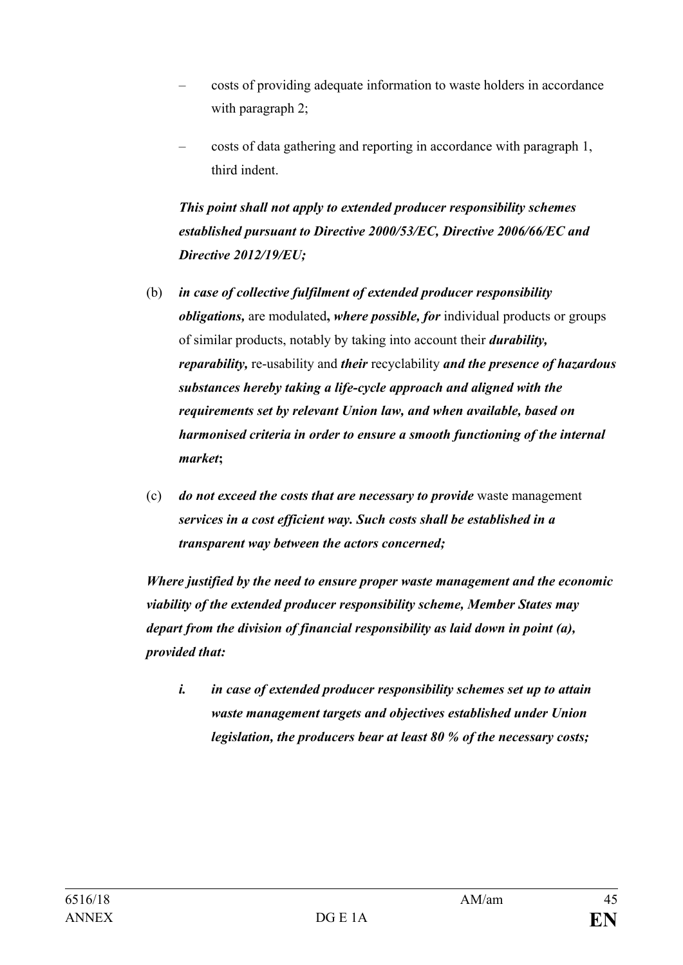- costs of providing adequate information to waste holders in accordance with paragraph 2;
- costs of data gathering and reporting in accordance with paragraph 1, third indent.

*This point shall not apply to extended producer responsibility schemes established pursuant to Directive 2000/53/EC, Directive 2006/66/EC and Directive 2012/19/EU;*

- (b) *in case of collective fulfilment of extended producer responsibility obligations,* are modulated**,** *where possible, for* individual products or groups of similar products, notably by taking into account their *durability, reparability,* re-usability and *their* recyclability *and the presence of hazardous substances hereby taking a life-cycle approach and aligned with the requirements set by relevant Union law, and when available, based on harmonised criteria in order to ensure a smooth functioning of the internal market***;**
- (c) *do not exceed the costs that are necessary to provide* waste management *services in a cost efficient way. Such costs shall be established in a transparent way between the actors concerned;*

*Where justified by the need to ensure proper waste management and the economic viability of the extended producer responsibility scheme, Member States may depart from the division of financial responsibility as laid down in point (a), provided that:*

*i. in case of extended producer responsibility schemes set up to attain waste management targets and objectives established under Union legislation, the producers bear at least 80 % of the necessary costs;*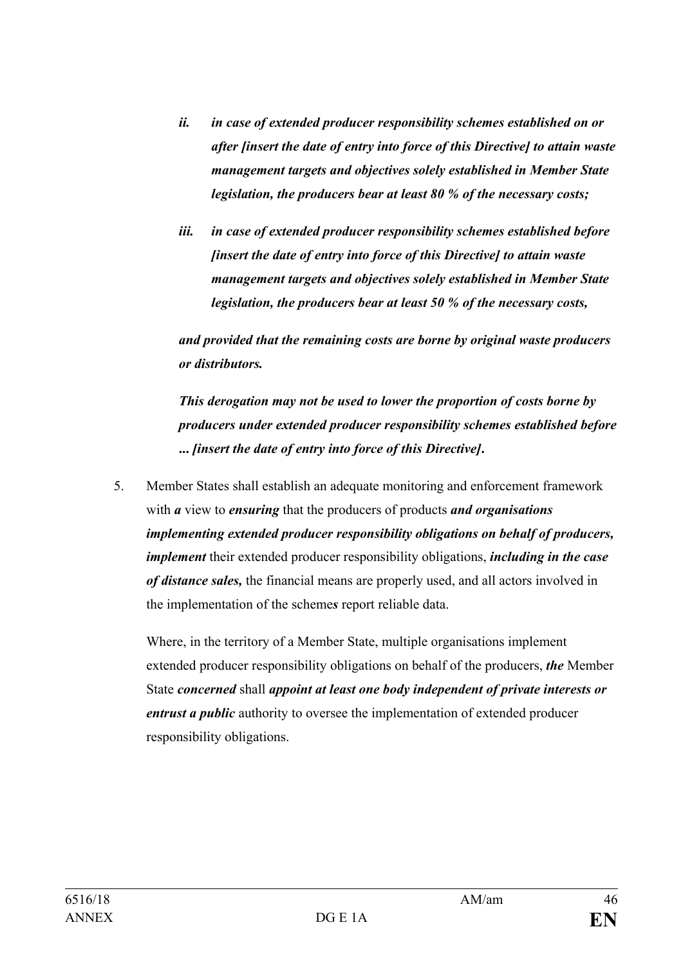- *ii. in case of extended producer responsibility schemes established on or after [insert the date of entry into force of this Directive] to attain waste management targets and objectives solely established in Member State legislation, the producers bear at least 80 % of the necessary costs;*
- *iii. in case of extended producer responsibility schemes established before [insert the date of entry into force of this Directive] to attain waste management targets and objectives solely established in Member State legislation, the producers bear at least 50 % of the necessary costs,*

*and provided that the remaining costs are borne by original waste producers or distributors.*

*This derogation may not be used to lower the proportion of costs borne by producers under extended producer responsibility schemes established before* **...** *[insert the date of entry into force of this Directive]***.**

5. Member States shall establish an adequate monitoring and enforcement framework with *a* view to *ensuring* that the producers of products *and organisations implementing extended producer responsibility obligations on behalf of producers, implement* their extended producer responsibility obligations, *including in the case of distance sales,* the financial means are properly used, and all actors involved in the implementation of the scheme*s* report reliable data.

Where, in the territory of a Member State, multiple organisations implement extended producer responsibility obligations on behalf of the producers, *the* Member State *concerned* shall *appoint at least one body independent of private interests or entrust a public* authority to oversee the implementation of extended producer responsibility obligations.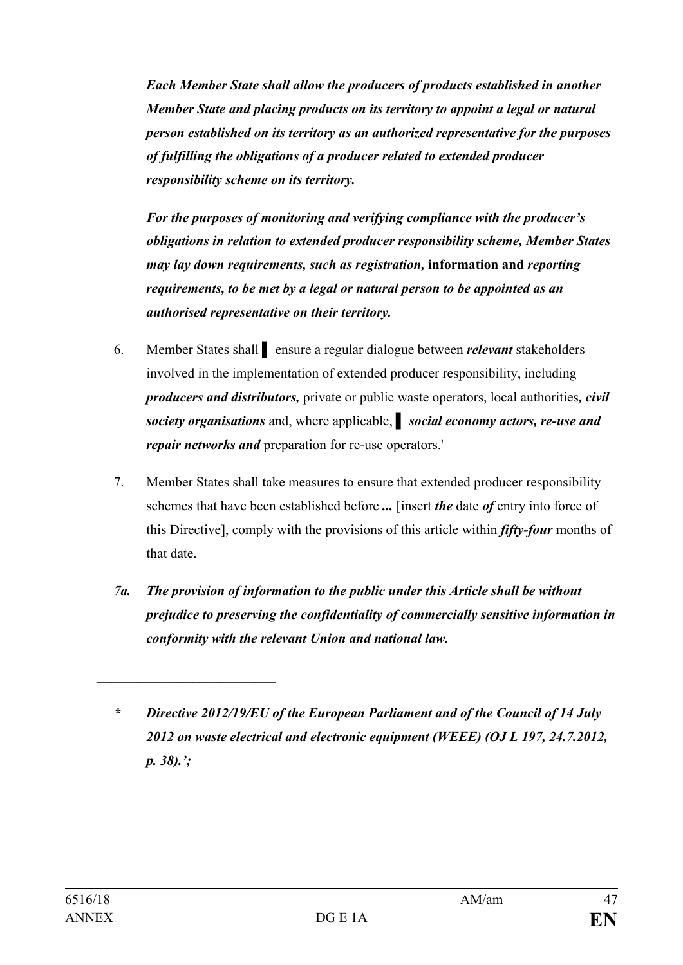*Each Member State shall allow the producers of products established in another Member State and placing products on its territory to appoint a legal or natural person established on its territory as an authorized representative for the purposes of fulfilling the obligations of a producer related to extended producer responsibility scheme on its territory.*

*For the purposes of monitoring and verifying compliance with the producer's obligations in relation to extended producer responsibility scheme, Member States may lay down requirements, such as registration,* **information and** *reporting requirements, to be met by a legal or natural person to be appointed as an authorised representative on their territory.*

- 6. Member States shall **▌** ensure a regular dialogue between *relevant* stakeholders involved in the implementation of extended producer responsibility, including *producers and distributors,* private or public waste operators, local authorities*, civil society organisations* and, where applicable, *▌ social economy actors, re-use and repair networks and* preparation for re-use operators.'
- 7. Member States shall take measures to ensure that extended producer responsibility schemes that have been established before *...* [insert *the* date *of* entry into force of this Directive], comply with the provisions of this article within *fifty-four* months of that date.
- *7a. The provision of information to the public under this Article shall be without prejudice to preserving the confidentiality of commercially sensitive information in conformity with the relevant Union and national law.*

*\_\_\_\_\_\_\_\_\_\_\_\_\_\_\_\_\_\_\_\_\_\_\_\_\_\_*

*<sup>\*</sup> Directive 2012/19/EU of the European Parliament and of the Council of 14 July 2012 on waste electrical and electronic equipment (WEEE) (OJ L 197, 24.7.2012, p. 38).';*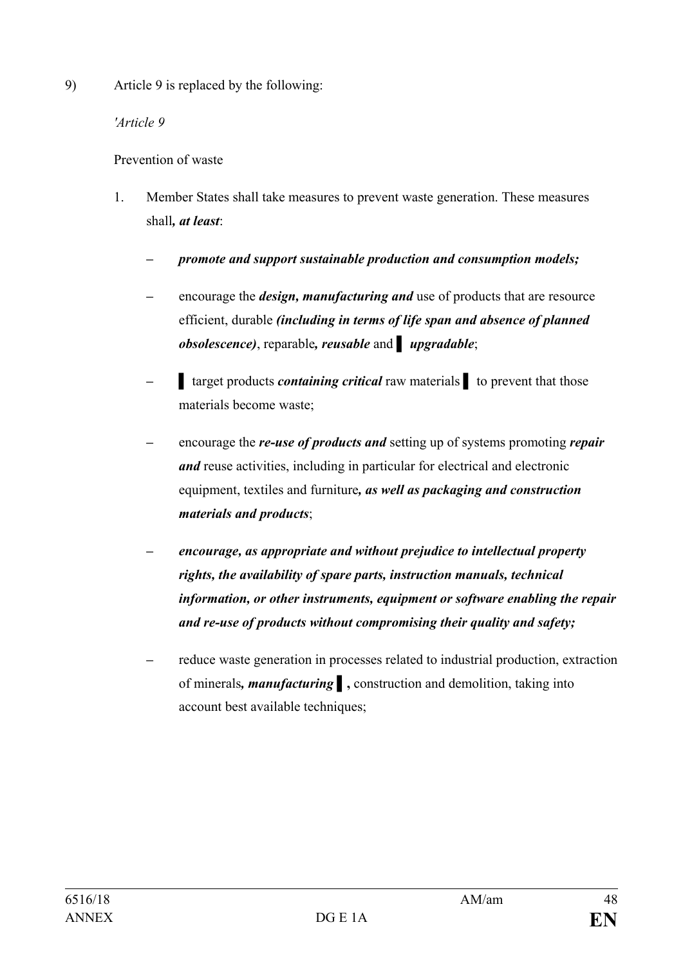9) Article 9 is replaced by the following:

## *'Article 9*

# Prevention of waste

- 1. Member States shall take measures to prevent waste generation. These measures shall*, at least*:
	- *– promote and support sustainable production and consumption models;*
	- *–* encourage the *design, manufacturing and* use of products that are resource efficient, durable *(including in terms of life span and absence of planned obsolescence)*, reparable*, reusable* and *▌ upgradable*;
	- *–* **▌** target products *containing critical* raw materials *▌* to prevent that those materials become waste;
	- *–* encourage the *re-use of products and* setting up of systems promoting *repair and* reuse activities, including in particular for electrical and electronic equipment, textiles and furniture*, as well as packaging and construction materials and products*;
	- *– encourage, as appropriate and without prejudice to intellectual property rights, the availability of spare parts, instruction manuals, technical information, or other instruments, equipment or software enabling the repair and re-use of products without compromising their quality and safety;*
	- *–* reduce waste generation in processes related to industrial production, extraction of minerals*, manufacturing* **▌,** construction and demolition, taking into account best available techniques;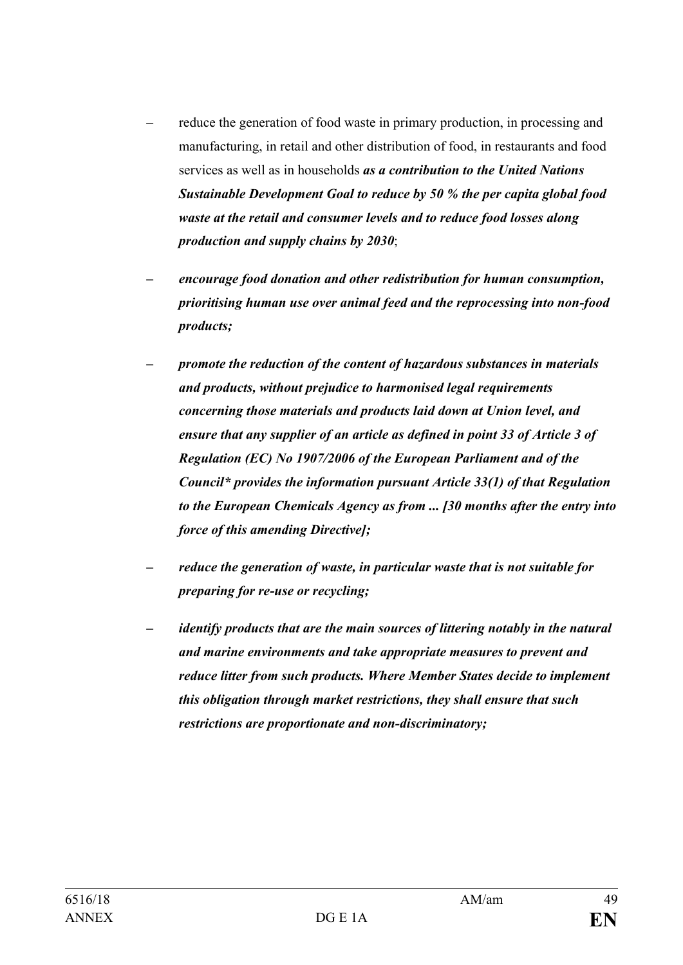- *–* reduce the generation of food waste in primary production, in processing and manufacturing, in retail and other distribution of food, in restaurants and food services as well as in households *as a contribution to the United Nations Sustainable Development Goal to reduce by 50 % the per capita global food waste at the retail and consumer levels and to reduce food losses along production and supply chains by 2030*;
- *– encourage food donation and other redistribution for human consumption, prioritising human use over animal feed and the reprocessing into non-food products;*
- *– promote the reduction of the content of hazardous substances in materials and products, without prejudice to harmonised legal requirements concerning those materials and products laid down at Union level, and ensure that any supplier of an article as defined in point 33 of Article 3 of Regulation (EC) No 1907/2006 of the European Parliament and of the Council\* provides the information pursuant Article 33(1) of that Regulation to the European Chemicals Agency as from ... [30 months after the entry into force of this amending Directive];*
- *– reduce the generation of waste, in particular waste that is not suitable for preparing for re-use or recycling;*
- *– identify products that are the main sources of littering notably in the natural and marine environments and take appropriate measures to prevent and reduce litter from such products. Where Member States decide to implement this obligation through market restrictions, they shall ensure that such restrictions are proportionate and non-discriminatory;*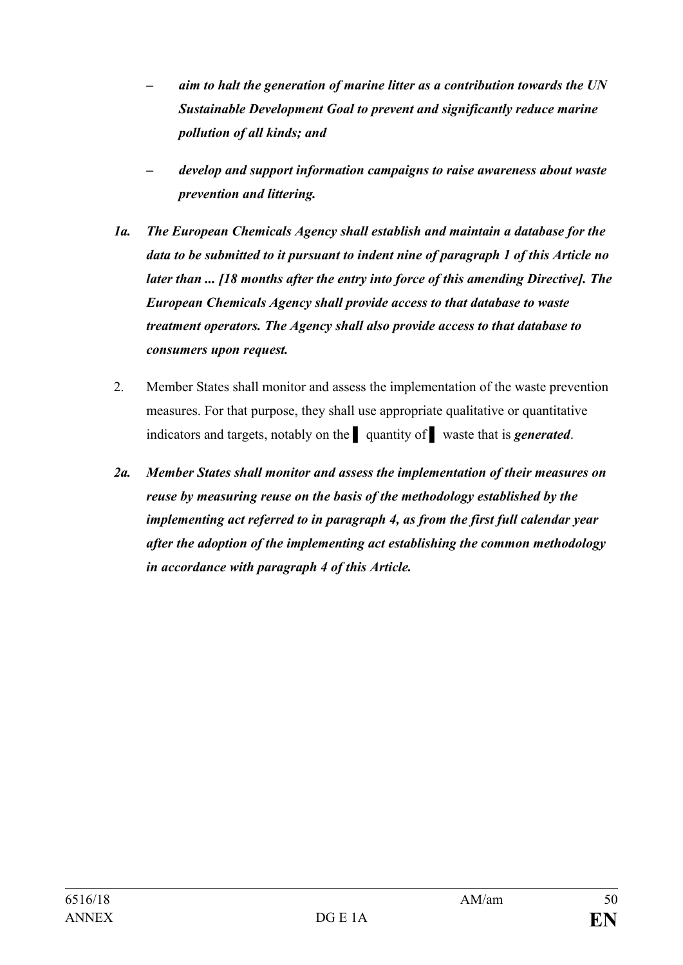- *– aim to halt the generation of marine litter as a contribution towards the UN Sustainable Development Goal to prevent and significantly reduce marine pollution of all kinds; and*
- *– develop and support information campaigns to raise awareness about waste prevention and littering.*
- *1a. The European Chemicals Agency shall establish and maintain a database for the data to be submitted to it pursuant to indent nine of paragraph 1 of this Article no later than ... [18 months after the entry into force of this amending Directive]. The European Chemicals Agency shall provide access to that database to waste treatment operators. The Agency shall also provide access to that database to consumers upon request.*
- 2. Member States shall monitor and assess the implementation of the waste prevention measures. For that purpose, they shall use appropriate qualitative or quantitative indicators and targets, notably on the **▌** quantity of **▌** waste that is *generated*.
- *2a. Member States shall monitor and assess the implementation of their measures on reuse by measuring reuse on the basis of the methodology established by the implementing act referred to in paragraph 4, as from the first full calendar year after the adoption of the implementing act establishing the common methodology in accordance with paragraph 4 of this Article.*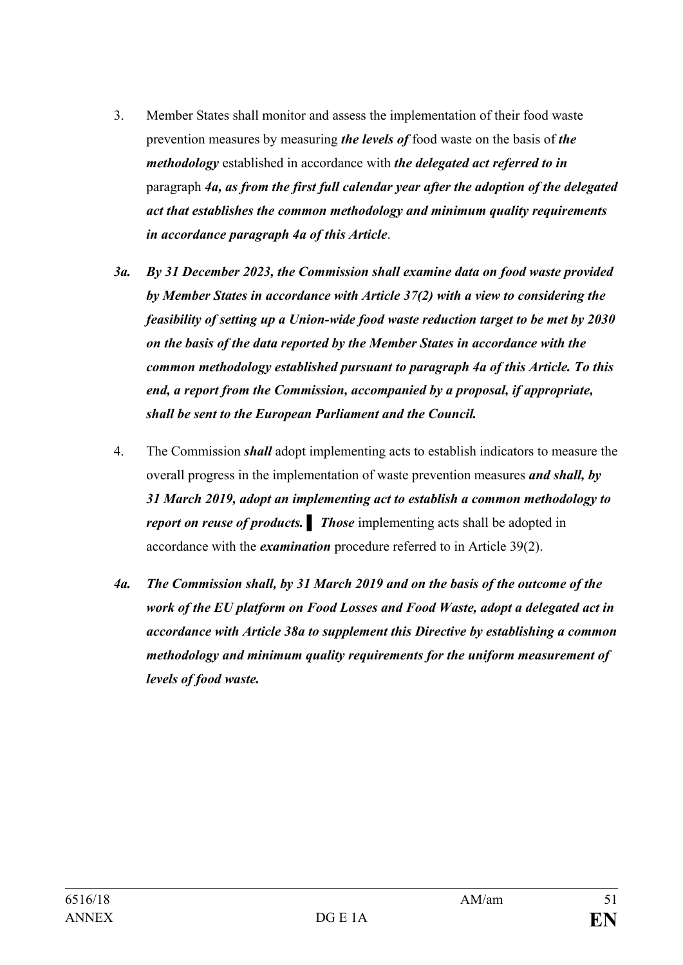- 3. Member States shall monitor and assess the implementation of their food waste prevention measures by measuring *the levels of* food waste on the basis of *the methodology* established in accordance with *the delegated act referred to in*  paragraph *4a, as from the first full calendar year after the adoption of the delegated act that establishes the common methodology and minimum quality requirements in accordance paragraph 4a of this Article*.
- *3a. By 31 December 2023, the Commission shall examine data on food waste provided by Member States in accordance with Article 37(2) with a view to considering the feasibility of setting up a Union-wide food waste reduction target to be met by 2030 on the basis of the data reported by the Member States in accordance with the common methodology established pursuant to paragraph 4a of this Article. To this end, a report from the Commission, accompanied by a proposal, if appropriate, shall be sent to the European Parliament and the Council.*
- 4. The Commission *shall* adopt implementing acts to establish indicators to measure the overall progress in the implementation of waste prevention measures *and shall, by 31 March 2019, adopt an implementing act to establish a common methodology to report on reuse of products. Ihose* implementing acts shall be adopted in accordance with the *examination* procedure referred to in Article 39(2).
- *4a. The Commission shall, by 31 March 2019 and on the basis of the outcome of the work of the EU platform on Food Losses and Food Waste, adopt a delegated act in accordance with Article 38a to supplement this Directive by establishing a common methodology and minimum quality requirements for the uniform measurement of levels of food waste.*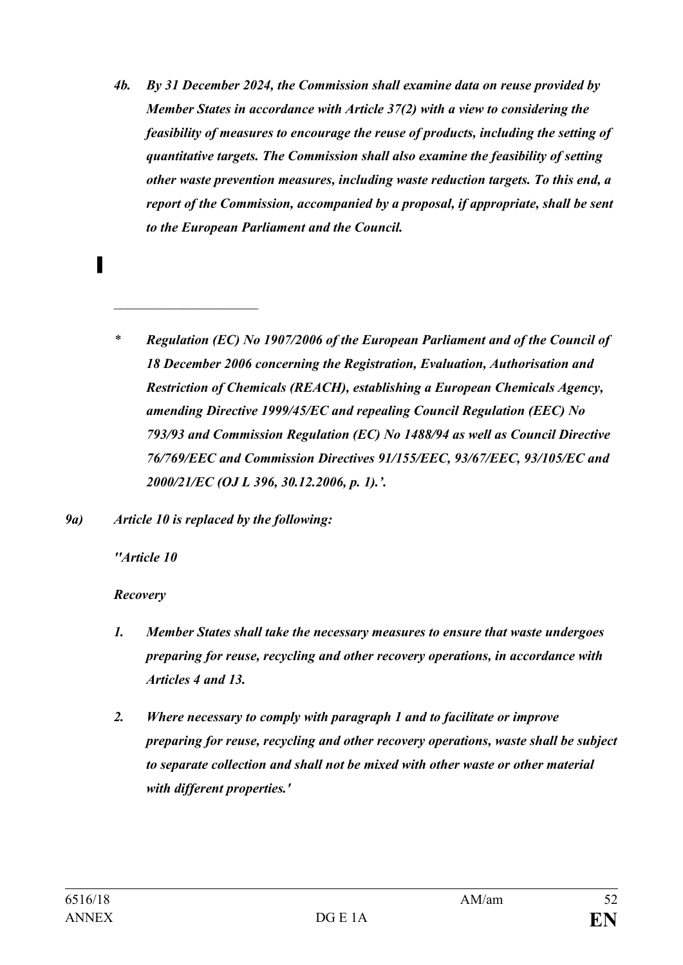- *4b. By 31 December 2024, the Commission shall examine data on reuse provided by Member States in accordance with Article 37(2) with a view to considering the feasibility of measures to encourage the reuse of products, including the setting of quantitative targets. The Commission shall also examine the feasibility of setting other waste prevention measures, including waste reduction targets. To this end, a report of the Commission, accompanied by a proposal, if appropriate, shall be sent to the European Parliament and the Council.*
- *\* Regulation (EC) No 1907/2006 of the European Parliament and of the Council of 18 December 2006 concerning the Registration, Evaluation, Authorisation and Restriction of Chemicals (REACH), establishing a European Chemicals Agency, amending Directive 1999/45/EC and repealing Council Regulation (EEC) No 793/93 and Commission Regulation (EC) No 1488/94 as well as Council Directive 76/769/EEC and Commission Directives 91/155/EEC, 93/67/EEC, 93/105/EC and 2000/21/EC (OJ L 396, 30.12.2006, p. 1).'.*
- *9a) Article 10 is replaced by the following:*

*\_\_\_\_\_\_\_\_\_\_\_\_\_\_\_\_\_\_\_\_\_*

*''Article 10*

**▌**

*Recovery*

- *1. Member States shall take the necessary measures to ensure that waste undergoes preparing for reuse, recycling and other recovery operations, in accordance with Articles 4 and 13.*
- *2. Where necessary to comply with paragraph 1 and to facilitate or improve preparing for reuse, recycling and other recovery operations, waste shall be subject to separate collection and shall not be mixed with other waste or other material with different properties.'*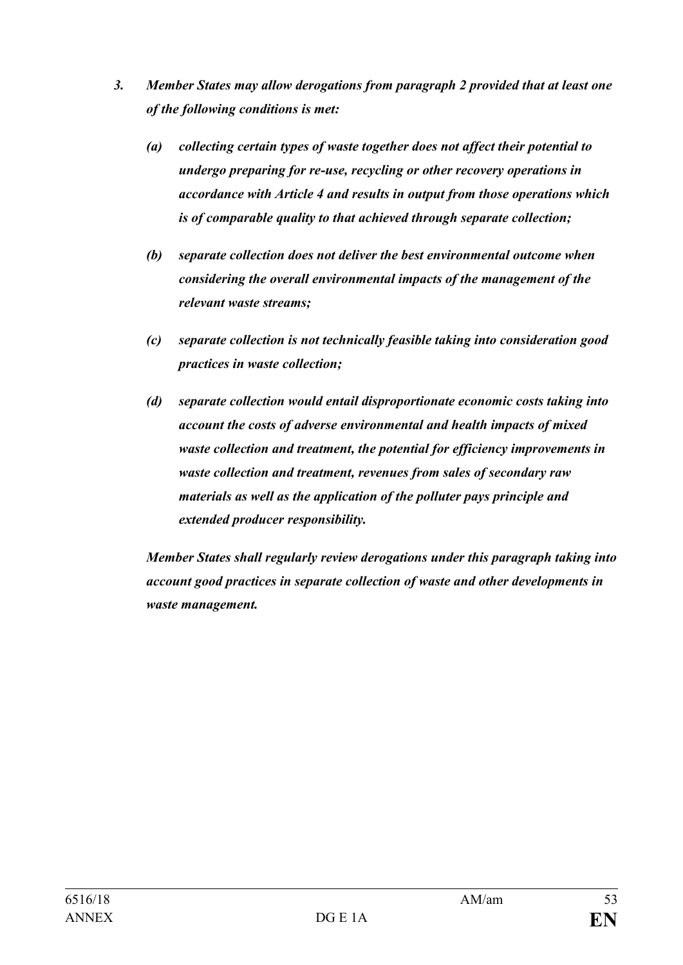- *3. Member States may allow derogations from paragraph 2 provided that at least one of the following conditions is met:* 
	- *(a) collecting certain types of waste together does not affect their potential to undergo preparing for re-use, recycling or other recovery operations in accordance with Article 4 and results in output from those operations which is of comparable quality to that achieved through separate collection;*
	- *(b) separate collection does not deliver the best environmental outcome when considering the overall environmental impacts of the management of the relevant waste streams;*
	- *(c) separate collection is not technically feasible taking into consideration good practices in waste collection;*
	- *(d) separate collection would entail disproportionate economic costs taking into account the costs of adverse environmental and health impacts of mixed waste collection and treatment, the potential for efficiency improvements in waste collection and treatment, revenues from sales of secondary raw materials as well as the application of the polluter pays principle and extended producer responsibility.*

*Member States shall regularly review derogations under this paragraph taking into account good practices in separate collection of waste and other developments in waste management.*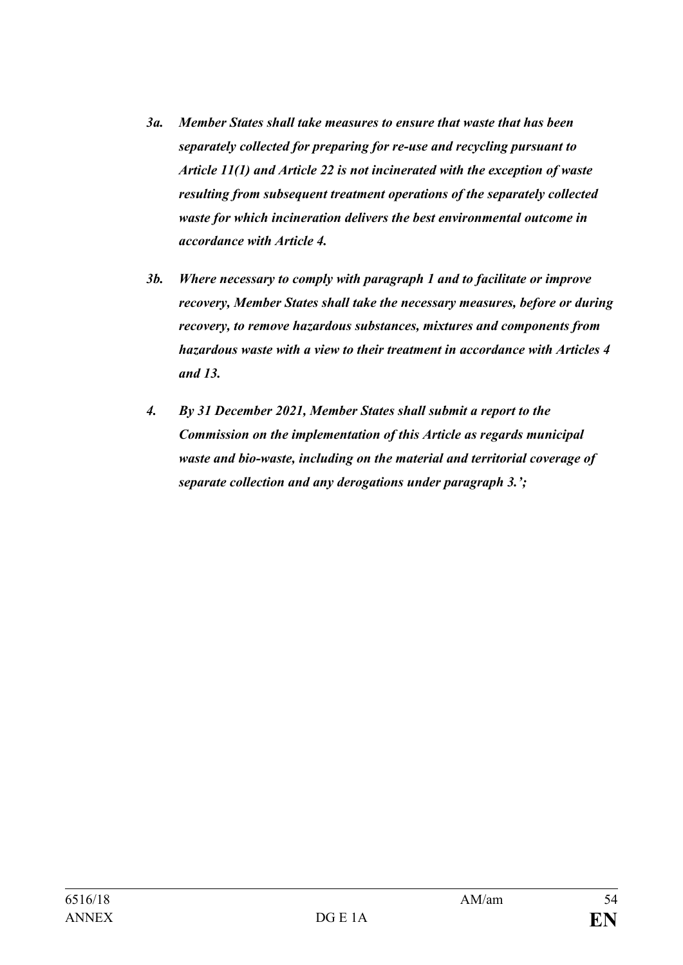- *3a. Member States shall take measures to ensure that waste that has been separately collected for preparing for re-use and recycling pursuant to Article 11(1) and Article 22 is not incinerated with the exception of waste resulting from subsequent treatment operations of the separately collected waste for which incineration delivers the best environmental outcome in accordance with Article 4.*
- *3b. Where necessary to comply with paragraph 1 and to facilitate or improve recovery, Member States shall take the necessary measures, before or during recovery, to remove hazardous substances, mixtures and components from hazardous waste with a view to their treatment in accordance with Articles 4 and 13.*
- *4. By 31 December 2021, Member States shall submit a report to the Commission on the implementation of this Article as regards municipal waste and bio-waste, including on the material and territorial coverage of separate collection and any derogations under paragraph 3.';*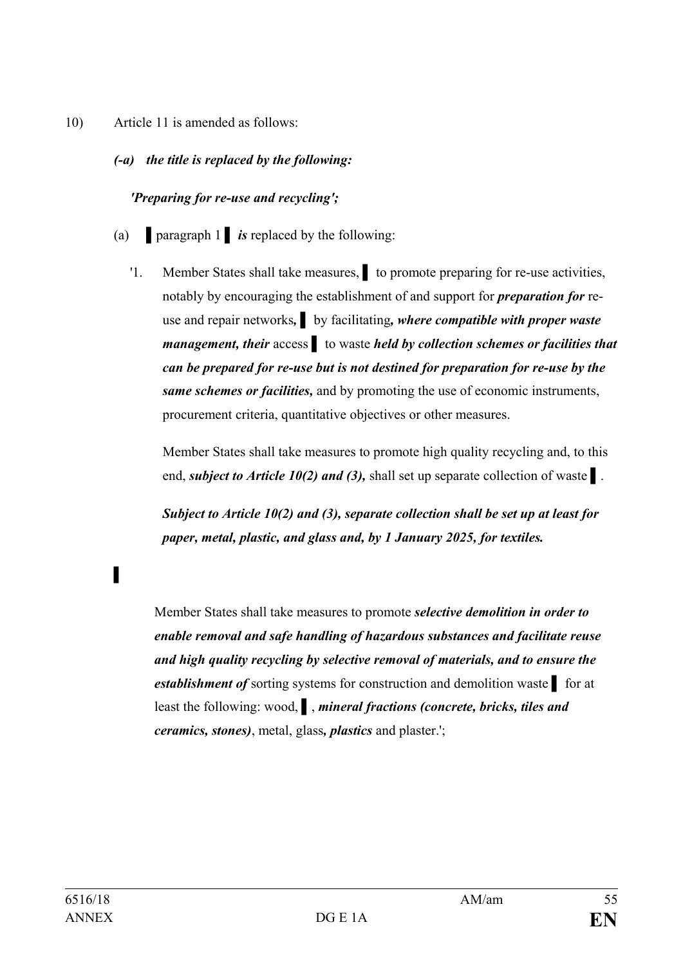- 10) Article 11 is amended as follows:
	- *(-a) the title is replaced by the following:*

### *'Preparing for re-use and recycling';*

- (a) **▌**paragraph 1 **▌** *is* replaced by the following:
	- '1. Member States shall take measures, **▌** to promote preparing for re-use activities, notably by encouraging the establishment of and support for *preparation for* reuse and repair networks*,* **▌** by facilitating*, where compatible with proper waste management, their* access ▌ to waste *held by collection schemes or facilities that can be prepared for re-use but is not destined for preparation for re-use by the same schemes or facilities,* and by promoting the use of economic instruments, procurement criteria, quantitative objectives or other measures.

Member States shall take measures to promote high quality recycling and, to this end, *subject to Article 10(2) and (3),* shall set up separate collection of waste **▌**.

*Subject to Article 10(2) and (3), separate collection shall be set up at least for paper, metal, plastic, and glass and, by 1 January 2025, for textiles.*

Member States shall take measures to promote *selective demolition in order to enable removal and safe handling of hazardous substances and facilitate reuse and high quality recycling by selective removal of materials, and to ensure the establishment of* sorting systems for construction and demolition waste **▌** for at least the following: wood, **▌**, *mineral fractions (concrete, bricks, tiles and ceramics, stones)*, metal, glass*, plastics* and plaster.';

**▌**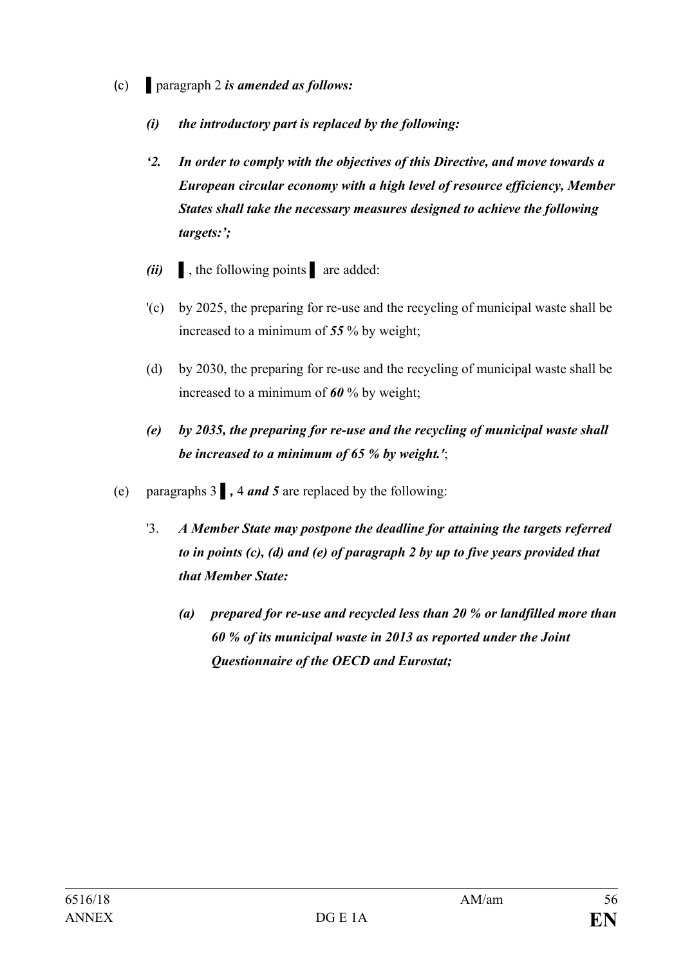- (c) **▌**paragraph 2 *is amended as follows:*
	- *(i) the introductory part is replaced by the following:*
	- *'2. In order to comply with the objectives of this Directive, and move towards a European circular economy with a high level of resource efficiency, Member States shall take the necessary measures designed to achieve the following targets:';*
	- *(ii)* **▌**, the following points **▌** are added:
	- '(c) by 2025, the preparing for re-use and the recycling of municipal waste shall be increased to a minimum of *55* % by weight;
	- (d) by 2030, the preparing for re-use and the recycling of municipal waste shall be increased to a minimum of *60* % by weight;
	- *(e) by 2035, the preparing for re-use and the recycling of municipal waste shall be increased to a minimum of 65 % by weight.'*;
- (e) paragraphs 3 **▌***,* 4 *and 5* are replaced by the following:
	- '3. *A Member State may postpone the deadline for attaining the targets referred to in points (c), (d) and (e) of paragraph 2 by up to five years provided that that Member State:*
		- *(a) prepared for re-use and recycled less than 20 % or landfilled more than 60 % of its municipal waste in 2013 as reported under the Joint Questionnaire of the OECD and Eurostat;*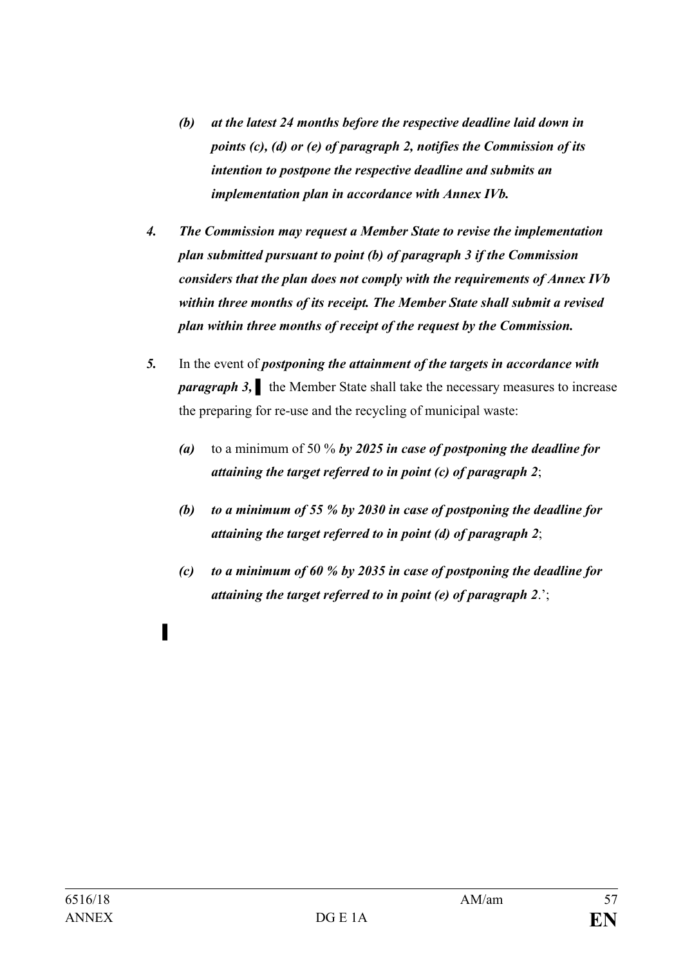- *(b) at the latest 24 months before the respective deadline laid down in points (c), (d) or (e) of paragraph 2, notifies the Commission of its intention to postpone the respective deadline and submits an implementation plan in accordance with Annex IVb.*
- *4. The Commission may request a Member State to revise the implementation plan submitted pursuant to point (b) of paragraph 3 if the Commission considers that the plan does not comply with the requirements of Annex IVb within three months of its receipt. The Member State shall submit a revised plan within three months of receipt of the request by the Commission.*
- *5.* In the event of *postponing the attainment of the targets in accordance with paragraph 3,* the Member State shall take the necessary measures to increase the preparing for re-use and the recycling of municipal waste:
	- *(a)* to a minimum of 50 % *by 2025 in case of postponing the deadline for attaining the target referred to in point (c) of paragraph 2*;
	- *(b) to a minimum of 55 % by 2030 in case of postponing the deadline for attaining the target referred to in point (d) of paragraph 2*;
	- *(c) to a minimum of 60 % by 2035 in case of postponing the deadline for attaining the target referred to in point (e) of paragraph 2*.';

**▌**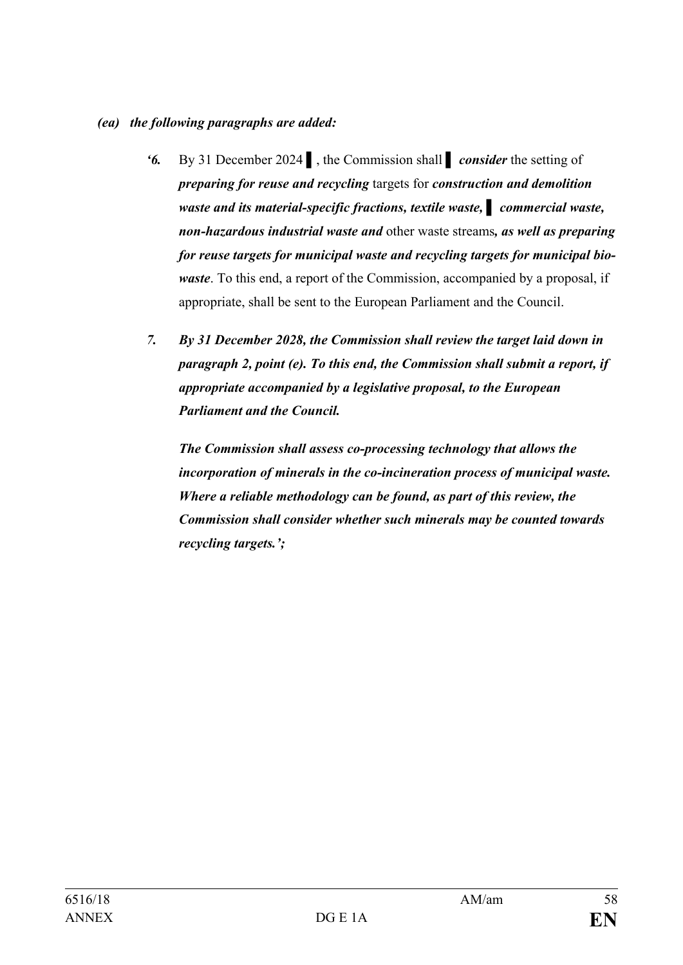#### *(ea) the following paragraphs are added:*

- *'6.* By 31 December 2024 ▌, the Commission shall **▌** *consider* the setting of *preparing for reuse and recycling* targets for *construction and demolition waste and its material-specific fractions, textile waste, ▌ commercial waste, non-hazardous industrial waste and* other waste streams*, as well as preparing for reuse targets for municipal waste and recycling targets for municipal biowaste*. To this end, a report of the Commission, accompanied by a proposal, if appropriate, shall be sent to the European Parliament and the Council.
- *7. By 31 December 2028, the Commission shall review the target laid down in paragraph 2, point (e). To this end, the Commission shall submit a report, if appropriate accompanied by a legislative proposal, to the European Parliament and the Council.*

*The Commission shall assess co-processing technology that allows the incorporation of minerals in the co-incineration process of municipal waste. Where a reliable methodology can be found, as part of this review, the Commission shall consider whether such minerals may be counted towards recycling targets.';*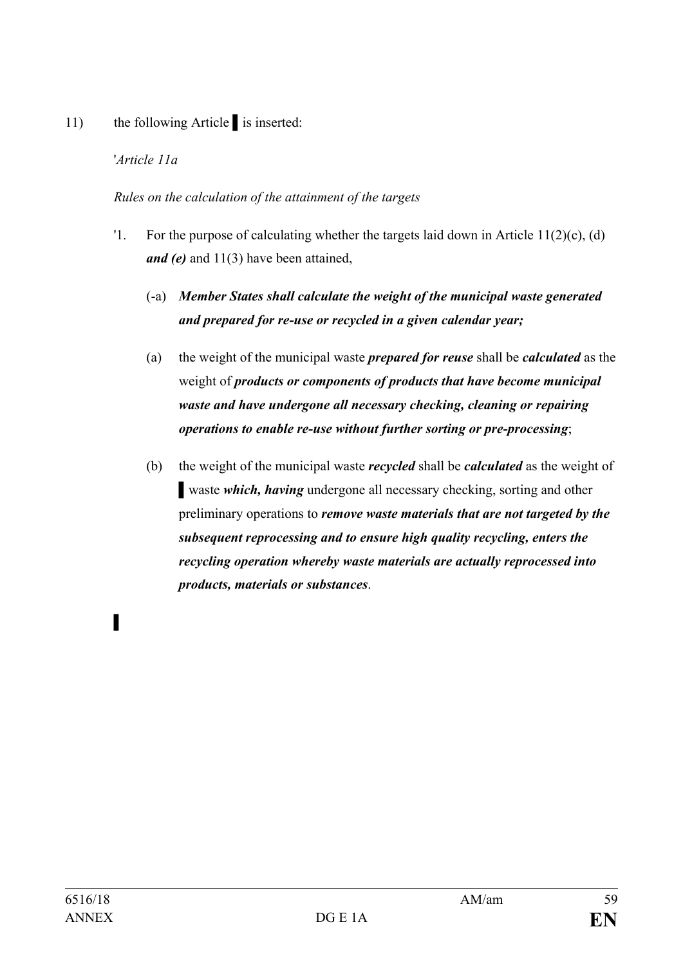11) the following Article is inserted:

# '*Article 11a*

## *Rules on the calculation of the attainment of the targets*

- '1. For the purpose of calculating whether the targets laid down in Article 11(2)(c), (d) *and (e)* and 11(3) have been attained,
	- (-a) *Member States shall calculate the weight of the municipal waste generated and prepared for re-use or recycled in a given calendar year;*
	- (a) the weight of the municipal waste *prepared for reuse* shall be *calculated* as the weight of *products or components of products that have become municipal waste and have undergone all necessary checking, cleaning or repairing operations to enable re-use without further sorting or pre-processing*;
	- (b) the weight of the municipal waste *recycled* shall be *calculated* as the weight of **waste** *which, having* undergone all necessary checking, sorting and other preliminary operations to *remove waste materials that are not targeted by the subsequent reprocessing and to ensure high quality recycling, enters the recycling operation whereby waste materials are actually reprocessed into products, materials or substances*.

**▌**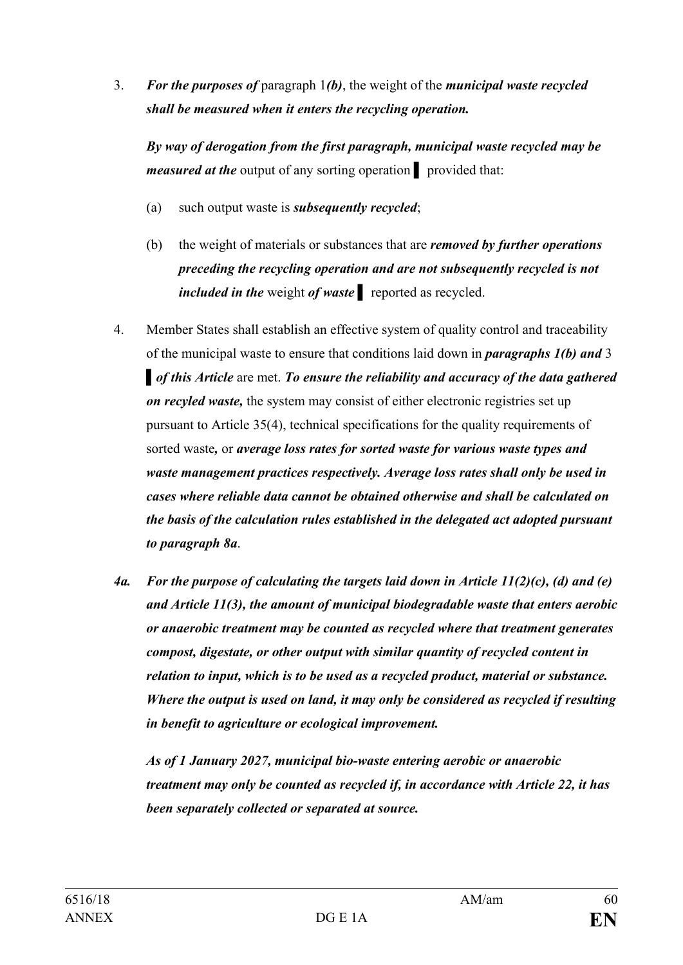3. *For the purposes of* paragraph 1*(b)*, the weight of the *municipal waste recycled shall be measured when it enters the recycling operation.*

*By way of derogation from the first paragraph, municipal waste recycled may be measured at the* output of any sorting operation **▌** provided that:

- (a) such output waste is *subsequently recycled*;
- (b) the weight of materials or substances that are *removed by further operations preceding the recycling operation and are not subsequently recycled is not included in the* weight *of waste ▌* reported as recycled.
- 4. Member States shall establish an effective system of quality control and traceability of the municipal waste to ensure that conditions laid down in *paragraphs 1(b) and* 3 **▌***of this Article* are met. *To ensure the reliability and accuracy of the data gathered on recyled waste,* the system may consist of either electronic registries set up pursuant to Article 35(4), technical specifications for the quality requirements of sorted waste*,* or *average loss rates for sorted waste for various waste types and waste management practices respectively. Average loss rates shall only be used in cases where reliable data cannot be obtained otherwise and shall be calculated on the basis of the calculation rules established in the delegated act adopted pursuant to paragraph 8a*.
- *4a. For the purpose of calculating the targets laid down in Article 11(2)(c), (d) and (e) and Article 11(3), the amount of municipal biodegradable waste that enters aerobic or anaerobic treatment may be counted as recycled where that treatment generates compost, digestate, or other output with similar quantity of recycled content in relation to input, which is to be used as a recycled product, material or substance. Where the output is used on land, it may only be considered as recycled if resulting in benefit to agriculture or ecological improvement.*

*As of 1 January 2027, municipal bio-waste entering aerobic or anaerobic treatment may only be counted as recycled if, in accordance with Article 22, it has been separately collected or separated at source.*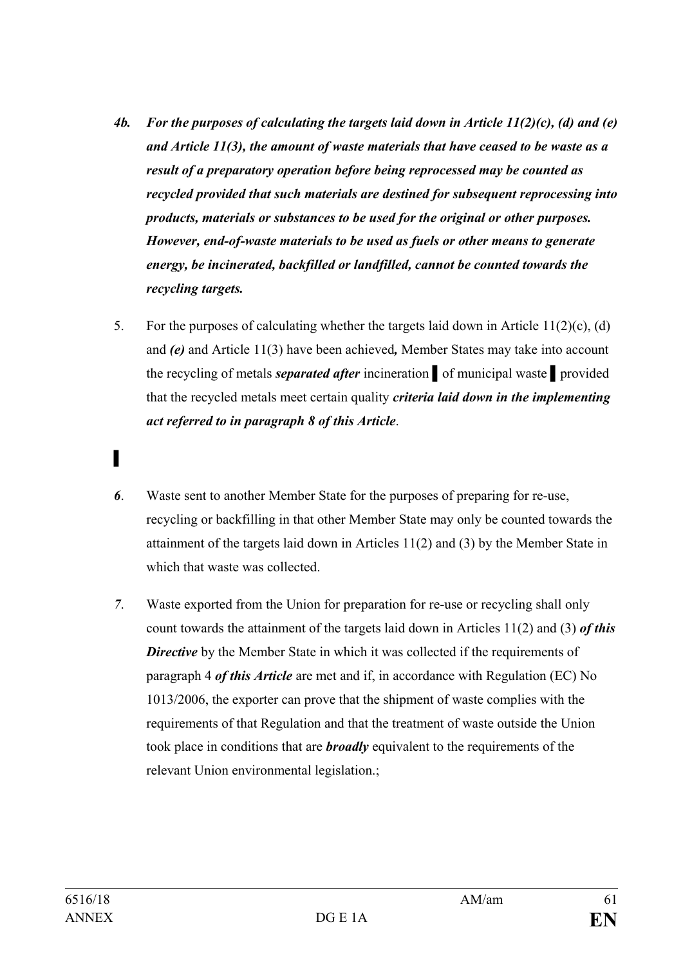- *4b. For the purposes of calculating the targets laid down in Article 11(2)(c), (d) and (e) and Article 11(3), the amount of waste materials that have ceased to be waste as a result of a preparatory operation before being reprocessed may be counted as recycled provided that such materials are destined for subsequent reprocessing into products, materials or substances to be used for the original or other purposes. However, end-of-waste materials to be used as fuels or other means to generate energy, be incinerated, backfilled or landfilled, cannot be counted towards the recycling targets.*
- 5. For the purposes of calculating whether the targets laid down in Article 11(2)(c), (d) and *(e)* and Article 11(3) have been achieved*,* Member States may take into account the recycling of metals *separated after* incineration *▌*of municipal waste *▌*provided that the recycled metals meet certain quality *criteria laid down in the implementing act referred to in paragraph 8 of this Article*.
- *6*. Waste sent to another Member State for the purposes of preparing for re-use, recycling or backfilling in that other Member State may only be counted towards the attainment of the targets laid down in Articles 11(2) and (3) by the Member State in which that waste was collected.
- *7*. Waste exported from the Union for preparation for re-use or recycling shall only count towards the attainment of the targets laid down in Articles 11(2) and (3) *of this*  **Directive** by the Member State in which it was collected if the requirements of paragraph 4 *of this Article* are met and if, in accordance with Regulation (EC) No 1013/2006, the exporter can prove that the shipment of waste complies with the requirements of that Regulation and that the treatment of waste outside the Union took place in conditions that are *broadly* equivalent to the requirements of the relevant Union environmental legislation.;

*▌*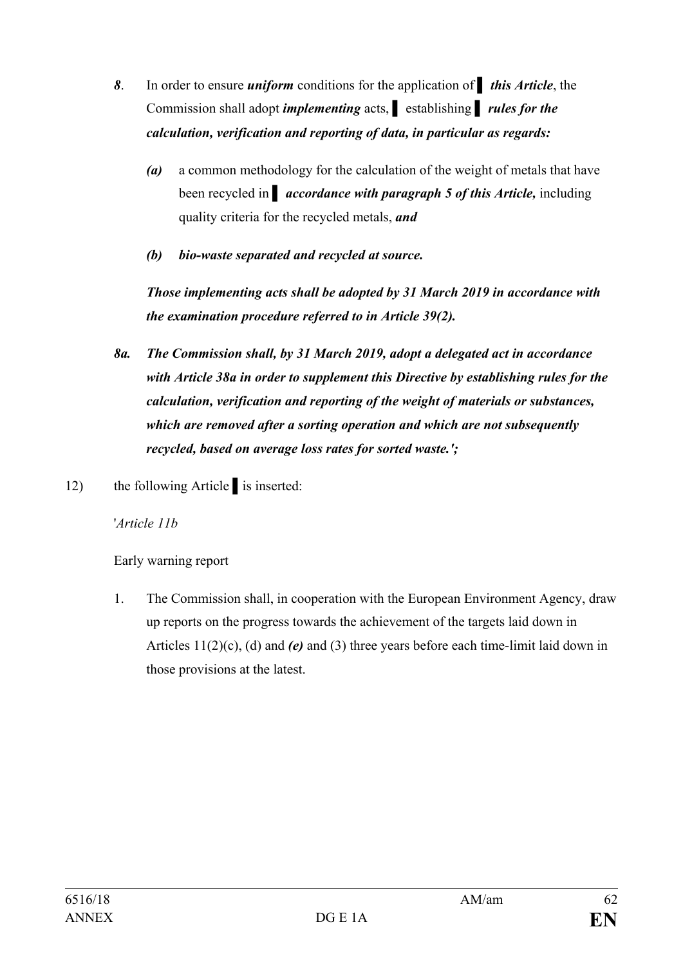- *8*. In order to ensure *uniform* conditions for the application of *▌ this Article*, the Commission shall adopt *implementing* acts, **▌** establishing **▌** *rules for the calculation, verification and reporting of data, in particular as regards:*
	- *(a)* a common methodology for the calculation of the weight of metals that have **been recycled in accordance with paragraph 5 of this Article, including** quality criteria for the recycled metals, *and*
	- *(b) bio-waste separated and recycled at source.*

*Those implementing acts shall be adopted by 31 March 2019 in accordance with the examination procedure referred to in Article 39(2).*

- *8a. The Commission shall, by 31 March 2019, adopt a delegated act in accordance with Article 38a in order to supplement this Directive by establishing rules for the calculation, verification and reporting of the weight of materials or substances, which are removed after a sorting operation and which are not subsequently recycled, based on average loss rates for sorted waste.';*
- 12) the following Article ▌is inserted:

'*Article 11b*

Early warning report

1. The Commission shall, in cooperation with the European Environment Agency, draw up reports on the progress towards the achievement of the targets laid down in Articles 11(2)(c), (d) and *(e)* and (3) three years before each time-limit laid down in those provisions at the latest.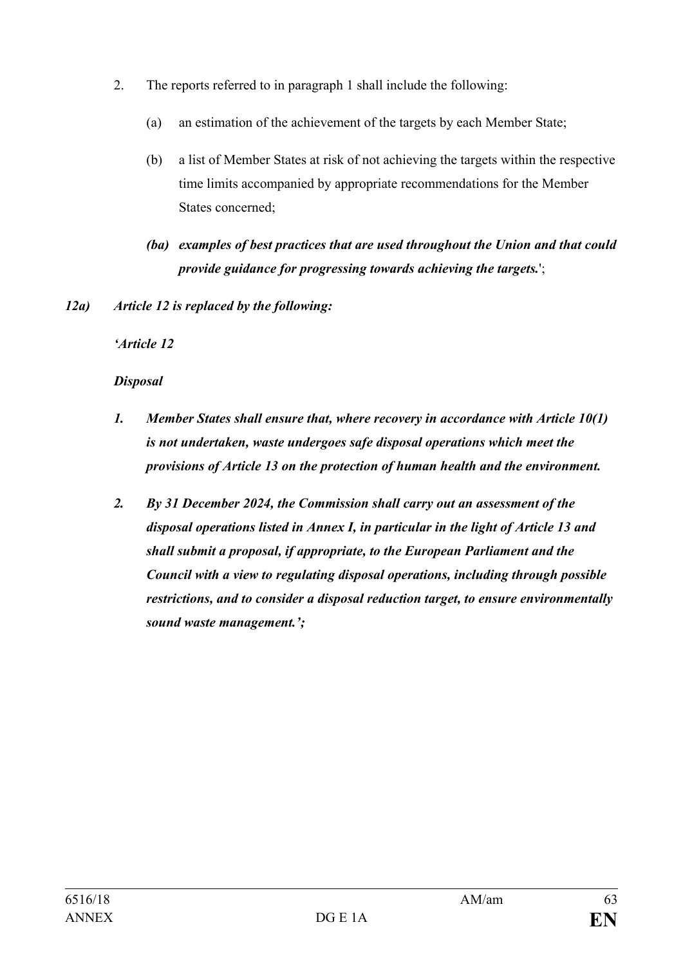- 2. The reports referred to in paragraph 1 shall include the following:
	- (a) an estimation of the achievement of the targets by each Member State;
	- (b) a list of Member States at risk of not achieving the targets within the respective time limits accompanied by appropriate recommendations for the Member States concerned;
	- *(ba) examples of best practices that are used throughout the Union and that could provide guidance for progressing towards achieving the targets.*';
- *12a) Article 12 is replaced by the following:*

*'Article 12*

# *Disposal*

- *1. Member States shall ensure that, where recovery in accordance with Article 10(1) is not undertaken, waste undergoes safe disposal operations which meet the provisions of Article 13 on the protection of human health and the environment.*
- *2. By 31 December 2024, the Commission shall carry out an assessment of the disposal operations listed in Annex I, in particular in the light of Article 13 and shall submit a proposal, if appropriate, to the European Parliament and the Council with a view to regulating disposal operations, including through possible restrictions, and to consider a disposal reduction target, to ensure environmentally sound waste management.';*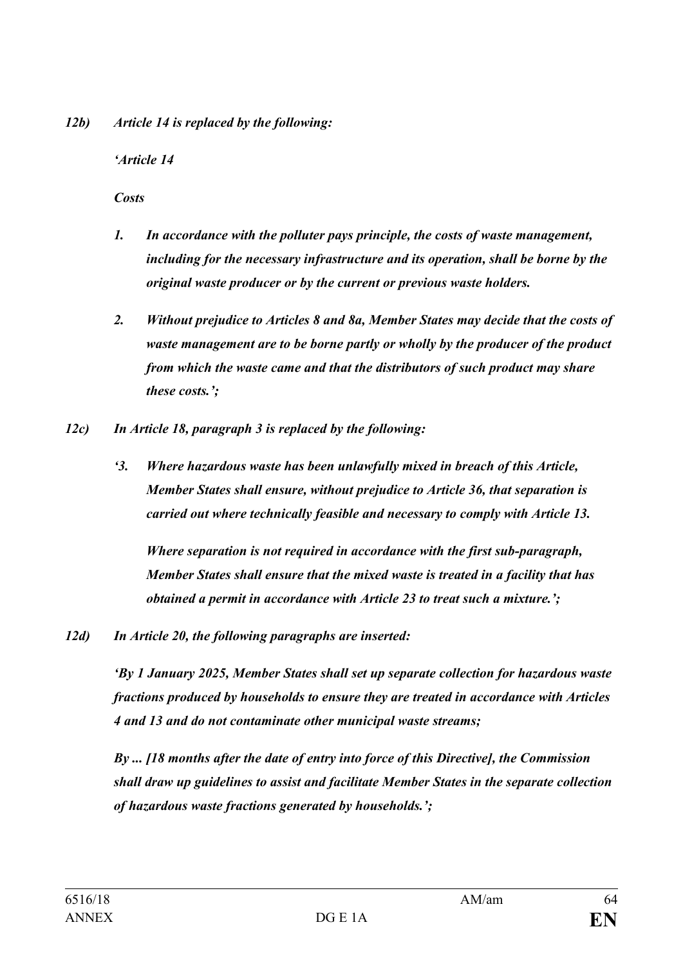*12b) Article 14 is replaced by the following:*

## *'Article 14*

*Costs*

- *1. In accordance with the polluter pays principle, the costs of waste management, including for the necessary infrastructure and its operation, shall be borne by the original waste producer or by the current or previous waste holders.*
- *2. Without prejudice to Articles 8 and 8a, Member States may decide that the costs of waste management are to be borne partly or wholly by the producer of the product from which the waste came and that the distributors of such product may share these costs.';*
- *12c) In Article 18, paragraph 3 is replaced by the following:*
	- *'3. Where hazardous waste has been unlawfully mixed in breach of this Article, Member States shall ensure, without prejudice to Article 36, that separation is carried out where technically feasible and necessary to comply with Article 13.*

*Where separation is not required in accordance with the first sub-paragraph, Member States shall ensure that the mixed waste is treated in a facility that has obtained a permit in accordance with Article 23 to treat such a mixture.';*

*12d) In Article 20, the following paragraphs are inserted:*

*'By 1 January 2025, Member States shall set up separate collection for hazardous waste fractions produced by households to ensure they are treated in accordance with Articles 4 and 13 and do not contaminate other municipal waste streams;*

*By ... [18 months after the date of entry into force of this Directive], the Commission shall draw up guidelines to assist and facilitate Member States in the separate collection of hazardous waste fractions generated by households.';*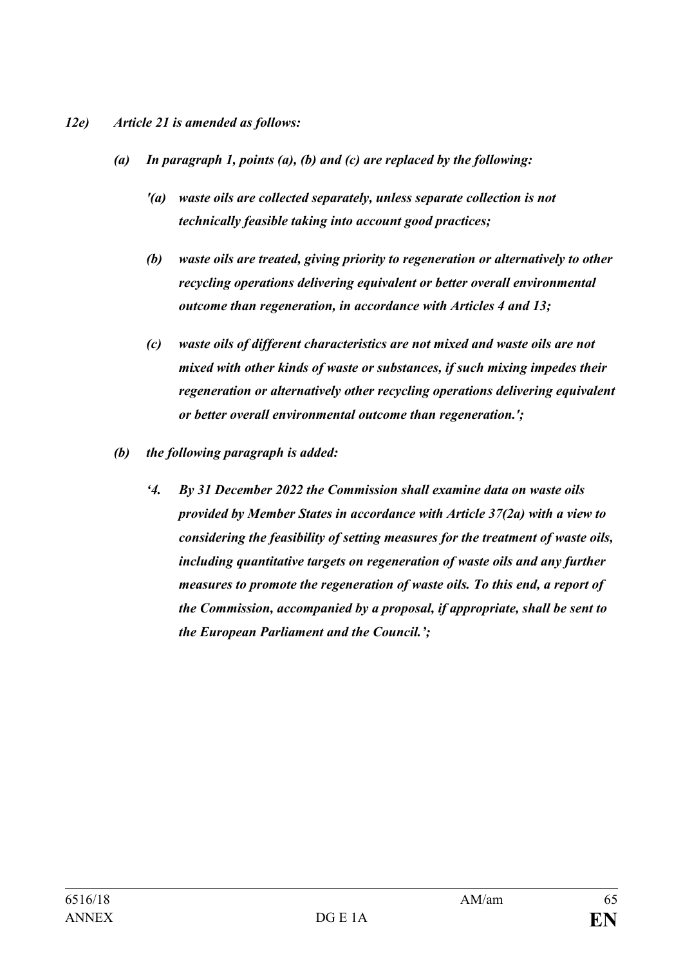#### *12e) Article 21 is amended as follows:*

- *(a) In paragraph 1, points (a), (b) and (c) are replaced by the following:*
	- *'(a) waste oils are collected separately, unless separate collection is not technically feasible taking into account good practices;*
	- *(b) waste oils are treated, giving priority to regeneration or alternatively to other recycling operations delivering equivalent or better overall environmental outcome than regeneration, in accordance with Articles 4 and 13;*
	- *(c) waste oils of different characteristics are not mixed and waste oils are not mixed with other kinds of waste or substances, if such mixing impedes their regeneration or alternatively other recycling operations delivering equivalent or better overall environmental outcome than regeneration.';*
- *(b) the following paragraph is added:*
	- *'4. By 31 December 2022 the Commission shall examine data on waste oils provided by Member States in accordance with Article 37(2a) with a view to considering the feasibility of setting measures for the treatment of waste oils, including quantitative targets on regeneration of waste oils and any further measures to promote the regeneration of waste oils. To this end, a report of the Commission, accompanied by a proposal, if appropriate, shall be sent to the European Parliament and the Council.';*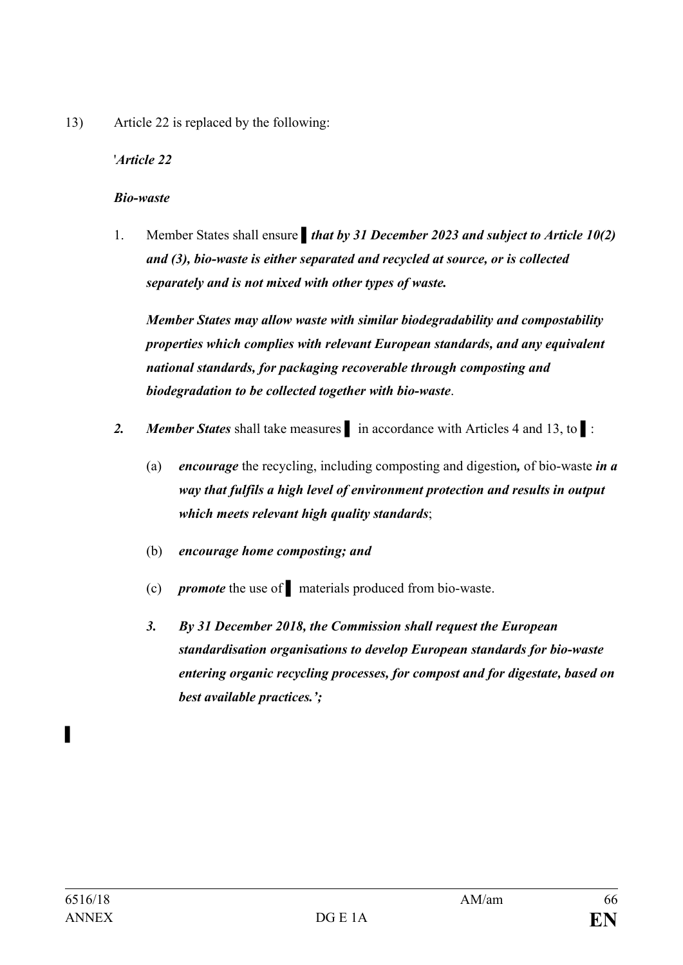13) Article 22 is replaced by the following:

## '*Article 22*

#### *Bio-waste*

1. Member States shall ensure **that by 31 December 2023 and subject to Article 10(2)** *and (3), bio-waste is either separated and recycled at source, or is collected separately and is not mixed with other types of waste.* 

*Member States may allow waste with similar biodegradability and compostability properties which complies with relevant European standards, and any equivalent national standards, for packaging recoverable through composting and biodegradation to be collected together with bio-waste*.

- *2. Member States* shall take measures **▌** in accordance with Articles 4 and 13, to ▌:
	- (a) *encourage* the recycling, including composting and digestion*,* of bio-waste *in a way that fulfils a high level of environment protection and results in output which meets relevant high quality standards*;
	- (b) *encourage home composting; and*
	- (c) *promote* the use of **▌** materials produced from bio-waste.
	- *3. By 31 December 2018, the Commission shall request the European standardisation organisations to develop European standards for bio-waste entering organic recycling processes, for compost and for digestate, based on best available practices.';*

**▌**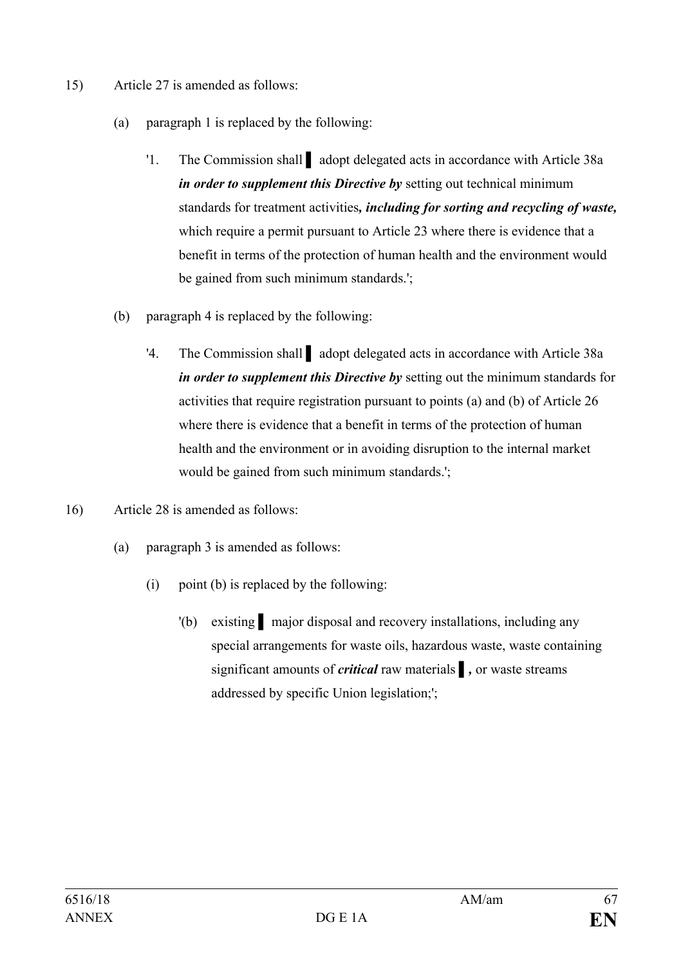- 15) Article 27 is amended as follows:
	- (a) paragraph 1 is replaced by the following:
		- '1. The Commission shall **▌** adopt delegated acts in accordance with Article 38a *in order to supplement this Directive by* setting out technical minimum standards for treatment activities*, including for sorting and recycling of waste,* which require a permit pursuant to Article 23 where there is evidence that a benefit in terms of the protection of human health and the environment would be gained from such minimum standards.';
	- (b) paragraph 4 is replaced by the following:
		- '4. The Commission shall **▌** adopt delegated acts in accordance with Article 38a *in order to supplement this Directive by* setting out the minimum standards for activities that require registration pursuant to points (a) and (b) of Article 26 where there is evidence that a benefit in terms of the protection of human health and the environment or in avoiding disruption to the internal market would be gained from such minimum standards.';
- 16) Article 28 is amended as follows:
	- (a) paragraph 3 is amended as follows:
		- (i) point (b) is replaced by the following:
			- '(b) existing **▌** major disposal and recovery installations, including any special arrangements for waste oils, hazardous waste, waste containing significant amounts of *critical* raw materials **▌***,* or waste streams addressed by specific Union legislation;';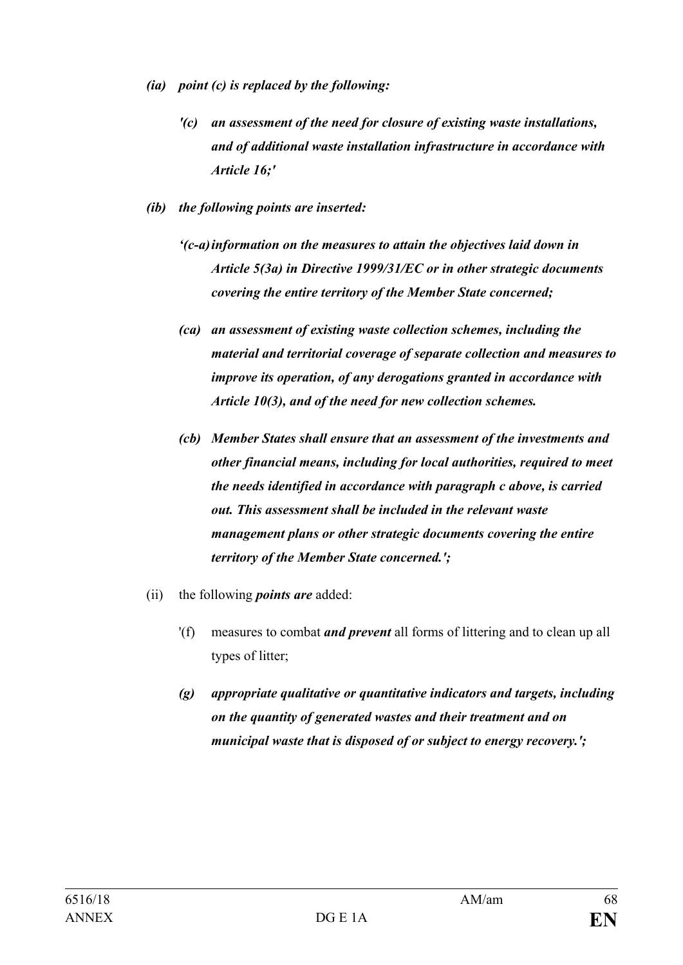- *(ia) point (c) is replaced by the following:*
	- *'(c) an assessment of the need for closure of existing waste installations, and of additional waste installation infrastructure in accordance with Article 16;'*
- *(ib) the following points are inserted:*
	- *'(c-a)information on the measures to attain the objectives laid down in Article 5(3a) in Directive 1999/31/EC or in other strategic documents covering the entire territory of the Member State concerned;*
	- *(ca) an assessment of existing waste collection schemes, including the material and territorial coverage of separate collection and measures to improve its operation, of any derogations granted in accordance with Article 10(3), and of the need for new collection schemes.*
	- *(cb) Member States shall ensure that an assessment of the investments and other financial means, including for local authorities, required to meet the needs identified in accordance with paragraph c above, is carried out. This assessment shall be included in the relevant waste management plans or other strategic documents covering the entire territory of the Member State concerned.';*
- (ii) the following *points are* added:
	- '(f) measures to combat *and prevent* all forms of littering and to clean up all types of litter;
	- *(g) appropriate qualitative or quantitative indicators and targets, including on the quantity of generated wastes and their treatment and on municipal waste that is disposed of or subject to energy recovery.';*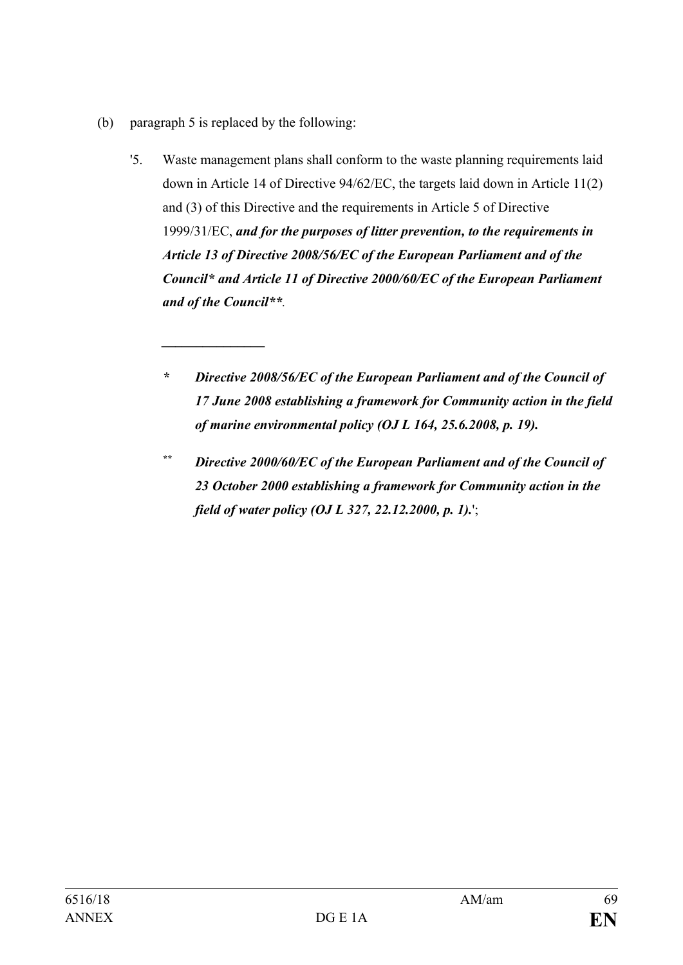(b) paragraph 5 is replaced by the following:

*\_\_\_\_\_\_\_\_\_\_\_\_\_\_\_*

- '5. Waste management plans shall conform to the waste planning requirements laid down in Article 14 of Directive 94/62/EC, the targets laid down in Article 11(2) and (3) of this Directive and the requirements in Article 5 of Directive 1999/31/EC, *and for the purposes of litter prevention, to the requirements in Article 13 of Directive 2008/56/EC of the European Parliament and of the Council\* and Article 11 of Directive 2000/60/EC of the European Parliament and of the Council\*\*.*
	- *\* Directive 2008/56/EC of the European Parliament and of the Council of 17 June 2008 establishing a framework for Community action in the field of marine environmental policy (OJ L 164, 25.6.2008, p. 19).*
	- *\*\* Directive 2000/60/EC of the European Parliament and of the Council of 23 October 2000 establishing a framework for Community action in the field of water policy (OJ L 327, 22.12.2000, p. 1).*';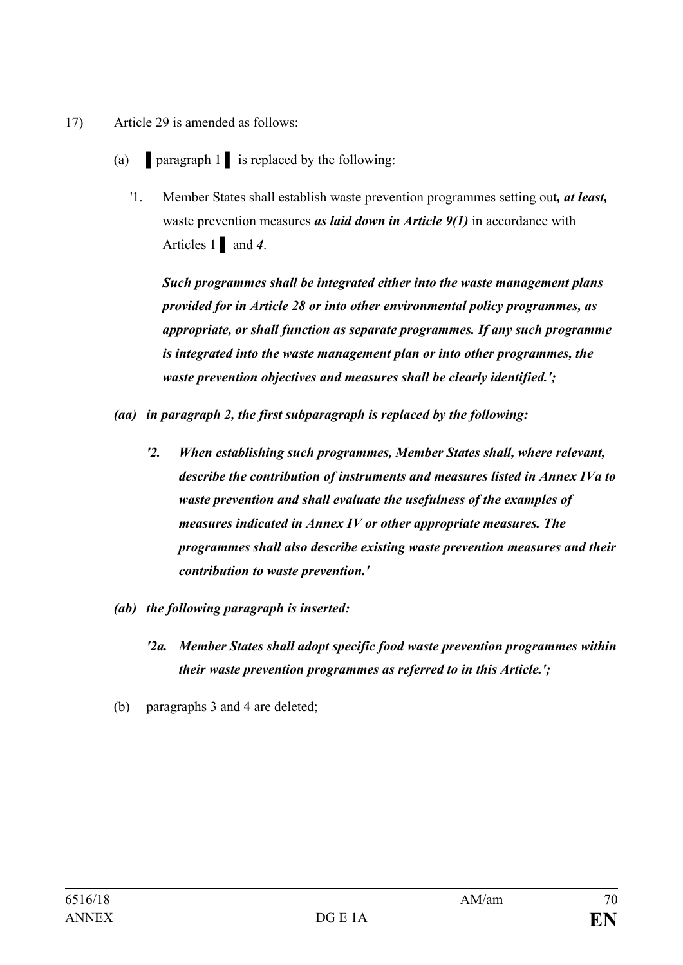- 17) Article 29 is amended as follows:
	- (a) **▌**paragraph 1 **▌** is replaced by the following:
		- '1. Member States shall establish waste prevention programmes setting out*, at least,* waste prevention measures *as laid down in Article 9(1)* in accordance with Articles 1 **▌** and *4*.

*Such programmes shall be integrated either into the waste management plans provided for in Article 28 or into other environmental policy programmes, as appropriate, or shall function as separate programmes. If any such programme is integrated into the waste management plan or into other programmes, the waste prevention objectives and measures shall be clearly identified.';*

*(aa) in paragraph 2, the first subparagraph is replaced by the following:*

- *'2. When establishing such programmes, Member States shall, where relevant, describe the contribution of instruments and measures listed in Annex IVa to waste prevention and shall evaluate the usefulness of the examples of measures indicated in Annex IV or other appropriate measures. The programmes shall also describe existing waste prevention measures and their contribution to waste prevention.'*
- *(ab) the following paragraph is inserted:*
	- *'2a. Member States shall adopt specific food waste prevention programmes within their waste prevention programmes as referred to in this Article.';*
- (b) paragraphs 3 and 4 are deleted;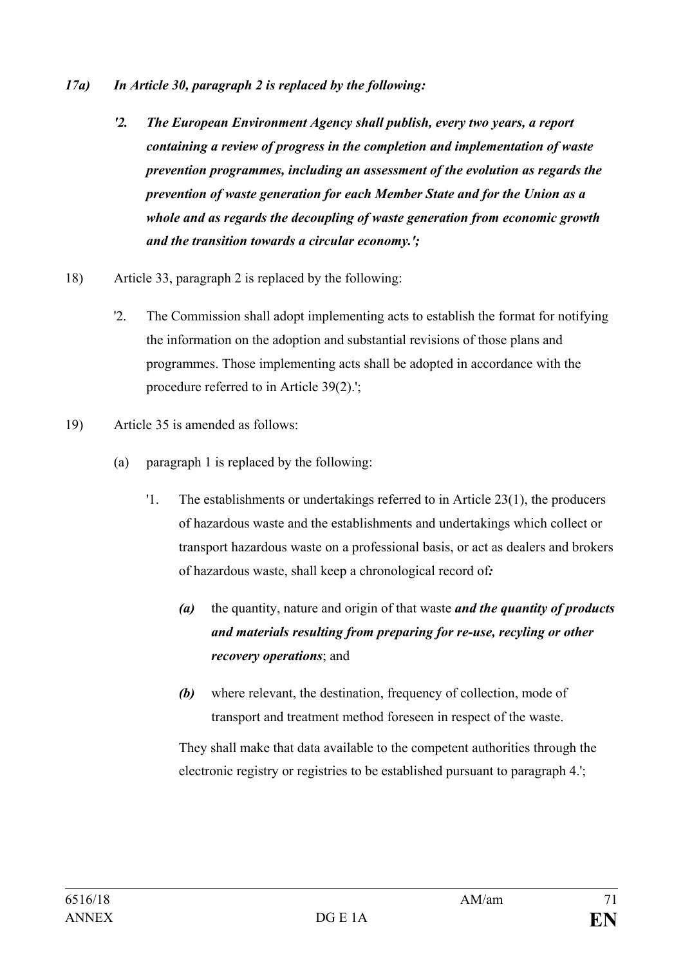- *17a) In Article 30, paragraph 2 is replaced by the following:*
	- *'2. The European Environment Agency shall publish, every two years, a report containing a review of progress in the completion and implementation of waste prevention programmes, including an assessment of the evolution as regards the prevention of waste generation for each Member State and for the Union as a whole and as regards the decoupling of waste generation from economic growth and the transition towards a circular economy.';*
- 18) Article 33, paragraph 2 is replaced by the following:
	- '2. The Commission shall adopt implementing acts to establish the format for notifying the information on the adoption and substantial revisions of those plans and programmes. Those implementing acts shall be adopted in accordance with the procedure referred to in Article 39(2).';
- 19) Article 35 is amended as follows:
	- (a) paragraph 1 is replaced by the following:
		- '1. The establishments or undertakings referred to in Article 23(1), the producers of hazardous waste and the establishments and undertakings which collect or transport hazardous waste on a professional basis, or act as dealers and brokers of hazardous waste, shall keep a chronological record of*:*
			- *(a)* the quantity, nature and origin of that waste *and the quantity of products and materials resulting from preparing for re-use, recyling or other recovery operations*; and
			- *(b)* where relevant, the destination, frequency of collection, mode of transport and treatment method foreseen in respect of the waste.

They shall make that data available to the competent authorities through the electronic registry or registries to be established pursuant to paragraph 4.';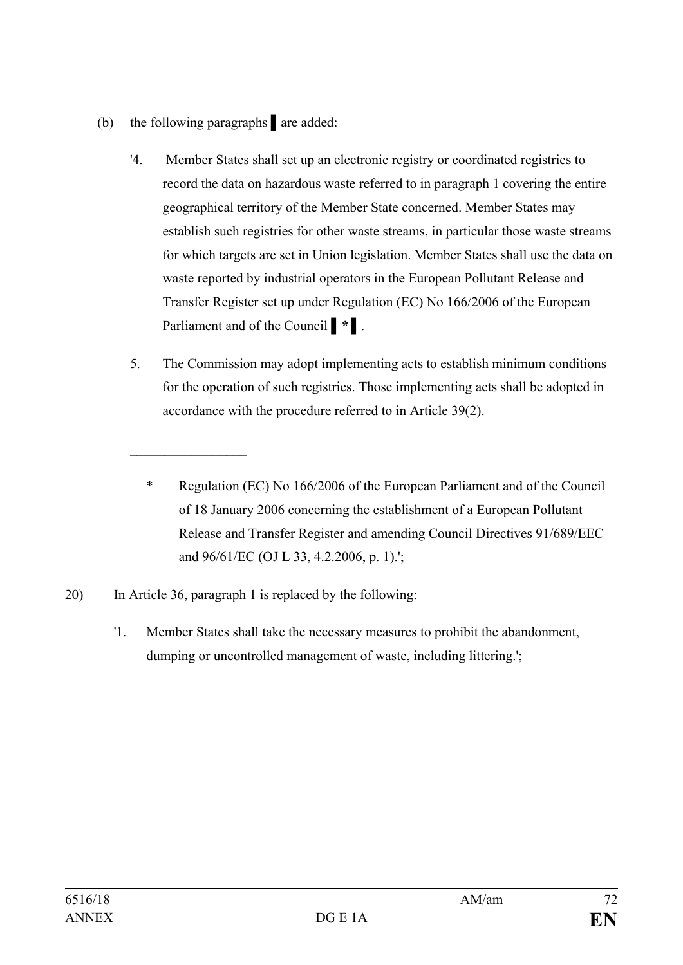- (b) the following paragraphs **▌**are added:
	- '4. Member States shall set up an electronic registry or coordinated registries to record the data on hazardous waste referred to in paragraph 1 covering the entire geographical territory of the Member State concerned. Member States may establish such registries for other waste streams, in particular those waste streams for which targets are set in Union legislation. Member States shall use the data on waste reported by industrial operators in the European Pollutant Release and Transfer Register set up under Regulation (EC) No 166/2006 of the European Parliament and of the Council *▌\* ▌*.
	- 5. The Commission may adopt implementing acts to establish minimum conditions for the operation of such registries. Those implementing acts shall be adopted in accordance with the procedure referred to in Article 39(2).
		- \* Regulation (EC) No 166/2006 of the European Parliament and of the Council of 18 January 2006 concerning the establishment of a European Pollutant Release and Transfer Register and amending Council Directives 91/689/EEC and 96/61/EC (OJ L 33, 4.2.2006, p. 1).';
- 20) In Article 36, paragraph 1 is replaced by the following:

 $\mathcal{L}_\text{max}$  , where  $\mathcal{L}_\text{max}$ 

'1. Member States shall take the necessary measures to prohibit the abandonment, dumping or uncontrolled management of waste, including littering.';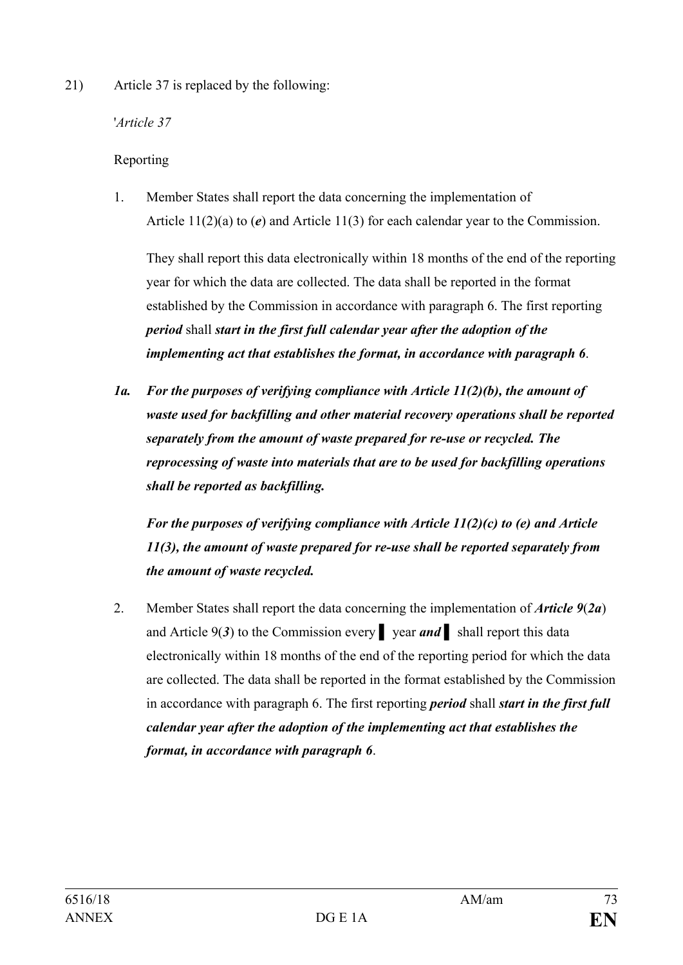21) Article 37 is replaced by the following:

'*Article 37*

# Reporting

1. Member States shall report the data concerning the implementation of Article 11(2)(a) to (*e*) and Article 11(3) for each calendar year to the Commission.

They shall report this data electronically within 18 months of the end of the reporting year for which the data are collected. The data shall be reported in the format established by the Commission in accordance with paragraph 6. The first reporting *period* shall *start in the first full calendar year after the adoption of the implementing act that establishes the format, in accordance with paragraph 6*.

*1a. For the purposes of verifying compliance with Article 11(2)(b), the amount of waste used for backfilling and other material recovery operations shall be reported separately from the amount of waste prepared for re-use or recycled. The reprocessing of waste into materials that are to be used for backfilling operations shall be reported as backfilling.*

*For the purposes of verifying compliance with Article 11(2)(c) to (e) and Article 11(3), the amount of waste prepared for re-use shall be reported separately from the amount of waste recycled.*

2. Member States shall report the data concerning the implementation of *Article 9*(*2a*) and Article 9(*3*) to the Commission every **▌** year *and* **▌** shall report this data electronically within 18 months of the end of the reporting period for which the data are collected. The data shall be reported in the format established by the Commission in accordance with paragraph 6. The first reporting *period* shall *start in the first full calendar year after the adoption of the implementing act that establishes the format, in accordance with paragraph 6*.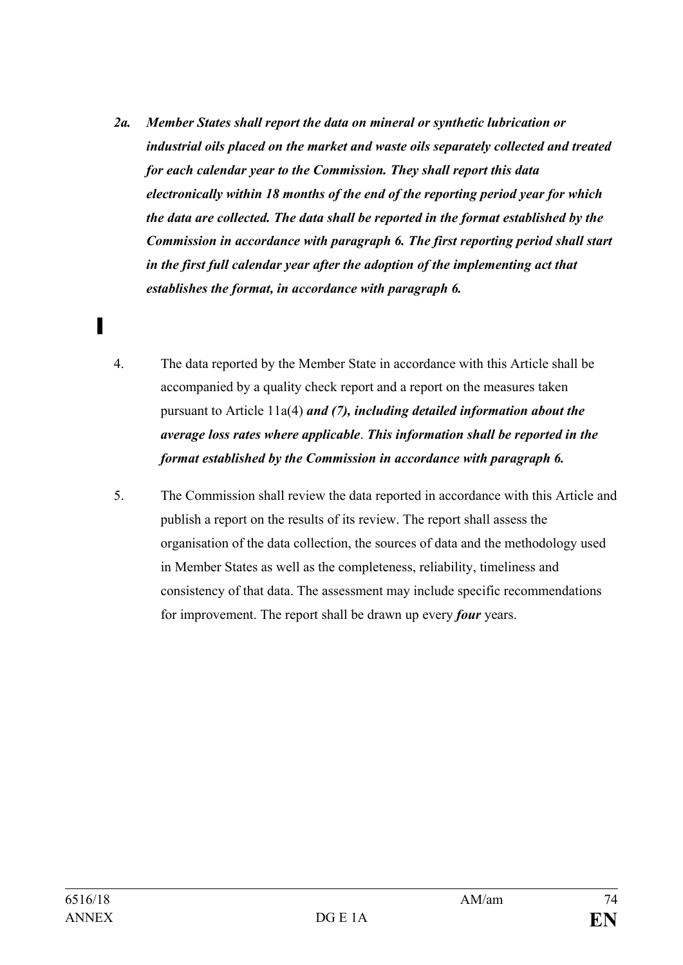- *2a. Member States shall report the data on mineral or synthetic lubrication or industrial oils placed on the market and waste oils separately collected and treated for each calendar year to the Commission. They shall report this data electronically within 18 months of the end of the reporting period year for which the data are collected. The data shall be reported in the format established by the Commission in accordance with paragraph 6. The first reporting period shall start in the first full calendar year after the adoption of the implementing act that establishes the format, in accordance with paragraph 6.*
- 4. The data reported by the Member State in accordance with this Article shall be accompanied by a quality check report and a report on the measures taken pursuant to Article 11a(4) *and (7), including detailed information about the average loss rates where applicable*. *This information shall be reported in the format established by the Commission in accordance with paragraph 6.*
- 5. The Commission shall review the data reported in accordance with this Article and publish a report on the results of its review. The report shall assess the organisation of the data collection, the sources of data and the methodology used in Member States as well as the completeness, reliability, timeliness and consistency of that data. The assessment may include specific recommendations for improvement. The report shall be drawn up every *four* years.

**▌**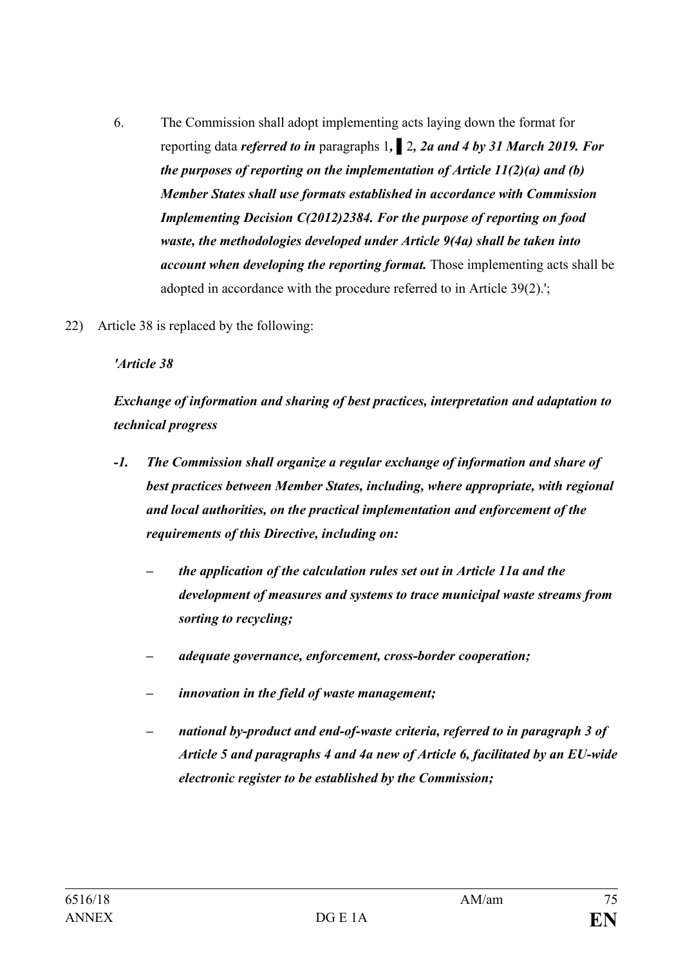- 6. The Commission shall adopt implementing acts laying down the format for reporting data *referred to in* paragraphs 1*,* **▌**2*, 2a and 4 by 31 March 2019. For the purposes of reporting on the implementation of Article 11(2)(a) and (b) Member States shall use formats established in accordance with Commission Implementing Decision C(2012)2384. For the purpose of reporting on food waste, the methodologies developed under Article 9(4a) shall be taken into account when developing the reporting format.* Those implementing acts shall be adopted in accordance with the procedure referred to in Article 39(2).';
- 22) Article 38 is replaced by the following:

#### *'Article 38*

*Exchange of information and sharing of best practices, interpretation and adaptation to technical progress*

- *-1. The Commission shall organize a regular exchange of information and share of best practices between Member States, including, where appropriate, with regional and local authorities, on the practical implementation and enforcement of the requirements of this Directive, including on:*
	- *– the application of the calculation rules set out in Article 11a and the development of measures and systems to trace municipal waste streams from sorting to recycling;*
	- *– adequate governance, enforcement, cross-border cooperation;*
	- *– innovation in the field of waste management;*
	- *– national by-product and end-of-waste criteria, referred to in paragraph 3 of Article 5 and paragraphs 4 and 4a new of Article 6, facilitated by an EU-wide electronic register to be established by the Commission;*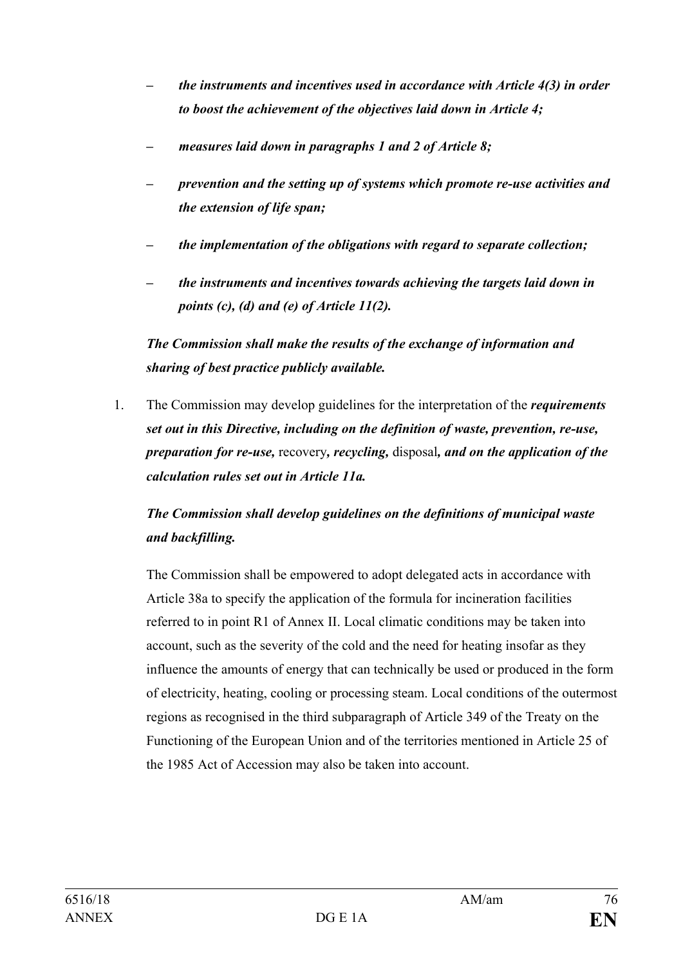- *– the instruments and incentives used in accordance with Article 4(3) in order to boost the achievement of the objectives laid down in Article 4;*
- *– measures laid down in paragraphs 1 and 2 of Article 8;*
- *– prevention and the setting up of systems which promote re-use activities and the extension of life span;*
- *– the implementation of the obligations with regard to separate collection;*
- *– the instruments and incentives towards achieving the targets laid down in points (c), (d) and (e) of Article 11(2).*

*The Commission shall make the results of the exchange of information and sharing of best practice publicly available.*

1. The Commission may develop guidelines for the interpretation of the *requirements set out in this Directive, including on the definition of waste, prevention, re-use, preparation for re-use,* recovery*, recycling,* disposal*, and on the application of the calculation rules set out in Article 11a.*

# *The Commission shall develop guidelines on the definitions of municipal waste and backfilling.*

The Commission shall be empowered to adopt delegated acts in accordance with Article 38a to specify the application of the formula for incineration facilities referred to in point R1 of Annex II. Local climatic conditions may be taken into account, such as the severity of the cold and the need for heating insofar as they influence the amounts of energy that can technically be used or produced in the form of electricity, heating, cooling or processing steam. Local conditions of the outermost regions as recognised in the third subparagraph of Article 349 of the Treaty on the Functioning of the European Union and of the territories mentioned in Article 25 of the 1985 Act of Accession may also be taken into account.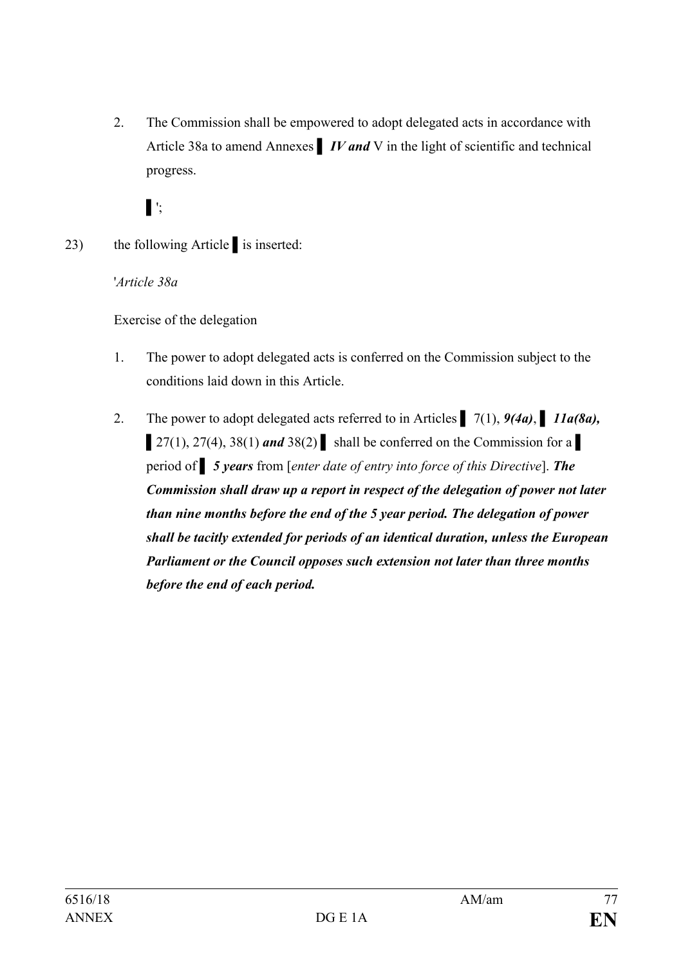2. The Commission shall be empowered to adopt delegated acts in accordance with Article 38a to amend Annexes **▌** *IV and* V in the light of scientific and technical progress.

**▌**';

23) the following Article **▌**is inserted:

'*Article 38a*

Exercise of the delegation

- 1. The power to adopt delegated acts is conferred on the Commission subject to the conditions laid down in this Article.
- 2. The power to adopt delegated acts referred to in Articles **▌** 7(1), *9(4a)*, **▌** *11a(8a), 27(1), 27(4), 38(1) and 38(2)* shall be conferred on the Commission for a period of *▌ 5 years* from [*enter date of entry into force of this Directive*]. *The Commission shall draw up a report in respect of the delegation of power not later than nine months before the end of the 5 year period. The delegation of power shall be tacitly extended for periods of an identical duration, unless the European Parliament or the Council opposes such extension not later than three months before the end of each period.*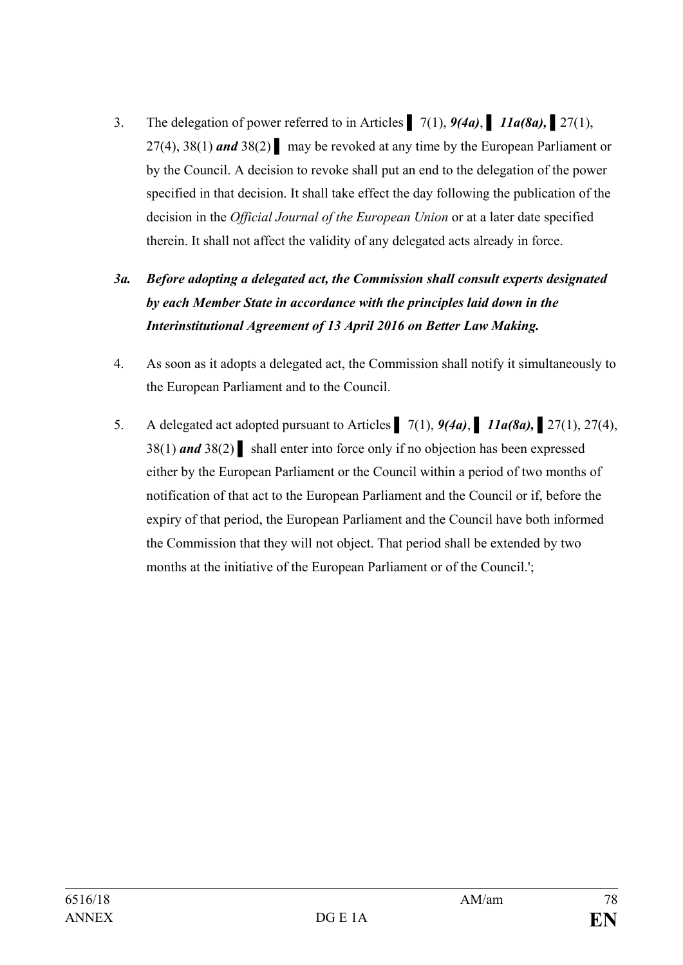- 3. The delegation of power referred to in Articles **▌** 7(1), *9(4a)*, **▌** *11a(8a), ▌*27(1), 27(4), 38(1) *and* 38(2) **▌** may be revoked at any time by the European Parliament or by the Council. A decision to revoke shall put an end to the delegation of the power specified in that decision. It shall take effect the day following the publication of the decision in the *Official Journal of the European Union* or at a later date specified therein. It shall not affect the validity of any delegated acts already in force.
- *3a. Before adopting a delegated act, the Commission shall consult experts designated by each Member State in accordance with the principles laid down in the Interinstitutional Agreement of 13 April 2016 on Better Law Making.*
- 4. As soon as it adopts a delegated act, the Commission shall notify it simultaneously to the European Parliament and to the Council.
- 5. A delegated act adopted pursuant to Articles **▌** 7(1), *9(4a)*, **▌** *11a(8a), ▌*27(1), 27(4), 38(1) *and* 38(2) **▌** shall enter into force only if no objection has been expressed either by the European Parliament or the Council within a period of two months of notification of that act to the European Parliament and the Council or if, before the expiry of that period, the European Parliament and the Council have both informed the Commission that they will not object. That period shall be extended by two months at the initiative of the European Parliament or of the Council.';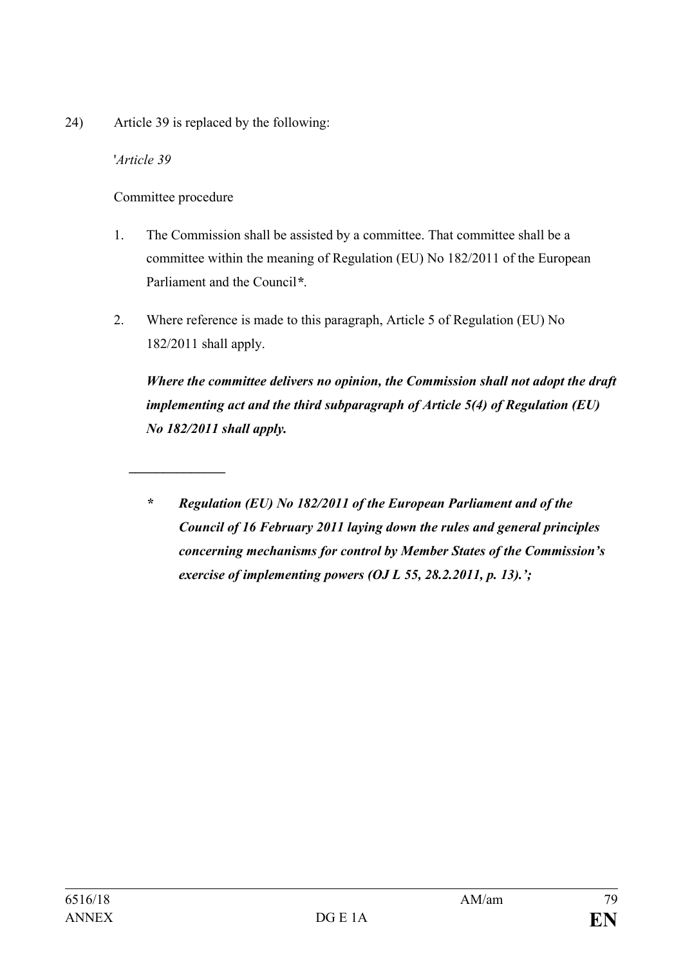24) Article 39 is replaced by the following:

'*Article 39*

Committee procedure

*\_\_\_\_\_\_\_\_\_\_\_\_\_\_*

- 1. The Commission shall be assisted by a committee. That committee shall be a committee within the meaning of Regulation (EU) No 182/2011 of the European Parliament and the Council*\**.
- 2. Where reference is made to this paragraph, Article 5 of Regulation (EU) No 182/2011 shall apply.

*Where the committee delivers no opinion, the Commission shall not adopt the draft implementing act and the third subparagraph of Article 5(4) of Regulation (EU) No 182/2011 shall apply.*

*\* Regulation (EU) No 182/2011 of the European Parliament and of the Council of 16 February 2011 laying down the rules and general principles concerning mechanisms for control by Member States of the Commission's exercise of implementing powers (OJ L 55, 28.2.2011, p. 13).';*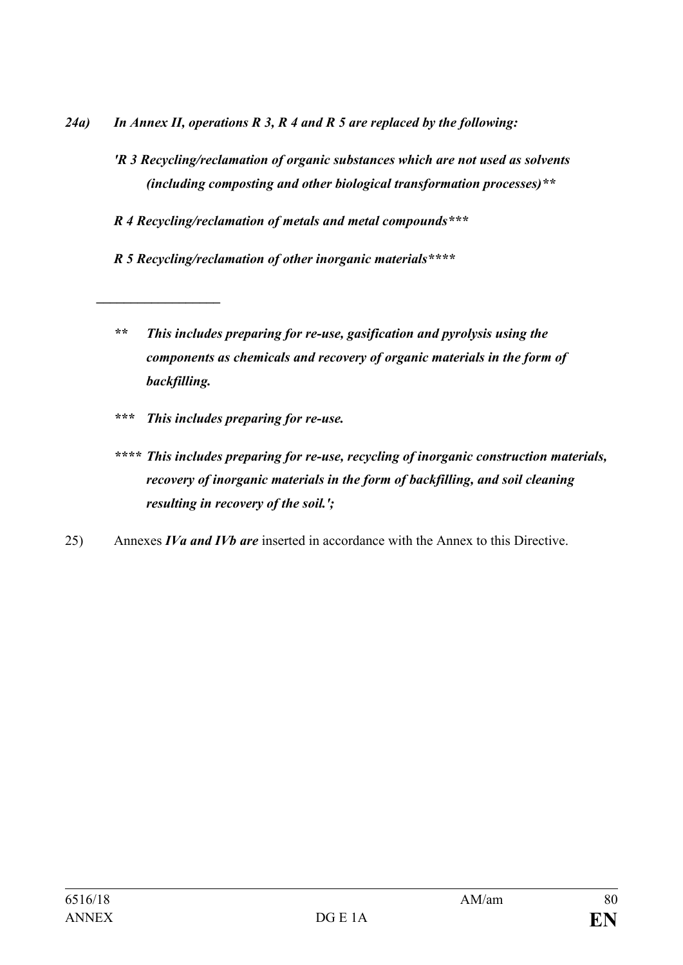- *24a) In Annex II, operations R 3, R 4 and R 5 are replaced by the following:* 
	- *'R 3 Recycling/reclamation of organic substances which are not used as solvents (including composting and other biological transformation processes)\*\**
	- *R 4 Recycling/reclamation of metals and metal compounds\*\*\**
	- *R 5 Recycling/reclamation of other inorganic materials\*\*\*\**
	- *\*\* This includes preparing for re-use, gasification and pyrolysis using the components as chemicals and recovery of organic materials in the form of backfilling.*
	- *\*\*\* This includes preparing for re-use.*

*\_\_\_\_\_\_\_\_\_\_\_\_\_\_\_\_\_\_*

- *\*\*\*\* This includes preparing for re-use, recycling of inorganic construction materials, recovery of inorganic materials in the form of backfilling, and soil cleaning resulting in recovery of the soil.';*
- 25) Annexes *IVa and IVb are* inserted in accordance with the Annex to this Directive.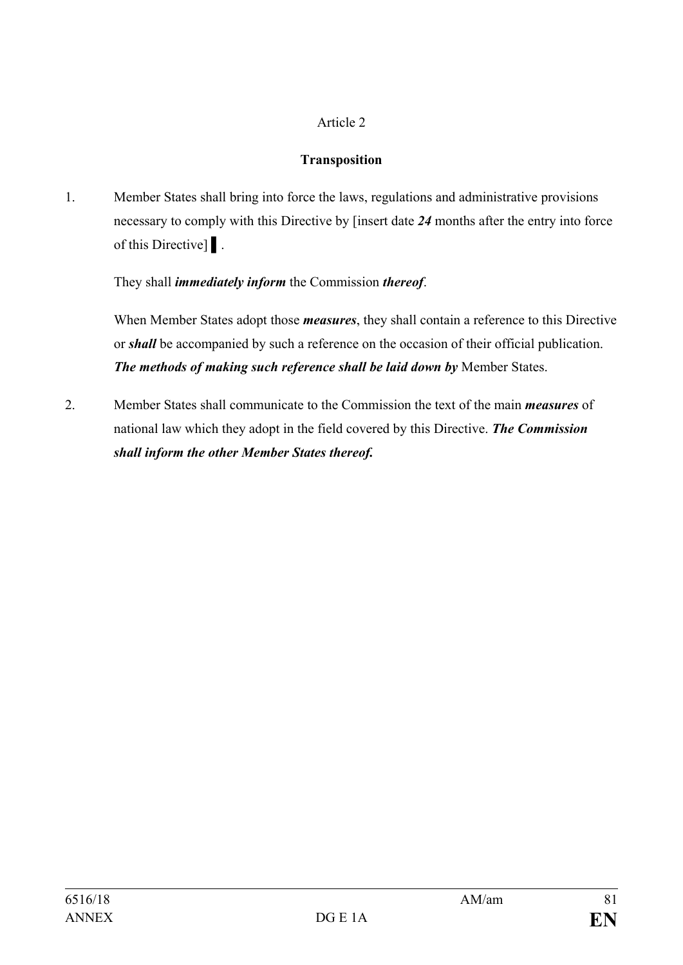## Article 2

## **Transposition**

1. Member States shall bring into force the laws, regulations and administrative provisions necessary to comply with this Directive by [insert date *24* months after the entry into force of this Directive] **▌**.

# They shall *immediately inform* the Commission *thereof*.

When Member States adopt those *measures*, they shall contain a reference to this Directive or *shall* be accompanied by such a reference on the occasion of their official publication. *The methods of making such reference shall be laid down by* Member States.

2. Member States shall communicate to the Commission the text of the main *measures* of national law which they adopt in the field covered by this Directive. *The Commission shall inform the other Member States thereof.*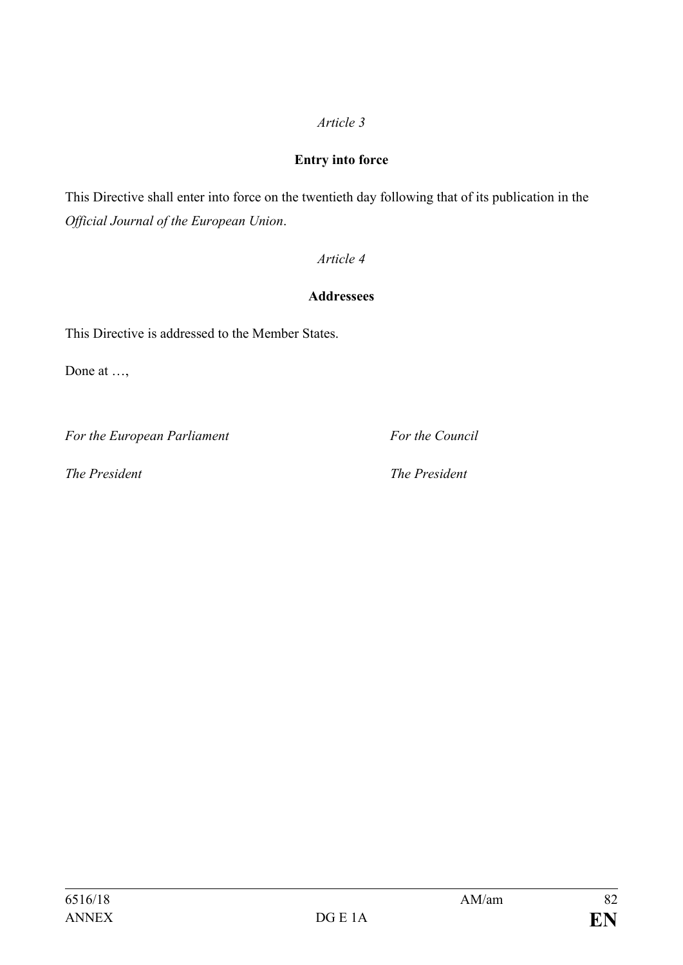## *Article 3*

#### **Entry into force**

This Directive shall enter into force on the twentieth day following that of its publication in the *Official Journal of the European Union*.

## *Article 4*

## **Addressees**

This Directive is addressed to the Member States.

Done at ...,

*For the European Parliament For the Council*

*The President The President*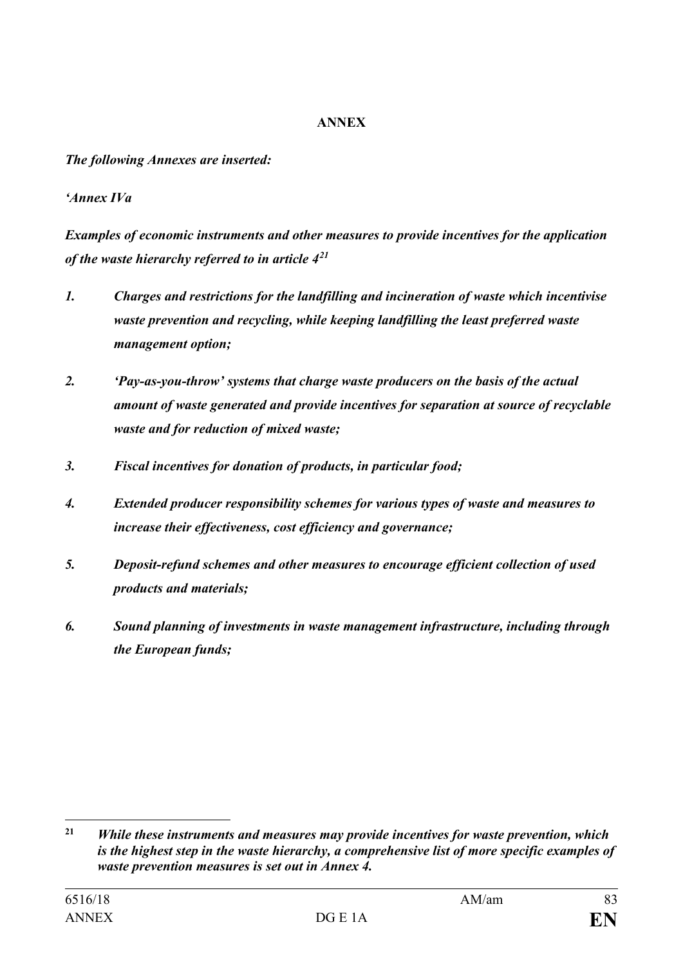#### **ANNEX**

*The following Annexes are inserted:*

## *'Annex IVa*

*Examples of economic instruments and other measures to provide incentives for the application of the waste hierarchy referred to in article 4[21](#page-82-0)*

- *1. Charges and restrictions for the landfilling and incineration of waste which incentivise waste prevention and recycling, while keeping landfilling the least preferred waste management option;*
- *2. 'Pay-as-you-throw' systems that charge waste producers on the basis of the actual amount of waste generated and provide incentives for separation at source of recyclable waste and for reduction of mixed waste;*
- *3. Fiscal incentives for donation of products, in particular food;*
- *4. Extended producer responsibility schemes for various types of waste and measures to increase their effectiveness, cost efficiency and governance;*
- *5. Deposit-refund schemes and other measures to encourage efficient collection of used products and materials;*
- *6. Sound planning of investments in waste management infrastructure, including through the European funds;*

<span id="page-82-0"></span> $21$ **<sup>21</sup>** *While these instruments and measures may provide incentives for waste prevention, which is the highest step in the waste hierarchy, a comprehensive list of more specific examples of waste prevention measures is set out in Annex 4.*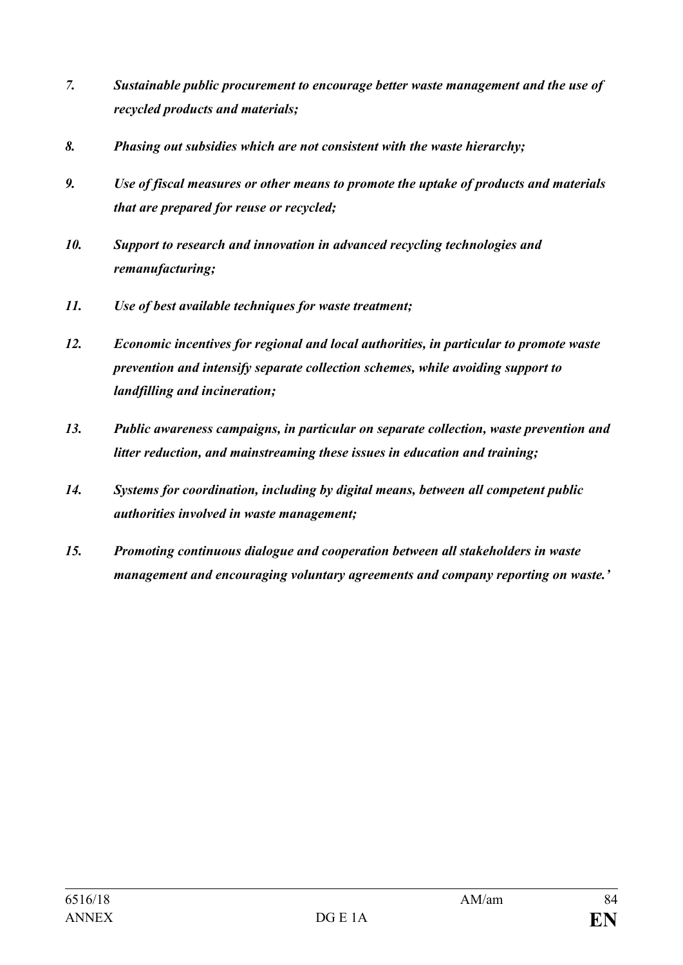- *7. Sustainable public procurement to encourage better waste management and the use of recycled products and materials;*
- *8. Phasing out subsidies which are not consistent with the waste hierarchy;*
- *9. Use of fiscal measures or other means to promote the uptake of products and materials that are prepared for reuse or recycled;*
- *10. Support to research and innovation in advanced recycling technologies and remanufacturing;*
- *11. Use of best available techniques for waste treatment;*
- *12. Economic incentives for regional and local authorities, in particular to promote waste prevention and intensify separate collection schemes, while avoiding support to landfilling and incineration;*
- *13. Public awareness campaigns, in particular on separate collection, waste prevention and litter reduction, and mainstreaming these issues in education and training;*
- *14. Systems for coordination, including by digital means, between all competent public authorities involved in waste management;*
- *15. Promoting continuous dialogue and cooperation between all stakeholders in waste management and encouraging voluntary agreements and company reporting on waste.'*